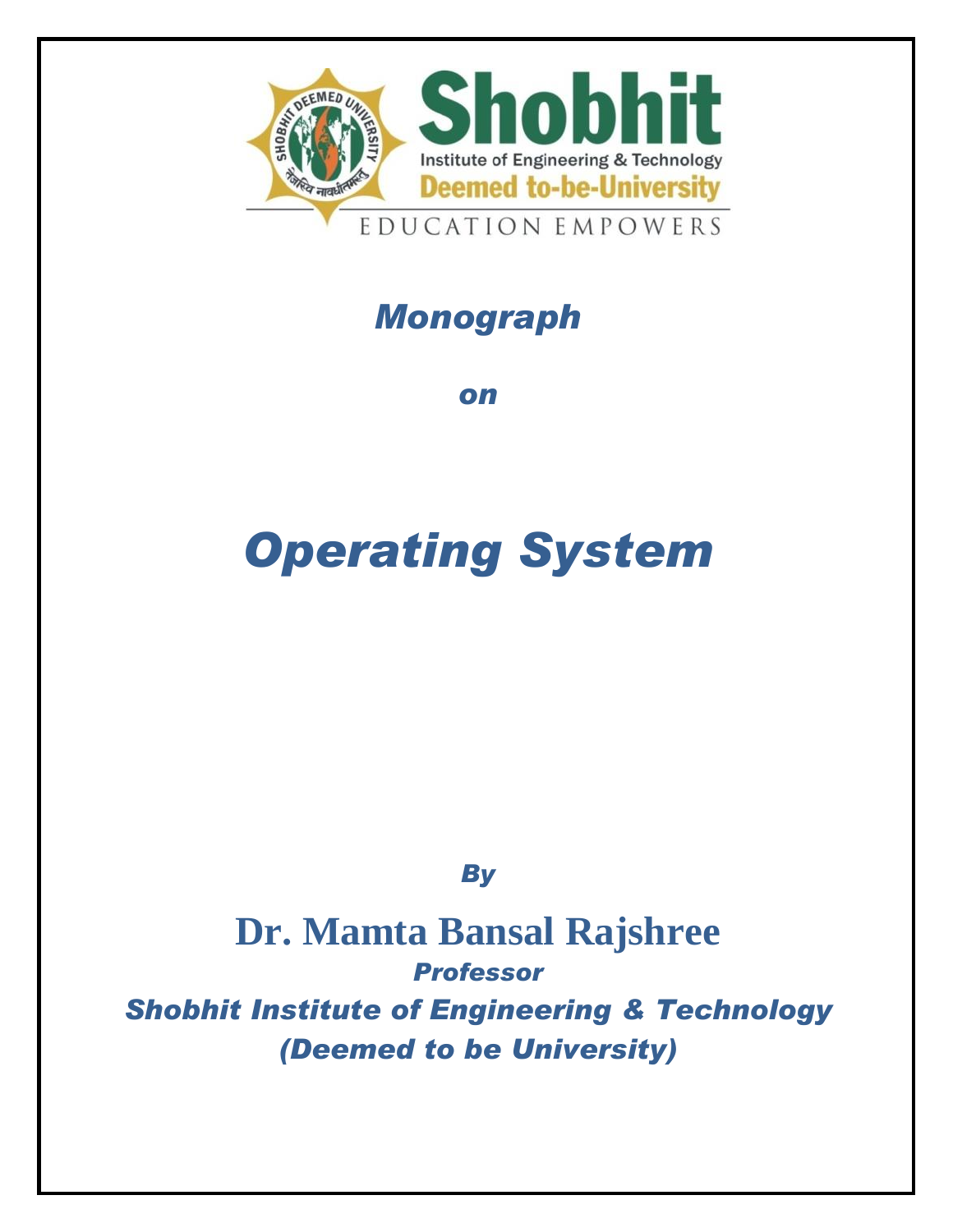

# *Monograph*

*on*

# *Operating System*

*By*

**Dr. Mamta Bansal Rajshree** *Professor Shobhit Institute of Engineering & Technology (Deemed to be University)*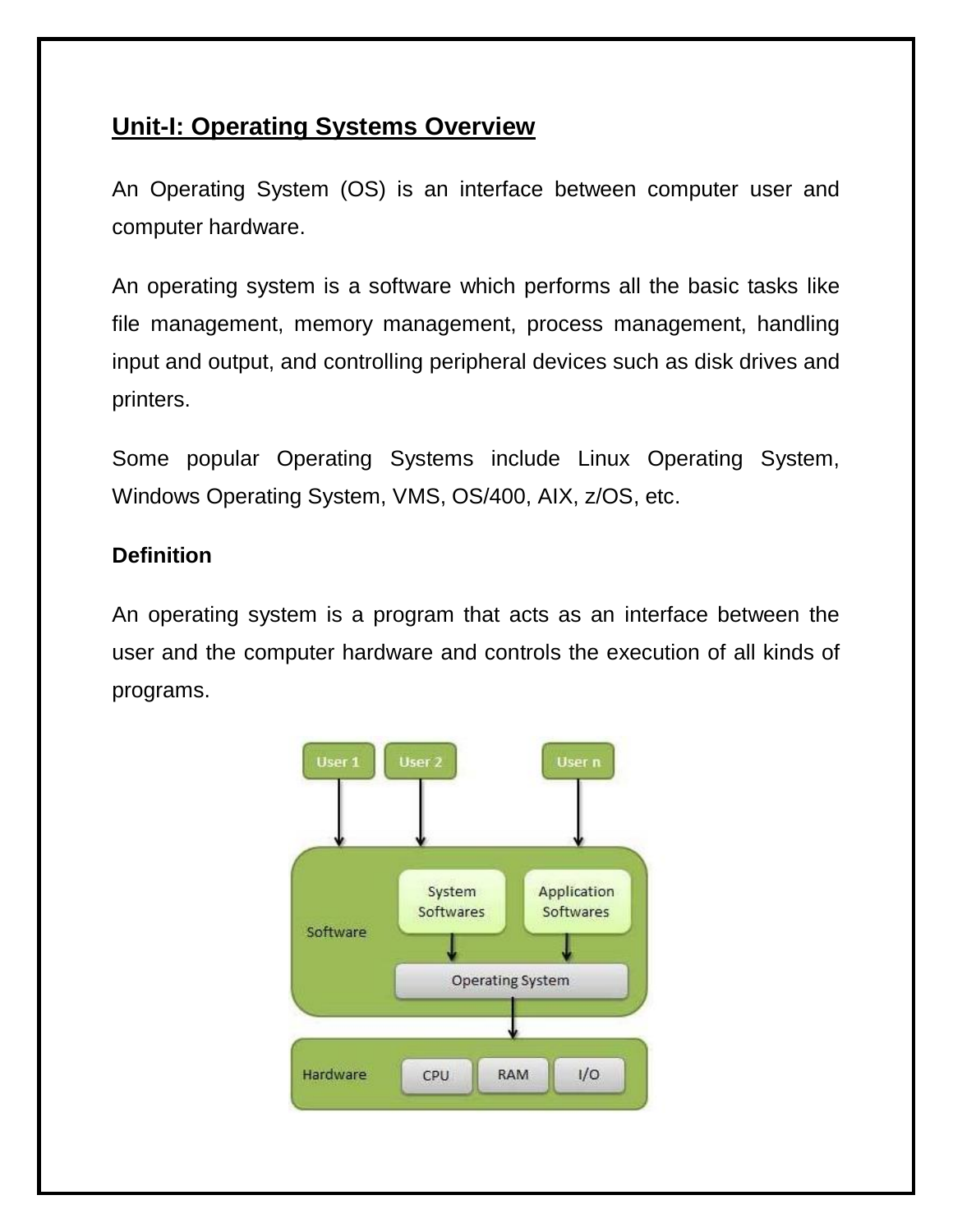# **Unit-I: Operating Systems Overview**

An Operating System (OS) is an interface between computer user and computer hardware.

An operating system is a software which performs all the basic tasks like file management, memory management, process management, handling input and output, and controlling peripheral devices such as disk drives and printers.

Some popular Operating Systems include Linux Operating System, Windows Operating System, VMS, OS/400, AIX, z/OS, etc.

#### **Definition**

An operating system is a program that acts as an interface between the user and the computer hardware and controls the execution of all kinds of programs.

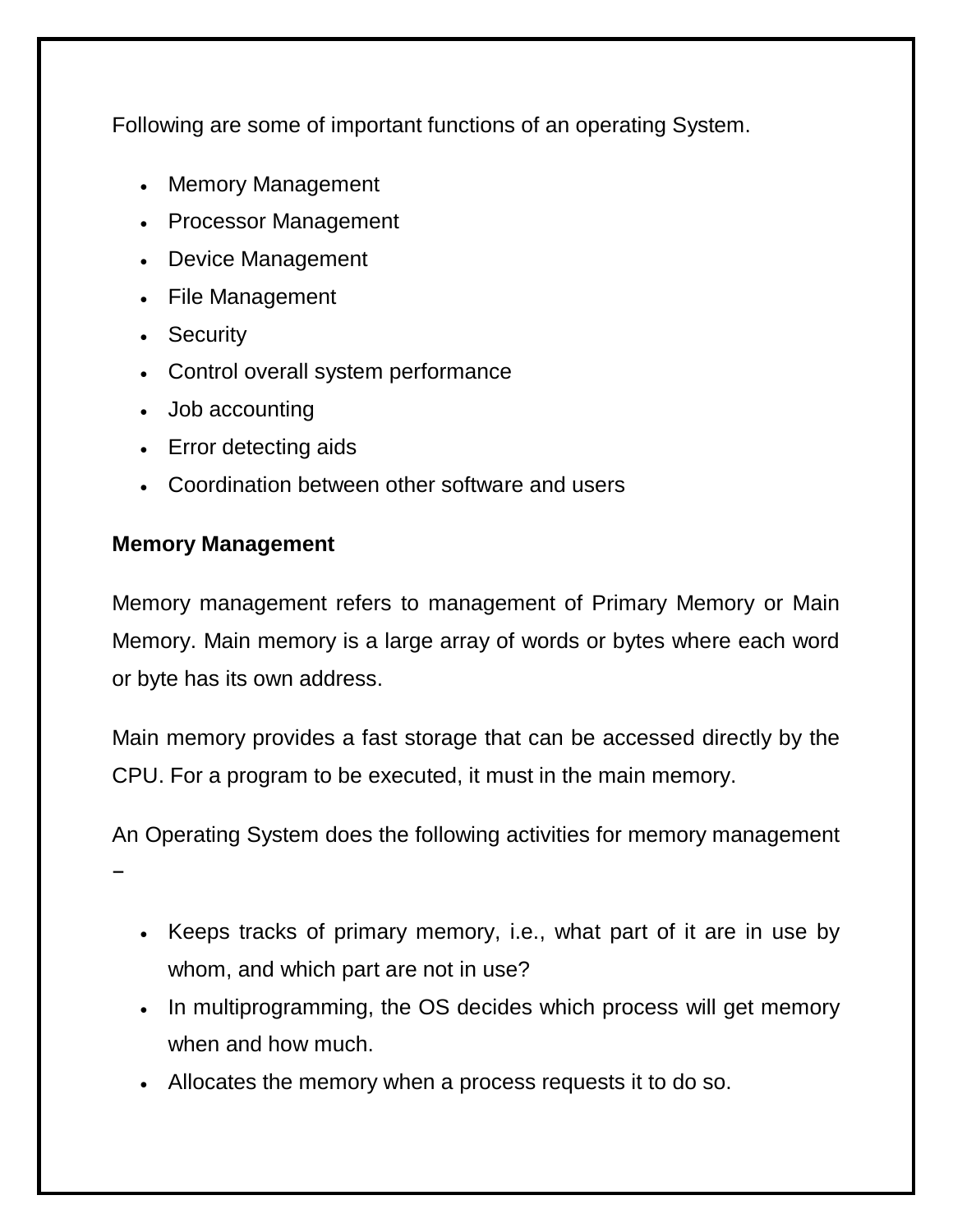Following are some of important functions of an operating System.

- Memory Management
- Processor Management
- Device Management
- File Management
- Security
- Control overall system performance
- Job accounting
- Error detecting aids
- Coordination between other software and users

#### **Memory Management**

Memory management refers to management of Primary Memory or Main Memory. Main memory is a large array of words or bytes where each word or byte has its own address.

Main memory provides a fast storage that can be accessed directly by the CPU. For a program to be executed, it must in the main memory.

An Operating System does the following activities for memory management

−

- Keeps tracks of primary memory, i.e., what part of it are in use by whom, and which part are not in use?
- In multiprogramming, the OS decides which process will get memory when and how much.
- Allocates the memory when a process requests it to do so.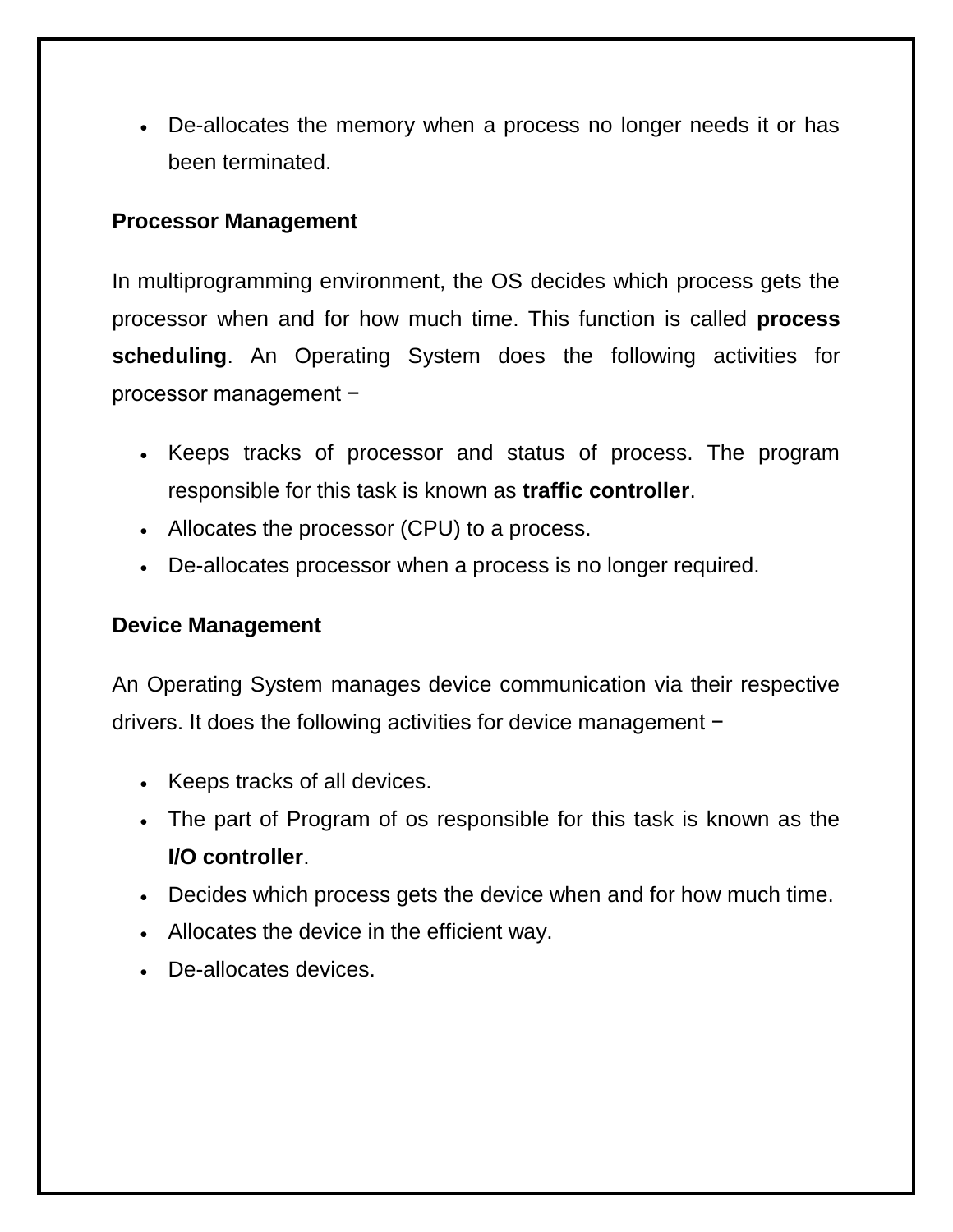De-allocates the memory when a process no longer needs it or has been terminated.

#### **Processor Management**

In multiprogramming environment, the OS decides which process gets the processor when and for how much time. This function is called **process scheduling**. An Operating System does the following activities for processor management −

- Keeps tracks of processor and status of process. The program responsible for this task is known as **traffic controller**.
- Allocates the processor (CPU) to a process.
- De-allocates processor when a process is no longer required.

#### **Device Management**

An Operating System manages device communication via their respective drivers. It does the following activities for device management −

- Keeps tracks of all devices.
- The part of Program of os responsible for this task is known as the **I/O controller**.
- Decides which process gets the device when and for how much time.
- Allocates the device in the efficient way.
- De-allocates devices.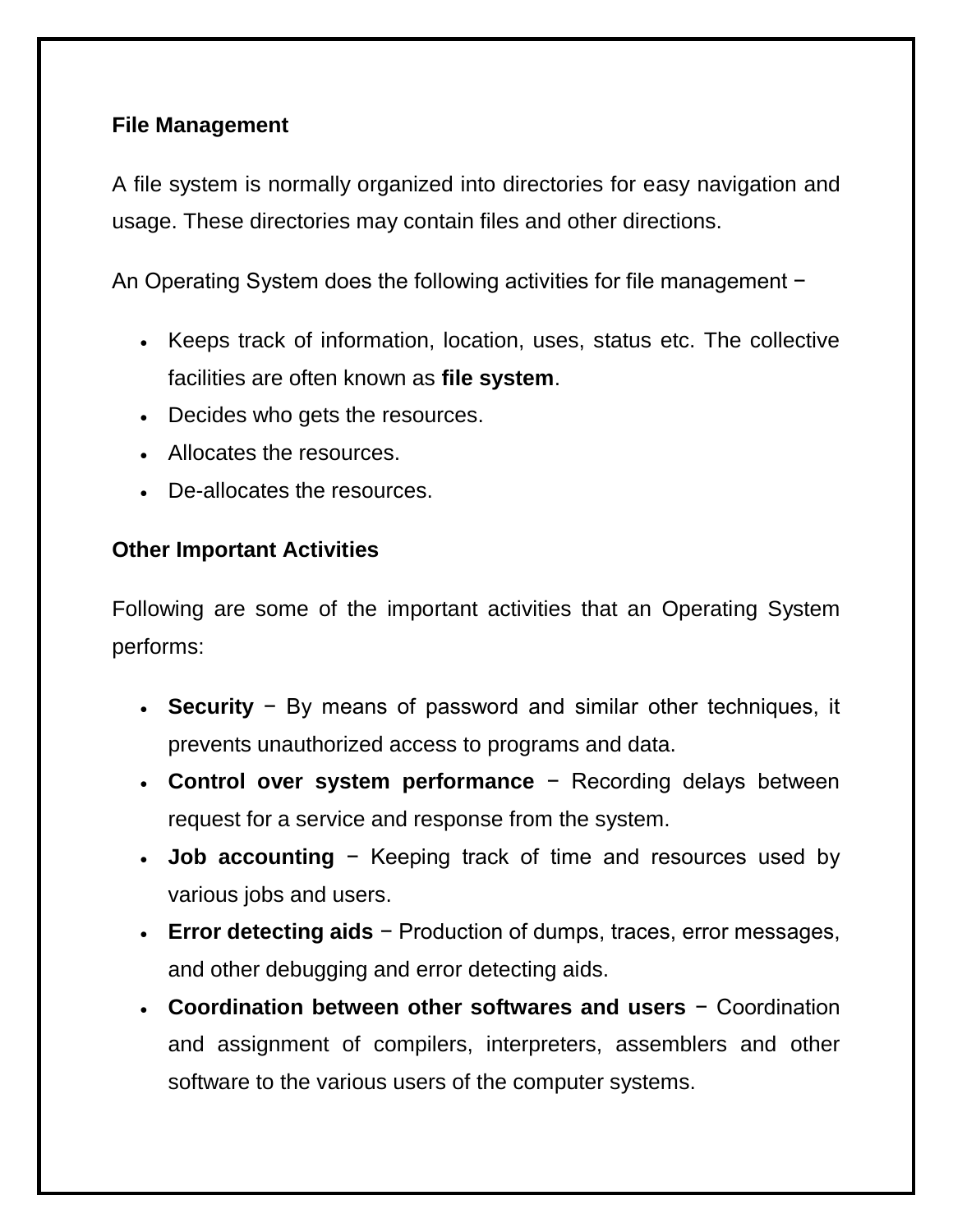#### **File Management**

A file system is normally organized into directories for easy navigation and usage. These directories may contain files and other directions.

An Operating System does the following activities for file management −

- Keeps track of information, location, uses, status etc. The collective facilities are often known as **file system**.
- Decides who gets the resources.
- Allocates the resources.
- De-allocates the resources.

#### **Other Important Activities**

Following are some of the important activities that an Operating System performs:

- **Security** − By means of password and similar other techniques, it prevents unauthorized access to programs and data.
- **Control over system performance** − Recording delays between request for a service and response from the system.
- **Job accounting** − Keeping track of time and resources used by various jobs and users.
- **Error detecting aids** − Production of dumps, traces, error messages, and other debugging and error detecting aids.
- **Coordination between other softwares and users** − Coordination and assignment of compilers, interpreters, assemblers and other software to the various users of the computer systems.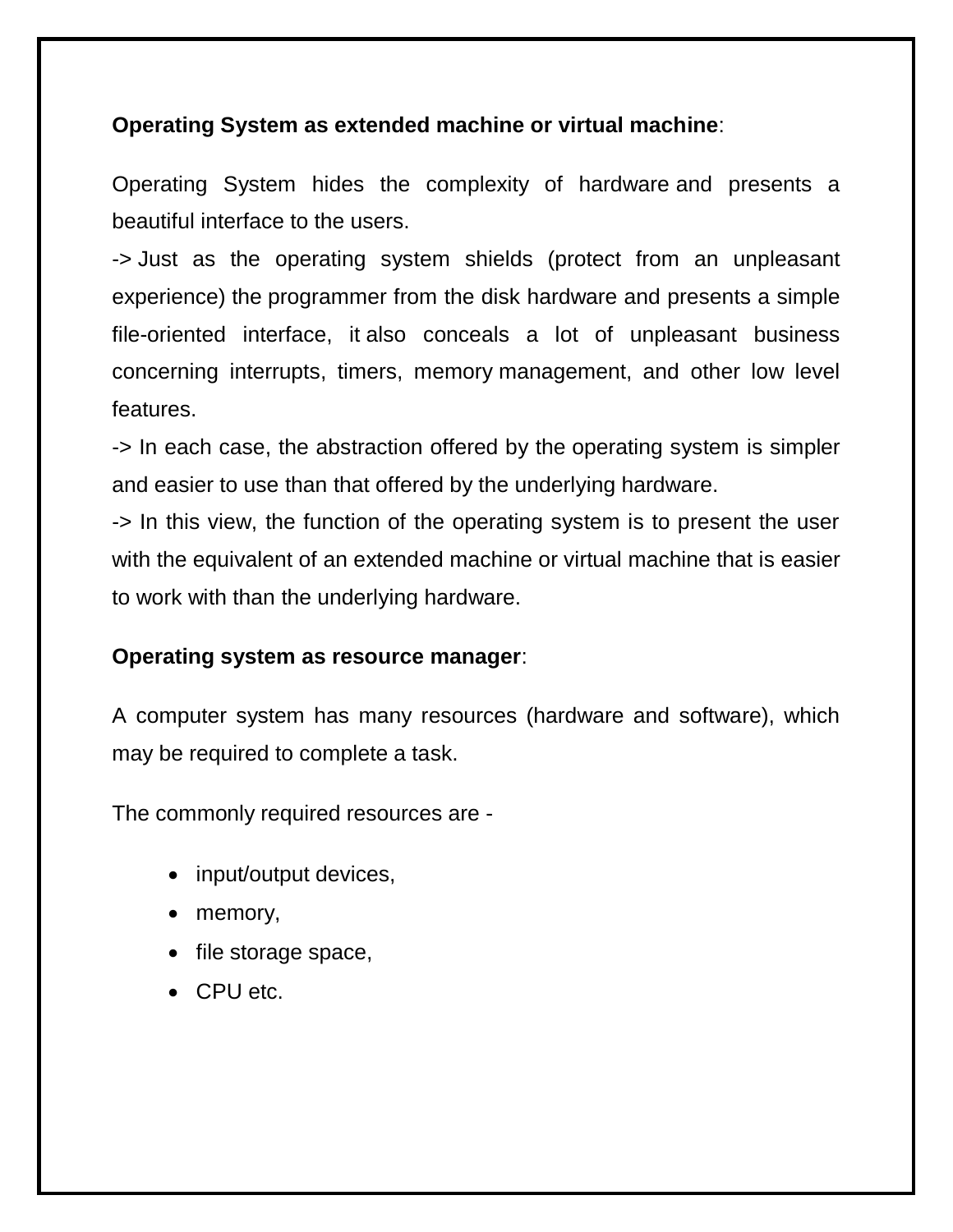#### **Operating System as extended machine or virtual machine**:

Operating System hides the complexity of hardware and presents a beautiful interface to the users.

-> Just as the operating system shields (protect from an unpleasant experience) the programmer from the disk hardware and presents a simple file-oriented interface, it also conceals a lot of unpleasant business concerning interrupts, timers, memory management, and other low level features.

-> In each case, the abstraction offered by the operating system is simpler and easier to use than that offered by the underlying hardware.

-> In this view, the function of the operating system is to present the user with the equivalent of an extended machine or virtual machine that is easier to work with than the underlying hardware.

#### **Operating system as resource manager**:

A computer system has many resources (hardware and software), which may be required to complete a task.

The commonly required resources are -

- input/output devices,
- memory,
- file storage space,
- CPU etc.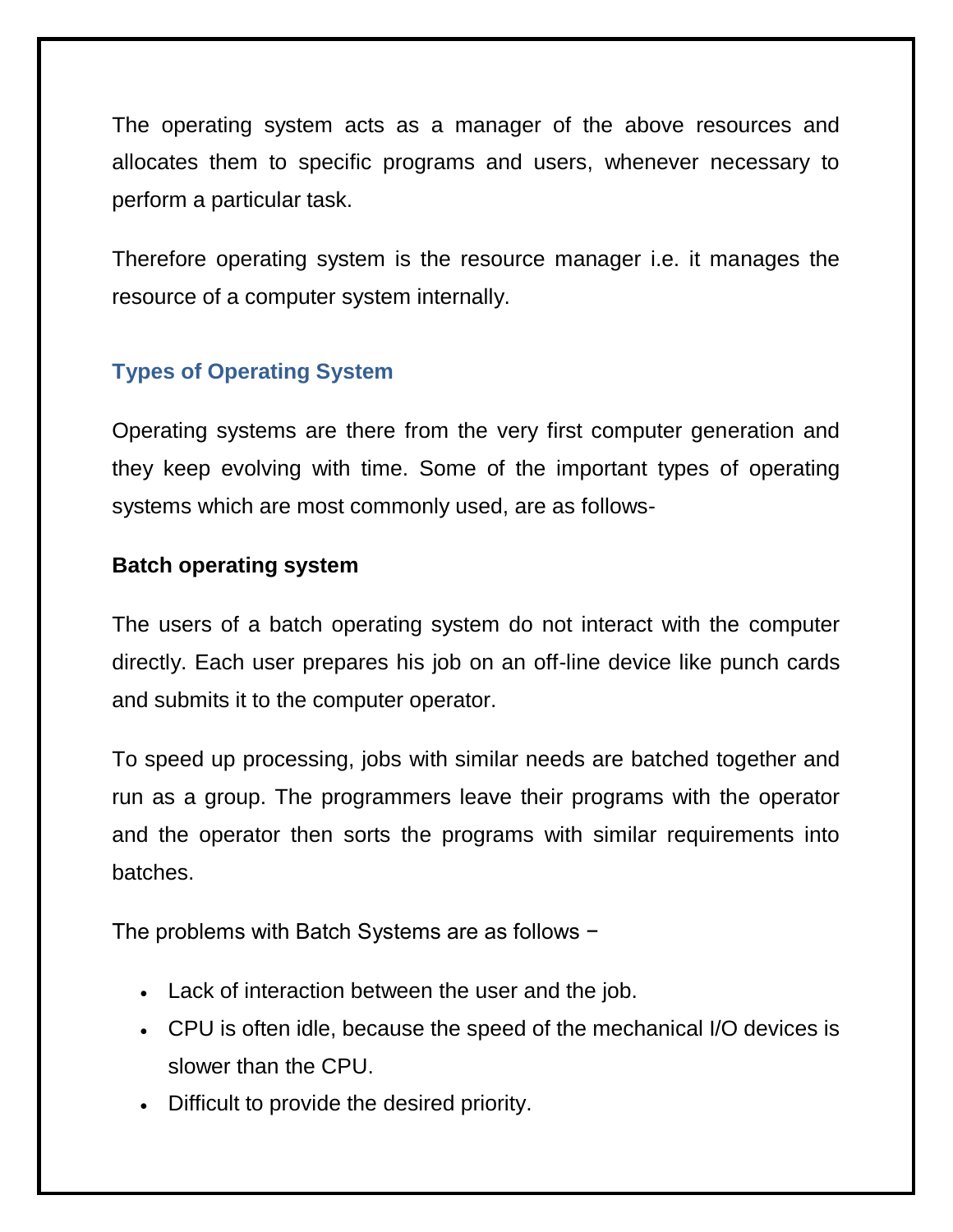The operating system acts as a manager of the above resources and allocates them to specific programs and users, whenever necessary to perform a particular task.

Therefore operating system is the resource manager i.e. it manages the resource of a computer system internally.

#### **Types of Operating System**

Operating systems are there from the very first computer generation and they keep evolving with time. Some of the important types of operating systems which are most commonly used, are as follows-

#### **Batch operating system**

The users of a batch operating system do not interact with the computer directly. Each user prepares his job on an off-line device like punch cards and submits it to the computer operator.

To speed up processing, jobs with similar needs are batched together and run as a group. The programmers leave their programs with the operator and the operator then sorts the programs with similar requirements into batches.

The problems with Batch Systems are as follows −

- Lack of interaction between the user and the job.
- CPU is often idle, because the speed of the mechanical I/O devices is slower than the CPU.
- Difficult to provide the desired priority.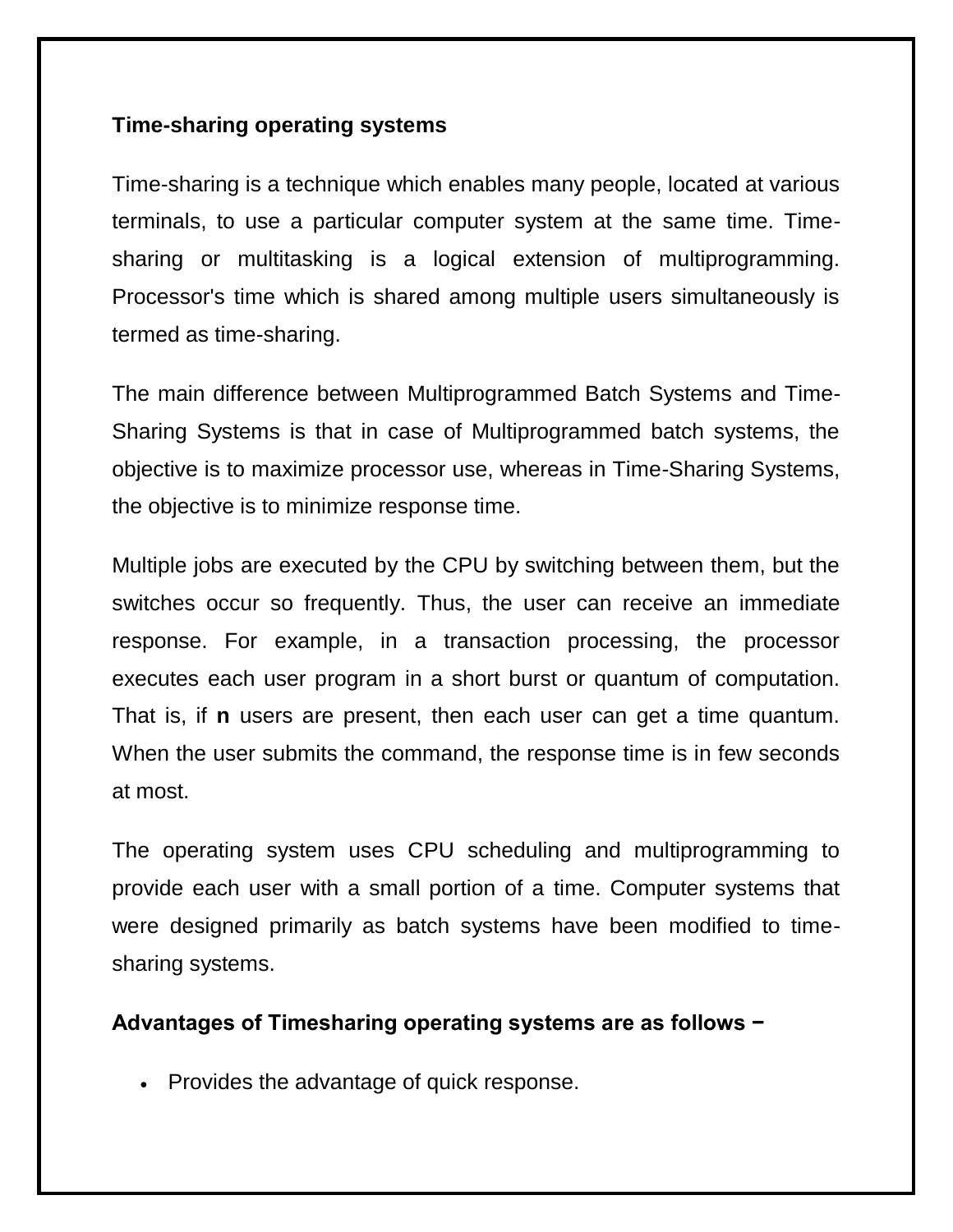#### **Time-sharing operating systems**

Time-sharing is a technique which enables many people, located at various terminals, to use a particular computer system at the same time. Timesharing or multitasking is a logical extension of multiprogramming. Processor's time which is shared among multiple users simultaneously is termed as time-sharing.

The main difference between Multiprogrammed Batch Systems and Time-Sharing Systems is that in case of Multiprogrammed batch systems, the objective is to maximize processor use, whereas in Time-Sharing Systems, the objective is to minimize response time.

Multiple jobs are executed by the CPU by switching between them, but the switches occur so frequently. Thus, the user can receive an immediate response. For example, in a transaction processing, the processor executes each user program in a short burst or quantum of computation. That is, if **n** users are present, then each user can get a time quantum. When the user submits the command, the response time is in few seconds at most.

The operating system uses CPU scheduling and multiprogramming to provide each user with a small portion of a time. Computer systems that were designed primarily as batch systems have been modified to timesharing systems.

**Advantages of Timesharing operating systems are as follows −**

• Provides the advantage of quick response.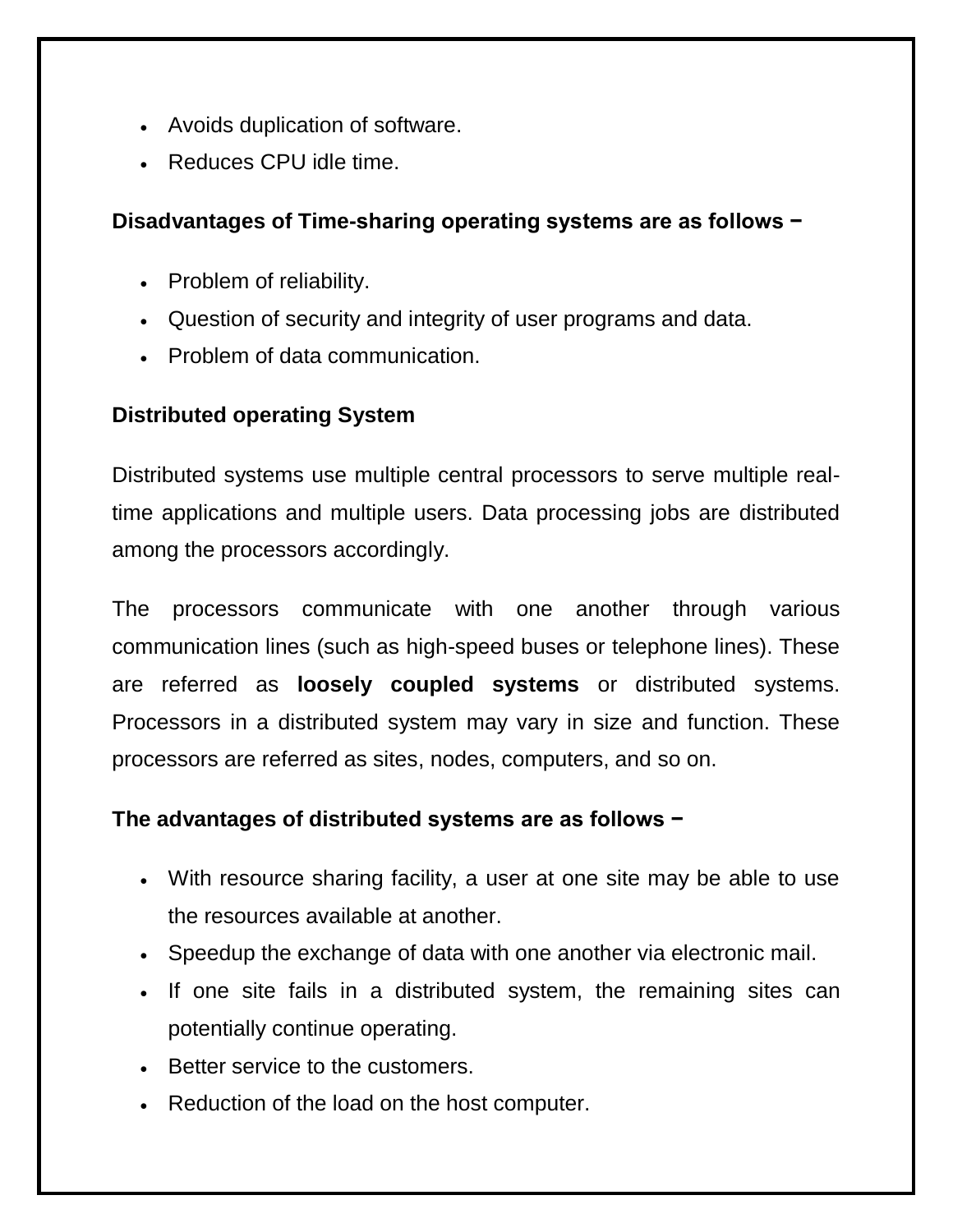- Avoids duplication of software.
- Reduces CPU idle time.

#### **Disadvantages of Time-sharing operating systems are as follows −**

- Problem of reliability.
- Question of security and integrity of user programs and data.
- Problem of data communication.

#### **Distributed operating System**

Distributed systems use multiple central processors to serve multiple realtime applications and multiple users. Data processing jobs are distributed among the processors accordingly.

The processors communicate with one another through various communication lines (such as high-speed buses or telephone lines). These are referred as **loosely coupled systems** or distributed systems. Processors in a distributed system may vary in size and function. These processors are referred as sites, nodes, computers, and so on.

#### **The advantages of distributed systems are as follows −**

- With resource sharing facility, a user at one site may be able to use the resources available at another.
- Speedup the exchange of data with one another via electronic mail.
- If one site fails in a distributed system, the remaining sites can potentially continue operating.
- Better service to the customers.
- Reduction of the load on the host computer.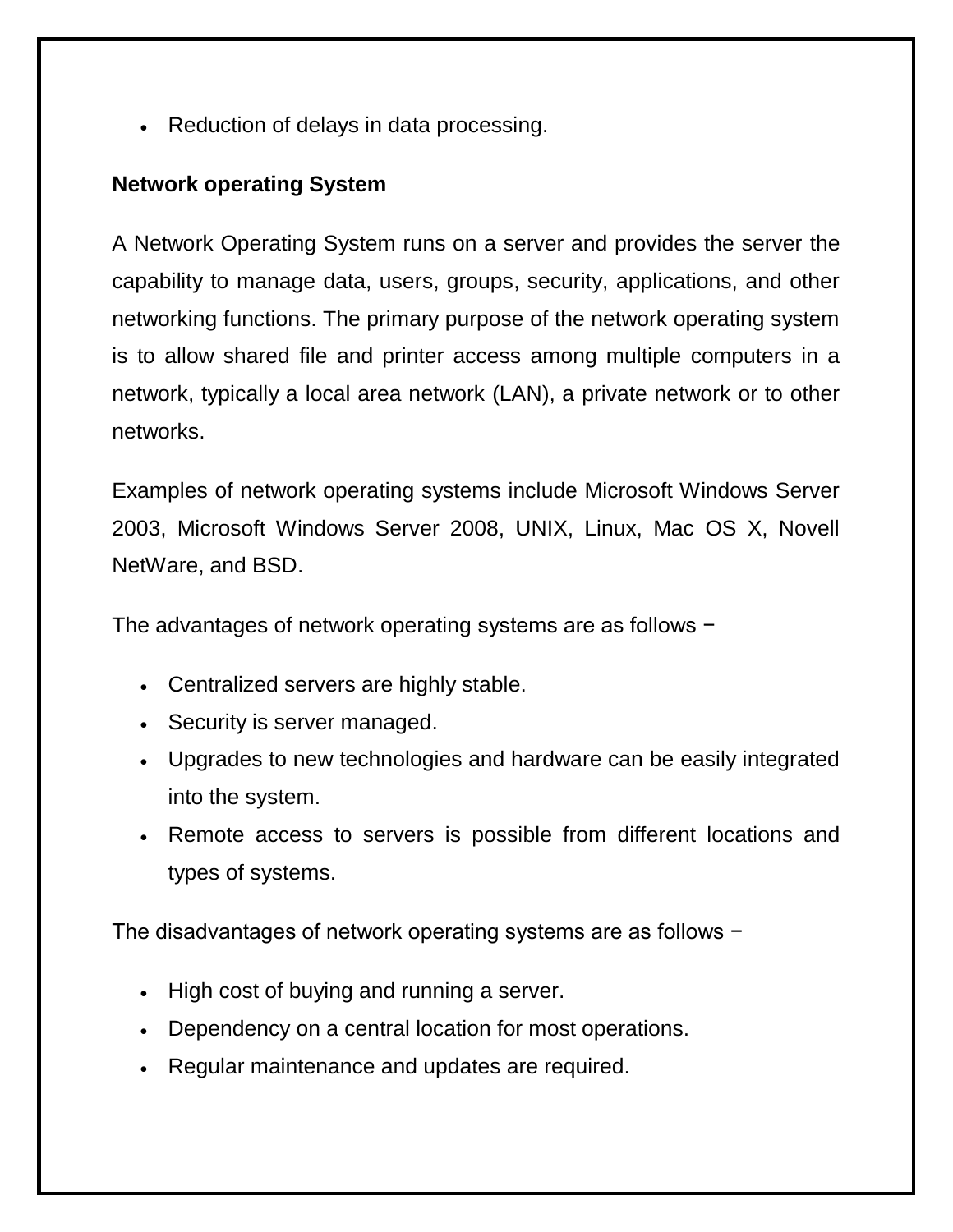• Reduction of delays in data processing.

#### **Network operating System**

A Network Operating System runs on a server and provides the server the capability to manage data, users, groups, security, applications, and other networking functions. The primary purpose of the network operating system is to allow shared file and printer access among multiple computers in a network, typically a local area network (LAN), a private network or to other networks.

Examples of network operating systems include Microsoft Windows Server 2003, Microsoft Windows Server 2008, UNIX, Linux, Mac OS X, Novell NetWare, and BSD.

The advantages of network operating systems are as follows −

- Centralized servers are highly stable.
- Security is server managed.
- Upgrades to new technologies and hardware can be easily integrated into the system.
- Remote access to servers is possible from different locations and types of systems.

The disadvantages of network operating systems are as follows −

- High cost of buying and running a server.
- Dependency on a central location for most operations.
- Regular maintenance and updates are required.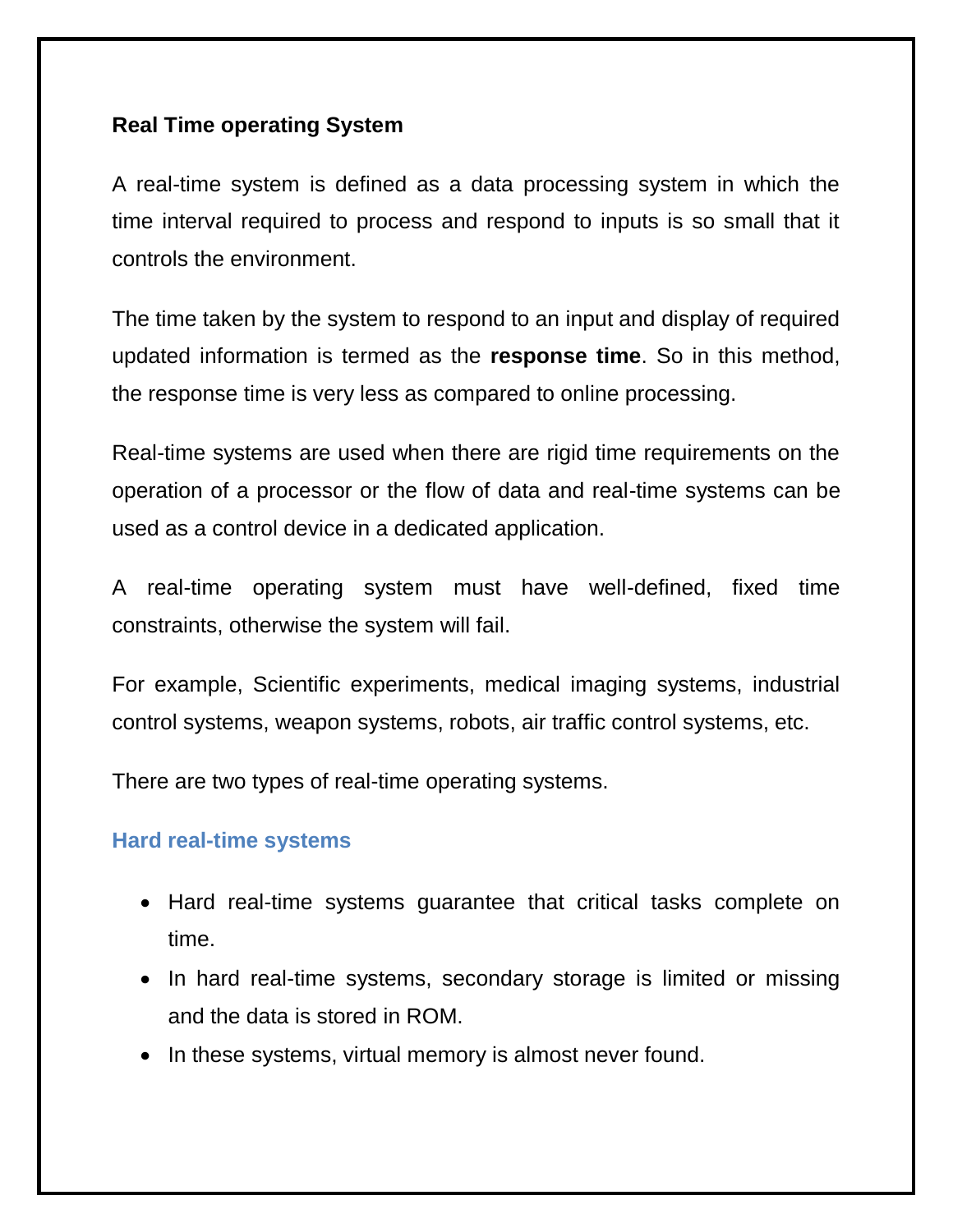#### **Real Time operating System**

A real-time system is defined as a data processing system in which the time interval required to process and respond to inputs is so small that it controls the environment.

The time taken by the system to respond to an input and display of required updated information is termed as the **response time**. So in this method, the response time is very less as compared to online processing.

Real-time systems are used when there are rigid time requirements on the operation of a processor or the flow of data and real-time systems can be used as a control device in a dedicated application.

A real-time operating system must have well-defined, fixed time constraints, otherwise the system will fail.

For example, Scientific experiments, medical imaging systems, industrial control systems, weapon systems, robots, air traffic control systems, etc.

There are two types of real-time operating systems.

#### **Hard real-time systems**

- Hard real-time systems guarantee that critical tasks complete on time.
- In hard real-time systems, secondary storage is limited or missing and the data is stored in ROM.
- In these systems, virtual memory is almost never found.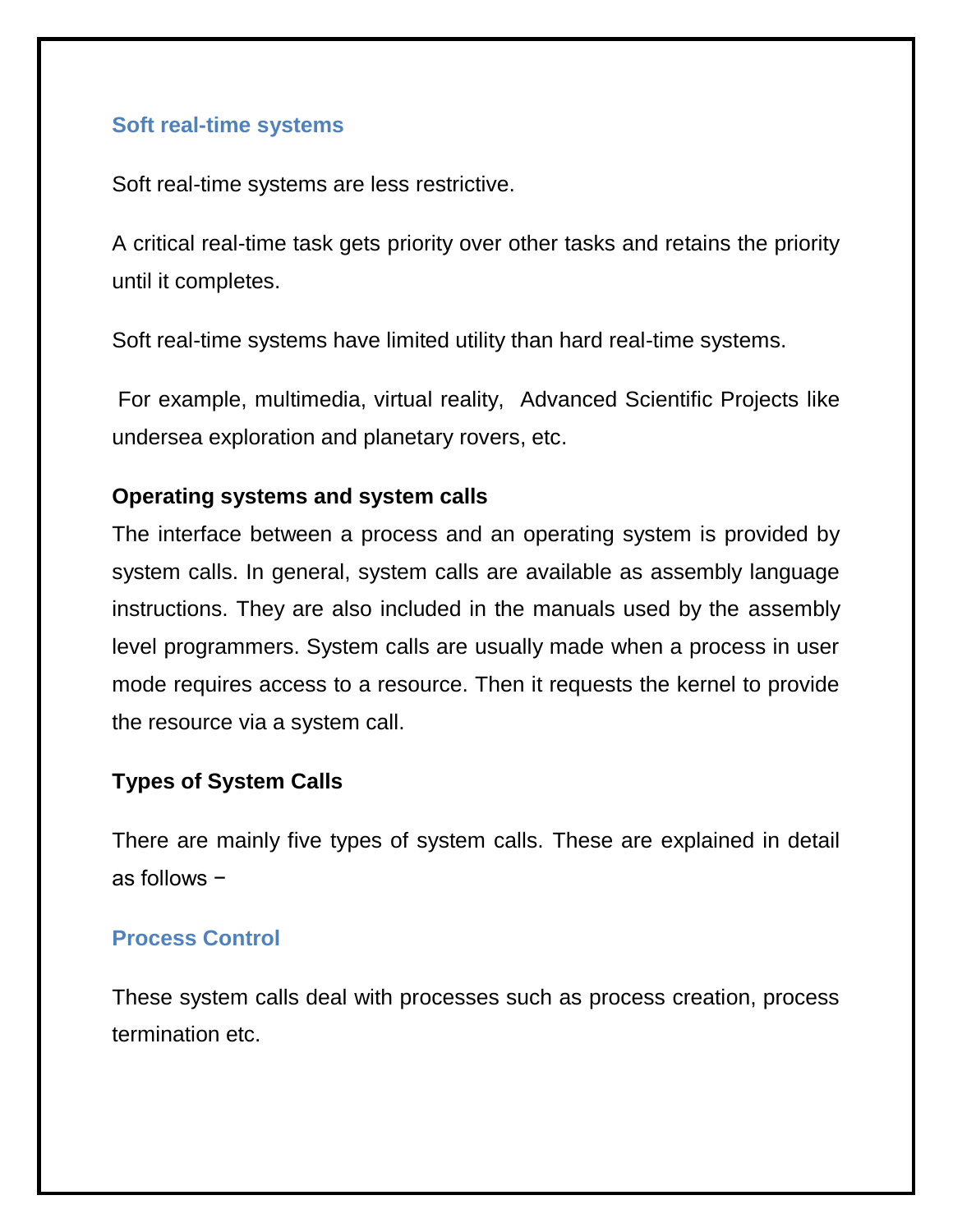#### **Soft real-time systems**

Soft real-time systems are less restrictive.

A critical real-time task gets priority over other tasks and retains the priority until it completes.

Soft real-time systems have limited utility than hard real-time systems.

For example, multimedia, virtual reality, Advanced Scientific Projects like undersea exploration and planetary rovers, etc.

#### **Operating systems and system calls**

The interface between a process and an operating system is provided by system calls. In general, system calls are available as assembly language instructions. They are also included in the manuals used by the assembly level programmers. System calls are usually made when a process in user mode requires access to a resource. Then it requests the kernel to provide the resource via a system call.

#### **Types of System Calls**

There are mainly five types of system calls. These are explained in detail as follows −

#### **Process Control**

These system calls deal with processes such as process creation, process termination etc.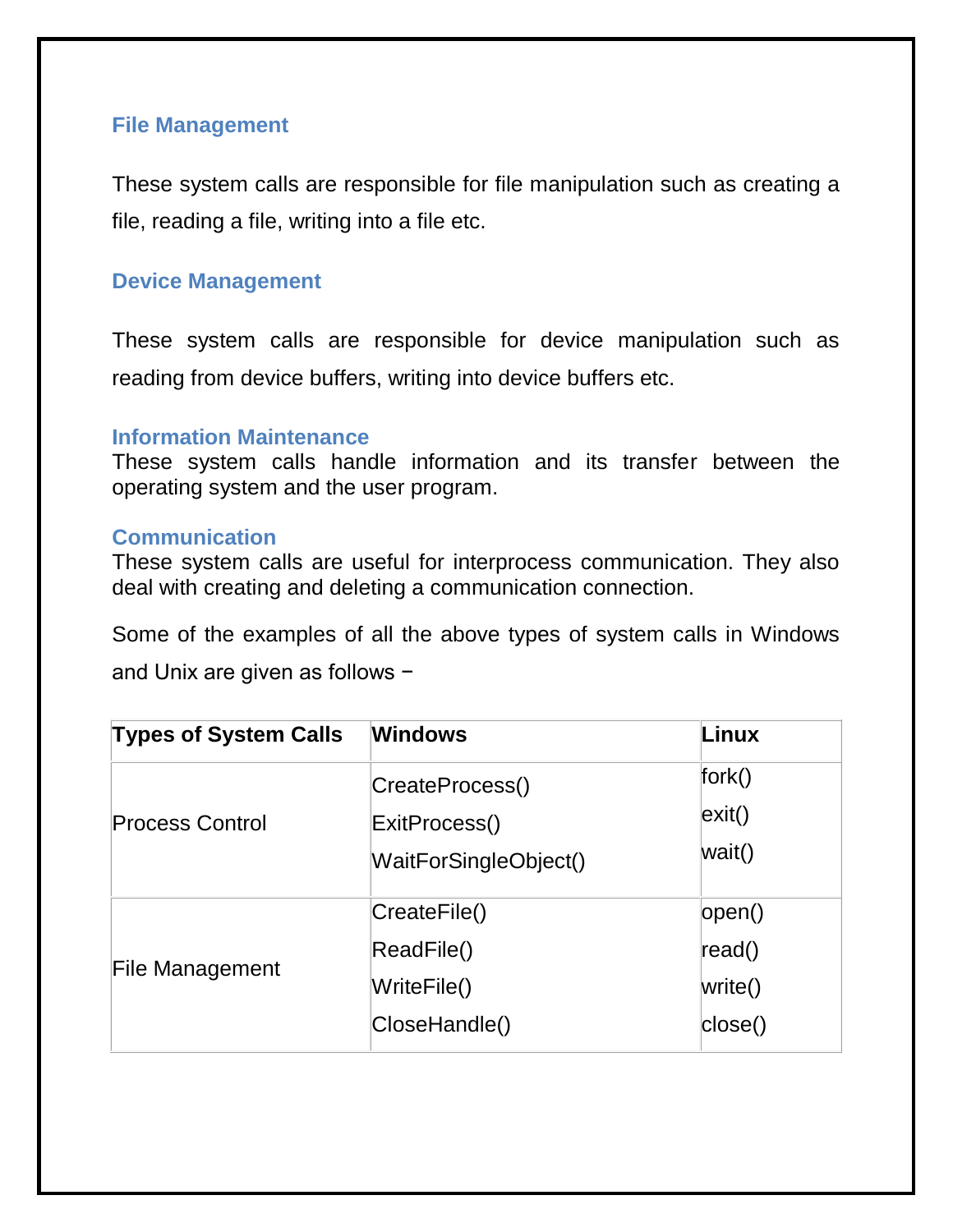#### **File Management**

These system calls are responsible for file manipulation such as creating a file, reading a file, writing into a file etc.

#### **Device Management**

These system calls are responsible for device manipulation such as reading from device buffers, writing into device buffers etc.

#### **Information Maintenance**

These system calls handle information and its transfer between the operating system and the user program.

#### **Communication**

These system calls are useful for interprocess communication. They also deal with creating and deleting a communication connection.

Some of the examples of all the above types of system calls in Windows and Unix are given as follows −

| <b>Types of System Calls</b> | <b>Windows</b>                                             | Linux                                   |
|------------------------------|------------------------------------------------------------|-----------------------------------------|
| <b>Process Control</b>       | CreateProcess()<br>ExitProcess()<br>WaitForSingleObject()  | fork()<br>$\mathsf{exit}()$<br>wait()   |
| <b>File Management</b>       | CreateFile()<br>ReadFile()<br>WriteFile()<br>CloseHandle() | open()<br> read()<br>write()<br>close() |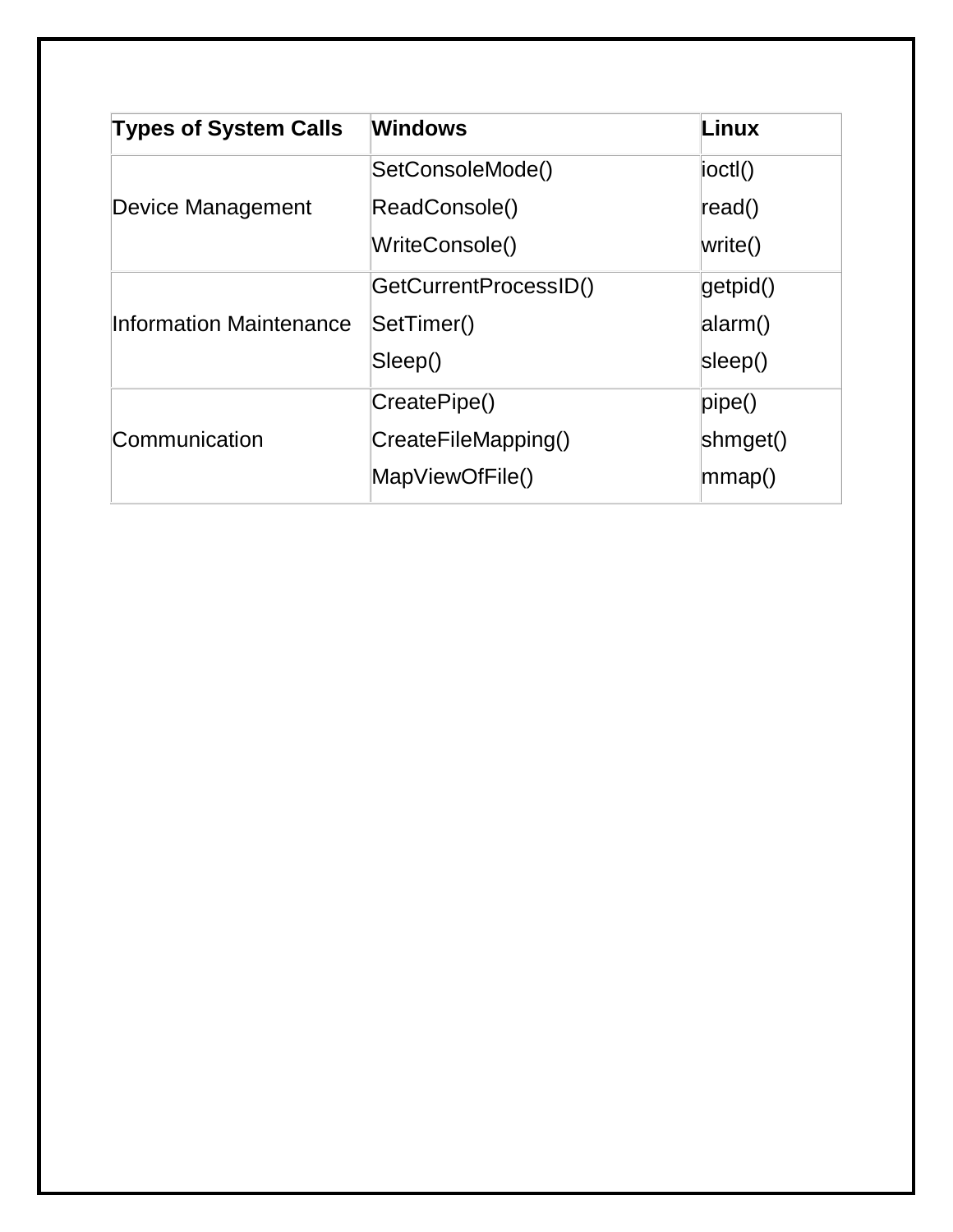| <b>Types of System Calls</b>   | Windows               | Linux    |
|--------------------------------|-----------------------|----------|
|                                | SetConsoleMode()      | ioctl()  |
| Device Management              | ReadConsole()         | read()   |
|                                | WriteConsole()        | write()  |
|                                | GetCurrentProcessID() | getpid() |
| <b>Information Maintenance</b> | SetTimer()            | alarm()  |
|                                | Sleep()               | sleep()  |
|                                | CreatePipe()          | pipe()   |
| Communication                  | CreateFileMapping()   | shmget() |
|                                | MapViewOfFile()       | mmap()   |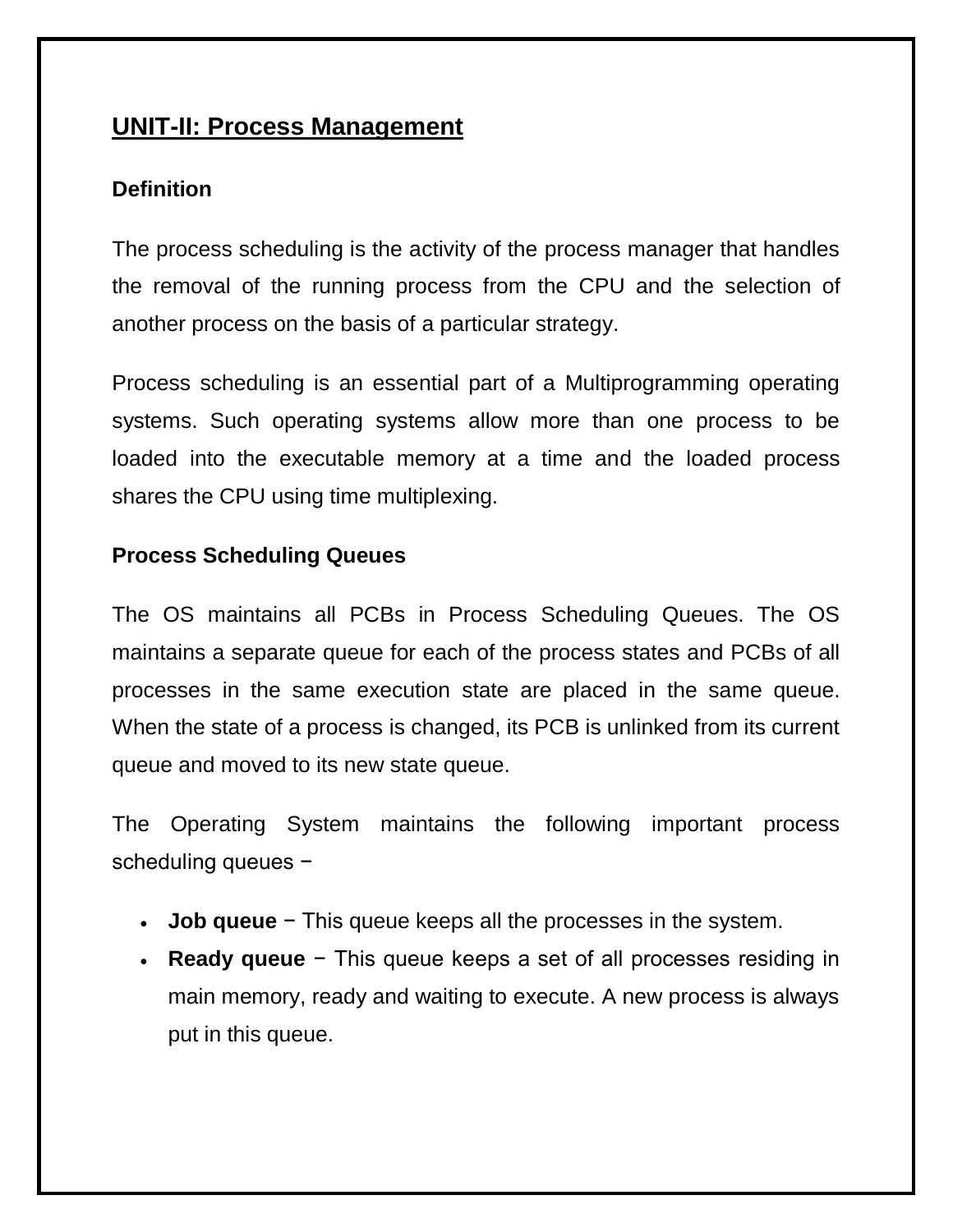## **UNIT-II: Process Management**

#### **Definition**

The process scheduling is the activity of the process manager that handles the removal of the running process from the CPU and the selection of another process on the basis of a particular strategy.

Process scheduling is an essential part of a Multiprogramming operating systems. Such operating systems allow more than one process to be loaded into the executable memory at a time and the loaded process shares the CPU using time multiplexing.

#### **Process Scheduling Queues**

The OS maintains all PCBs in Process Scheduling Queues. The OS maintains a separate queue for each of the process states and PCBs of all processes in the same execution state are placed in the same queue. When the state of a process is changed, its PCB is unlinked from its current queue and moved to its new state queue.

The Operating System maintains the following important process scheduling queues −

- **Job queue** − This queue keeps all the processes in the system.
- **Ready queue** − This queue keeps a set of all processes residing in main memory, ready and waiting to execute. A new process is always put in this queue.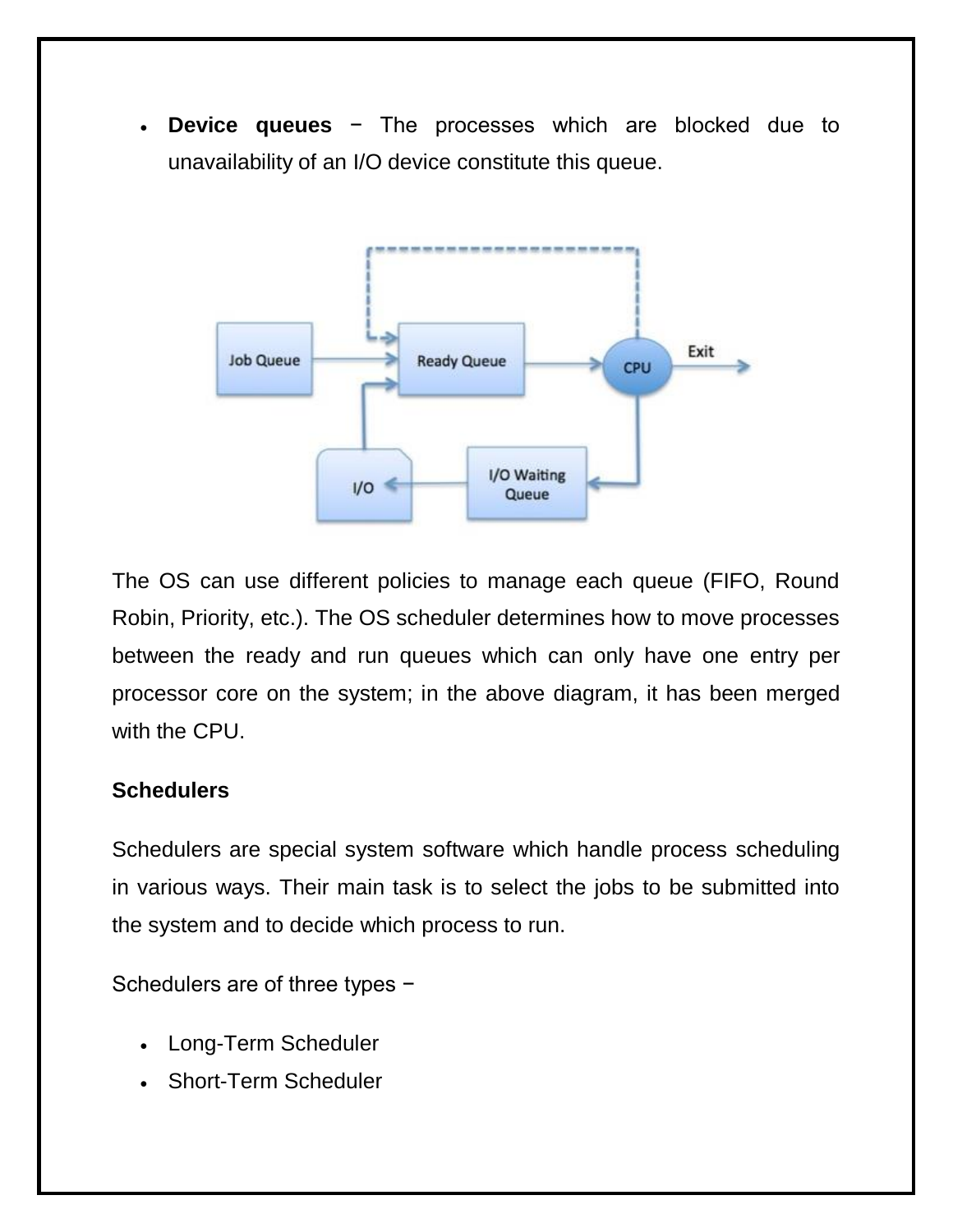**Device queues** − The processes which are blocked due to unavailability of an I/O device constitute this queue.



The OS can use different policies to manage each queue (FIFO, Round Robin, Priority, etc.). The OS scheduler determines how to move processes between the ready and run queues which can only have one entry per processor core on the system; in the above diagram, it has been merged with the CPU.

#### **Schedulers**

Schedulers are special system software which handle process scheduling in various ways. Their main task is to select the jobs to be submitted into the system and to decide which process to run.

Schedulers are of three types −

- Long-Term Scheduler
- Short-Term Scheduler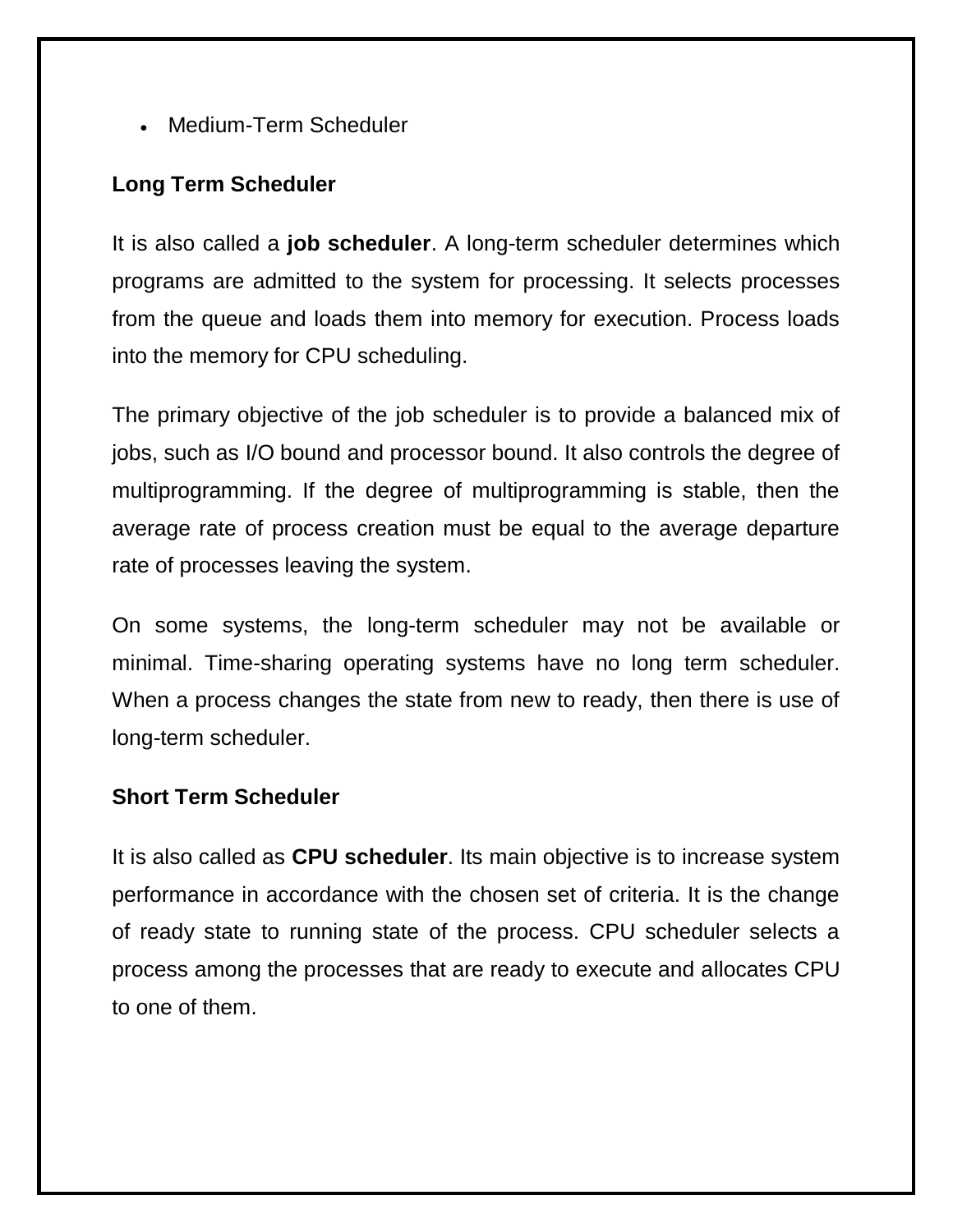Medium-Term Scheduler

#### **Long Term Scheduler**

It is also called a **job scheduler**. A long-term scheduler determines which programs are admitted to the system for processing. It selects processes from the queue and loads them into memory for execution. Process loads into the memory for CPU scheduling.

The primary objective of the job scheduler is to provide a balanced mix of jobs, such as I/O bound and processor bound. It also controls the degree of multiprogramming. If the degree of multiprogramming is stable, then the average rate of process creation must be equal to the average departure rate of processes leaving the system.

On some systems, the long-term scheduler may not be available or minimal. Time-sharing operating systems have no long term scheduler. When a process changes the state from new to ready, then there is use of long-term scheduler.

#### **Short Term Scheduler**

It is also called as **CPU scheduler**. Its main objective is to increase system performance in accordance with the chosen set of criteria. It is the change of ready state to running state of the process. CPU scheduler selects a process among the processes that are ready to execute and allocates CPU to one of them.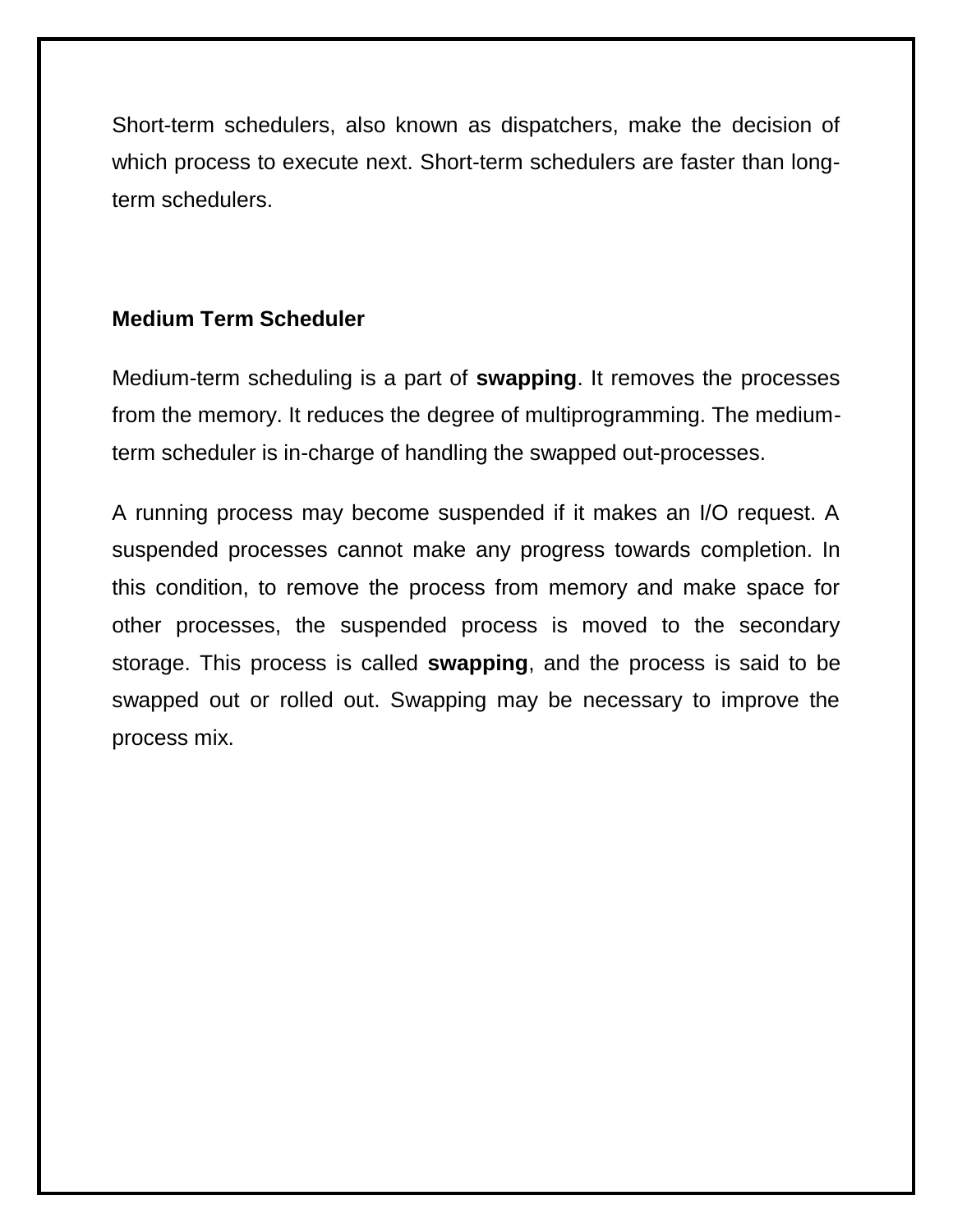Short-term schedulers, also known as dispatchers, make the decision of which process to execute next. Short-term schedulers are faster than longterm schedulers.

#### **Medium Term Scheduler**

Medium-term scheduling is a part of **swapping**. It removes the processes from the memory. It reduces the degree of multiprogramming. The mediumterm scheduler is in-charge of handling the swapped out-processes.

A running process may become suspended if it makes an I/O request. A suspended processes cannot make any progress towards completion. In this condition, to remove the process from memory and make space for other processes, the suspended process is moved to the secondary storage. This process is called **swapping**, and the process is said to be swapped out or rolled out. Swapping may be necessary to improve the process mix.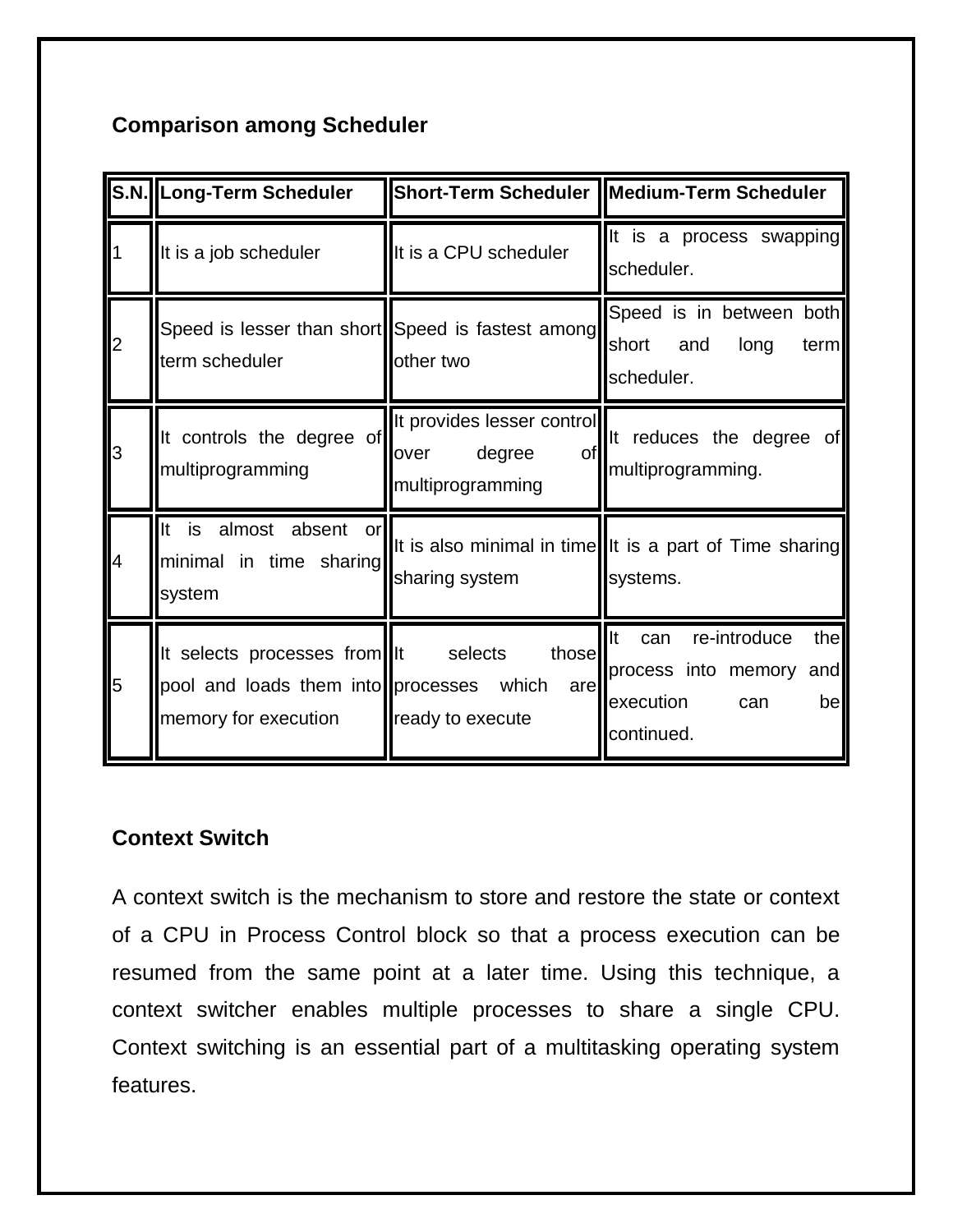#### **Comparison among Scheduler**

|                | S.N. Long-Term Scheduler                                                                      |                                                                        | Short-Term Scheduler   Medium-Term Scheduler                                                          |
|----------------|-----------------------------------------------------------------------------------------------|------------------------------------------------------------------------|-------------------------------------------------------------------------------------------------------|
|                | It is a job scheduler                                                                         | It is a CPU scheduler                                                  | It is a process swapping<br>scheduler.                                                                |
| $\overline{2}$ | Speed is lesser than short Speed is fastest among<br>term scheduler                           | other two                                                              | Speed is in between both<br>short<br>long<br>and<br>term<br>scheduler.                                |
| 3              | It controls the degree of<br>multiprogramming                                                 | It provides lesser control<br>degree<br>of<br>over<br>multiprogramming | It reduces the degree of<br>multiprogramming.                                                         |
| $\overline{4}$ | It<br>is almost absent or<br>minimal in time sharing<br>system                                | sharing system                                                         | It is also minimal in time It is a part of Time sharing<br>systems.                                   |
| 5              | It selects processes from<br>pool and loads them into processes which<br>memory for execution | selects<br>those<br>are<br>ready to execute                            | It<br>thel<br>re-introduce<br>can<br>process into memory and<br>execution<br>bel<br>can<br>continued. |

#### **Context Switch**

A context switch is the mechanism to store and restore the state or context of a CPU in Process Control block so that a process execution can be resumed from the same point at a later time. Using this technique, a context switcher enables multiple processes to share a single CPU. Context switching is an essential part of a multitasking operating system features.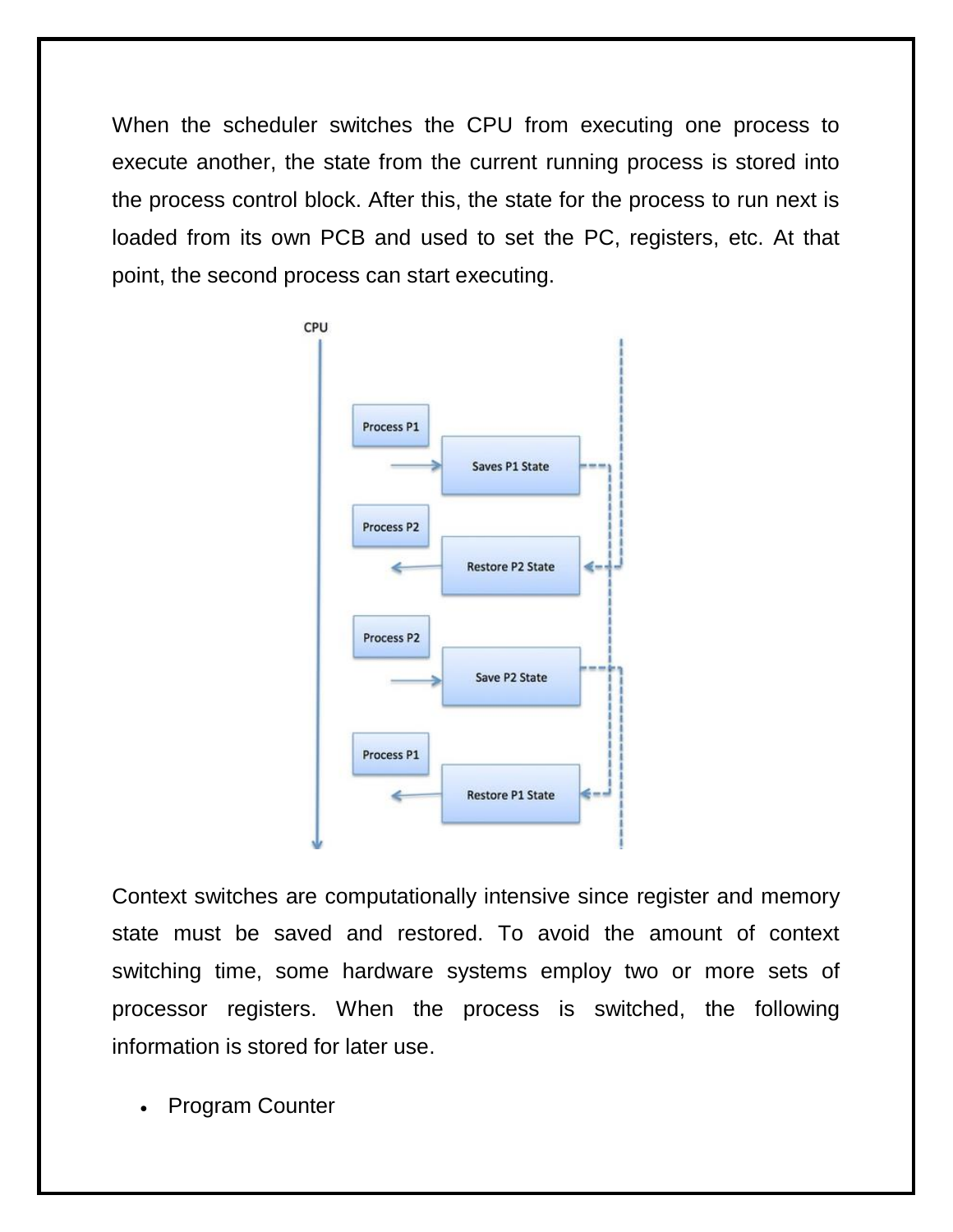When the scheduler switches the CPU from executing one process to execute another, the state from the current running process is stored into the process control block. After this, the state for the process to run next is loaded from its own PCB and used to set the PC, registers, etc. At that point, the second process can start executing.



Context switches are computationally intensive since register and memory state must be saved and restored. To avoid the amount of context switching time, some hardware systems employ two or more sets of processor registers. When the process is switched, the following information is stored for later use.

Program Counter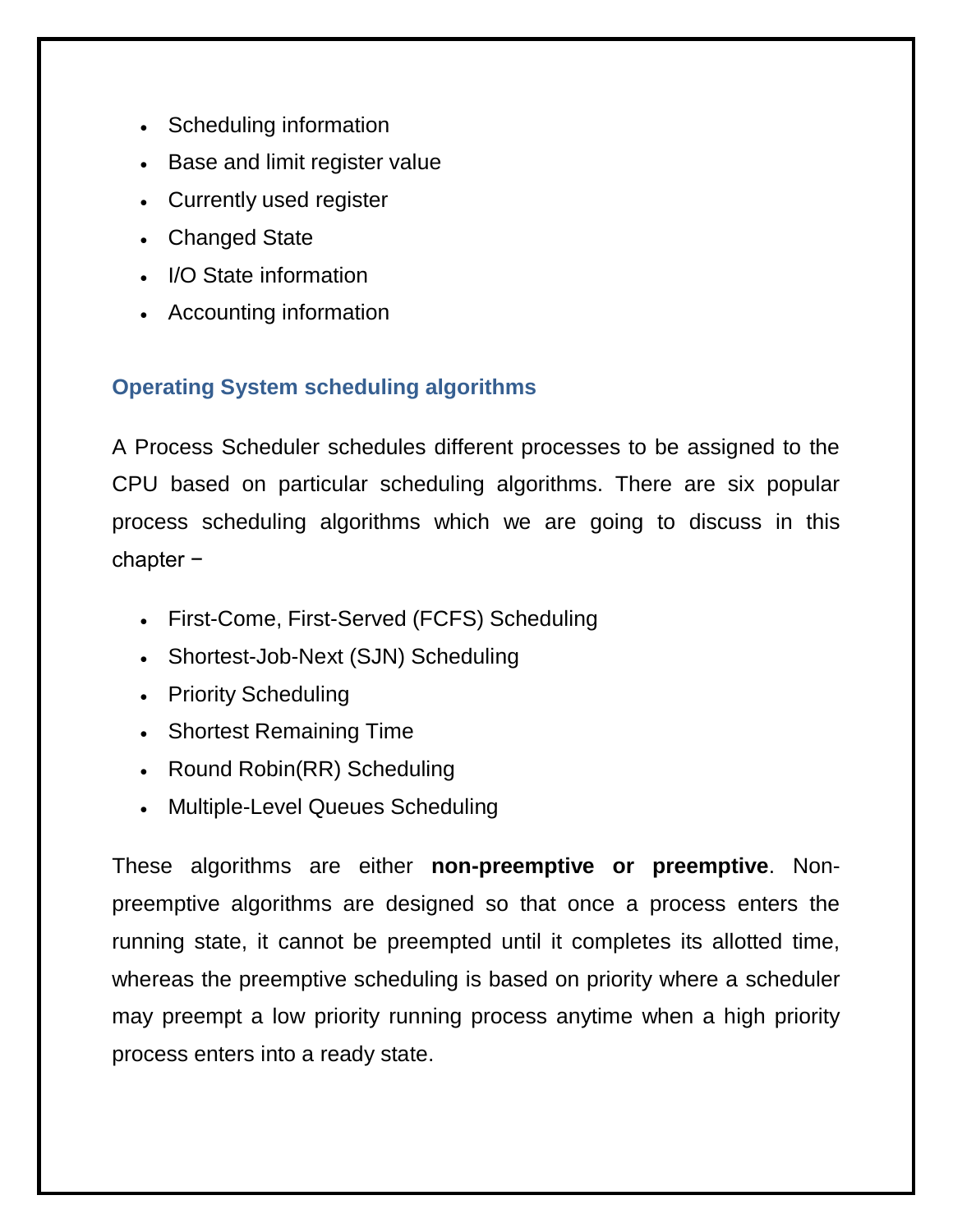- Scheduling information
- Base and limit register value
- Currently used register
- Changed State
- I/O State information
- Accounting information

#### **Operating System scheduling algorithms**

A Process Scheduler schedules different processes to be assigned to the CPU based on particular scheduling algorithms. There are six popular process scheduling algorithms which we are going to discuss in this chapter −

- First-Come, First-Served (FCFS) Scheduling
- Shortest-Job-Next (SJN) Scheduling
- Priority Scheduling
- Shortest Remaining Time
- Round Robin(RR) Scheduling
- Multiple-Level Queues Scheduling

These algorithms are either **non-preemptive or preemptive**. Nonpreemptive algorithms are designed so that once a process enters the running state, it cannot be preempted until it completes its allotted time, whereas the preemptive scheduling is based on priority where a scheduler may preempt a low priority running process anytime when a high priority process enters into a ready state.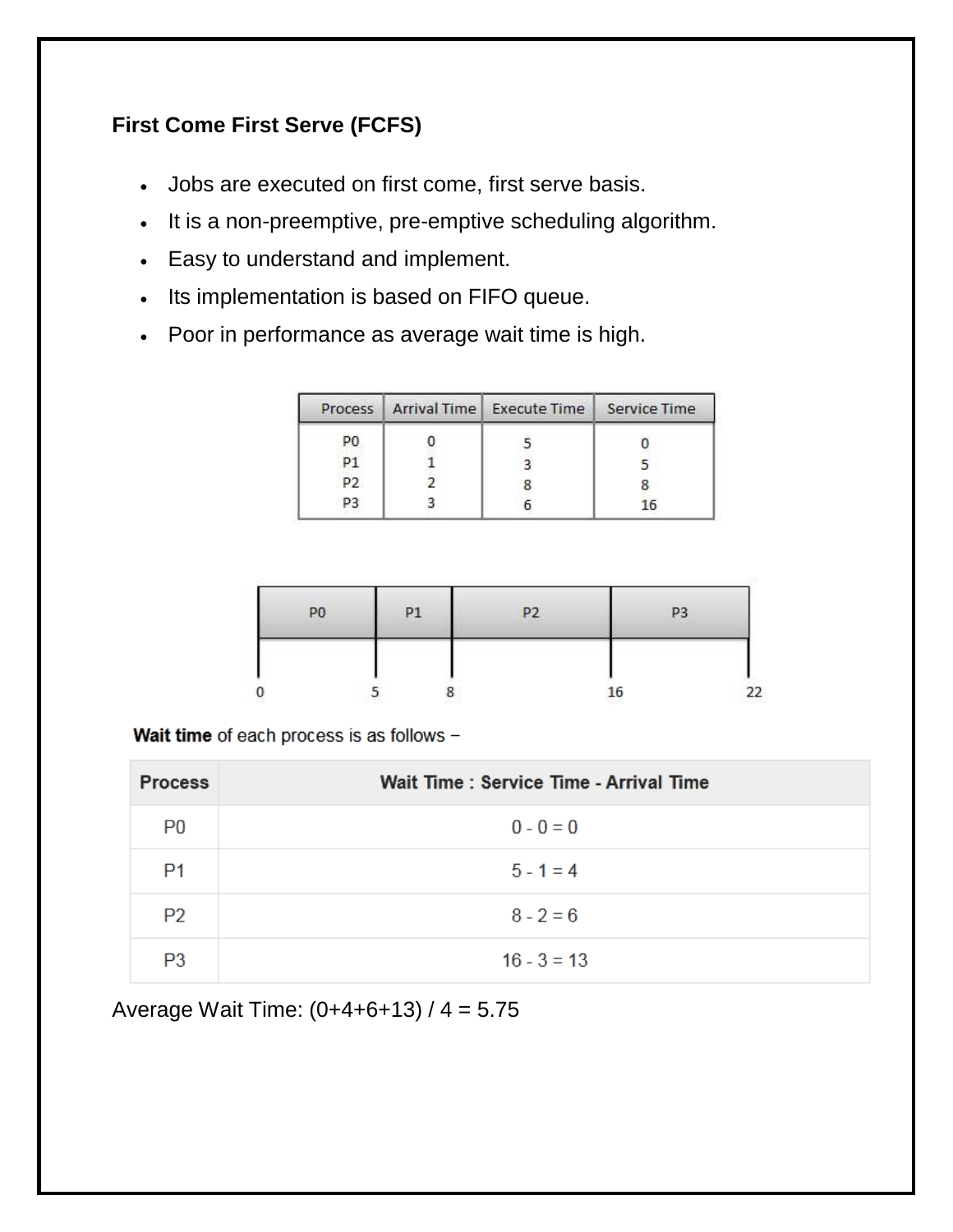#### **First Come First Serve (FCFS)**

- Jobs are executed on first come, first serve basis.
- It is a non-preemptive, pre-emptive scheduling algorithm.
- Easy to understand and implement.
- Its implementation is based on FIFO queue.
- Poor in performance as average wait time is high.

|                | Process   Arrival Time   Execute Time | Service Time |
|----------------|---------------------------------------|--------------|
| P0.            |                                       |              |
| P1             |                                       |              |
| P <sub>2</sub> |                                       |              |
| DЗ             |                                       |              |

| DO | ansv | P1 | P <sub>2</sub> | P <sub>3</sub><br><b>STATISTICS</b> |  |
|----|------|----|----------------|-------------------------------------|--|
|    |      |    |                |                                     |  |
| C  |      |    |                |                                     |  |

Wait time of each process is as follows -

| <b>Process</b> | Wait Time: Service Time - Arrival Time |
|----------------|----------------------------------------|
| P <sub>0</sub> | $0 - 0 = 0$                            |
| P <sub>1</sub> | $5 - 1 = 4$                            |
| P <sub>2</sub> | $8 - 2 = 6$                            |
| P <sub>3</sub> | $16 - 3 = 13$                          |

Average Wait Time: (0+4+6+13) / 4 = 5.75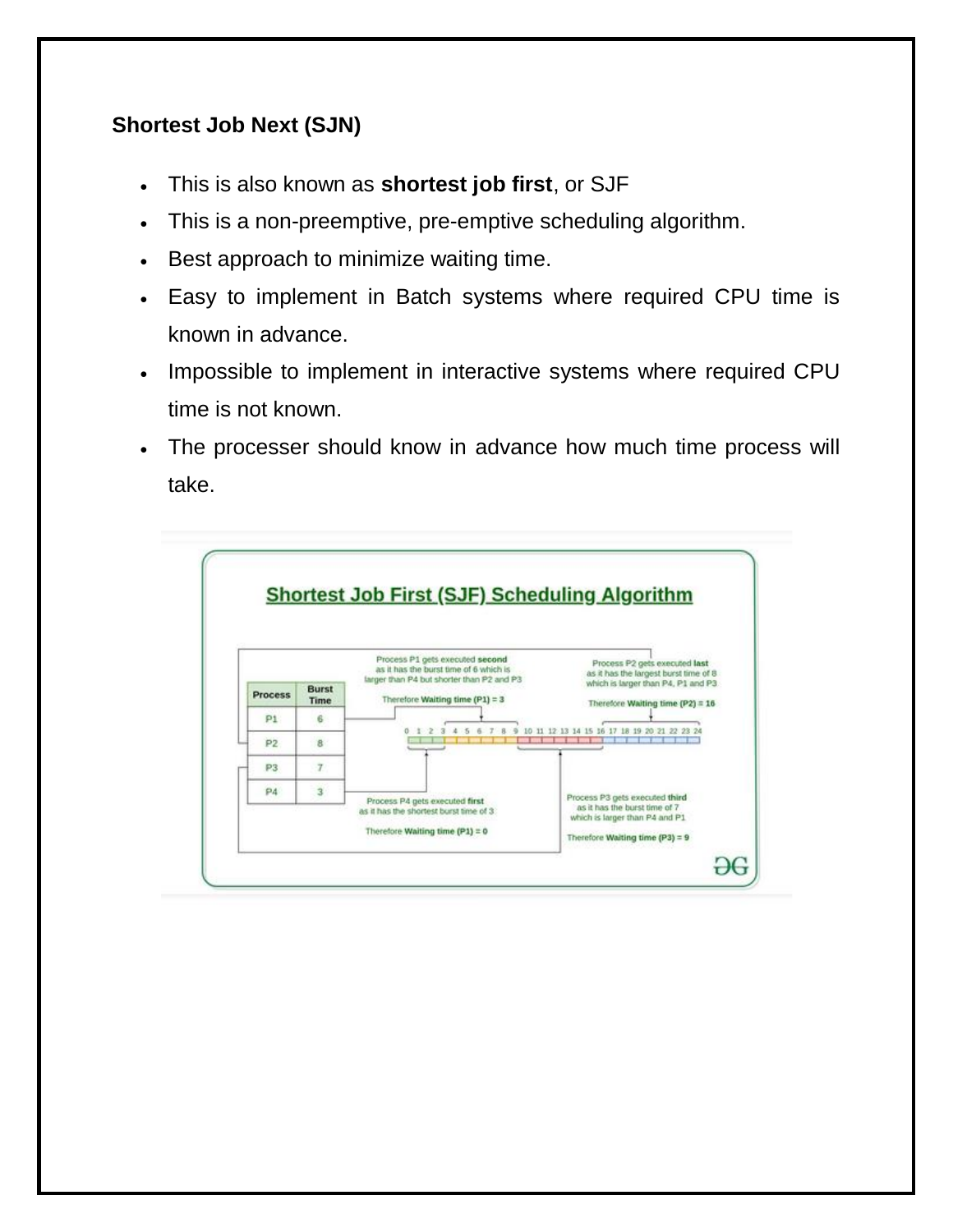#### **Shortest Job Next (SJN)**

- This is also known as **shortest job first**, or SJF
- This is a non-preemptive, pre-emptive scheduling algorithm.
- Best approach to minimize waiting time.
- Easy to implement in Batch systems where required CPU time is known in advance.
- Impossible to implement in interactive systems where required CPU time is not known.
- The processer should know in advance how much time process will take.

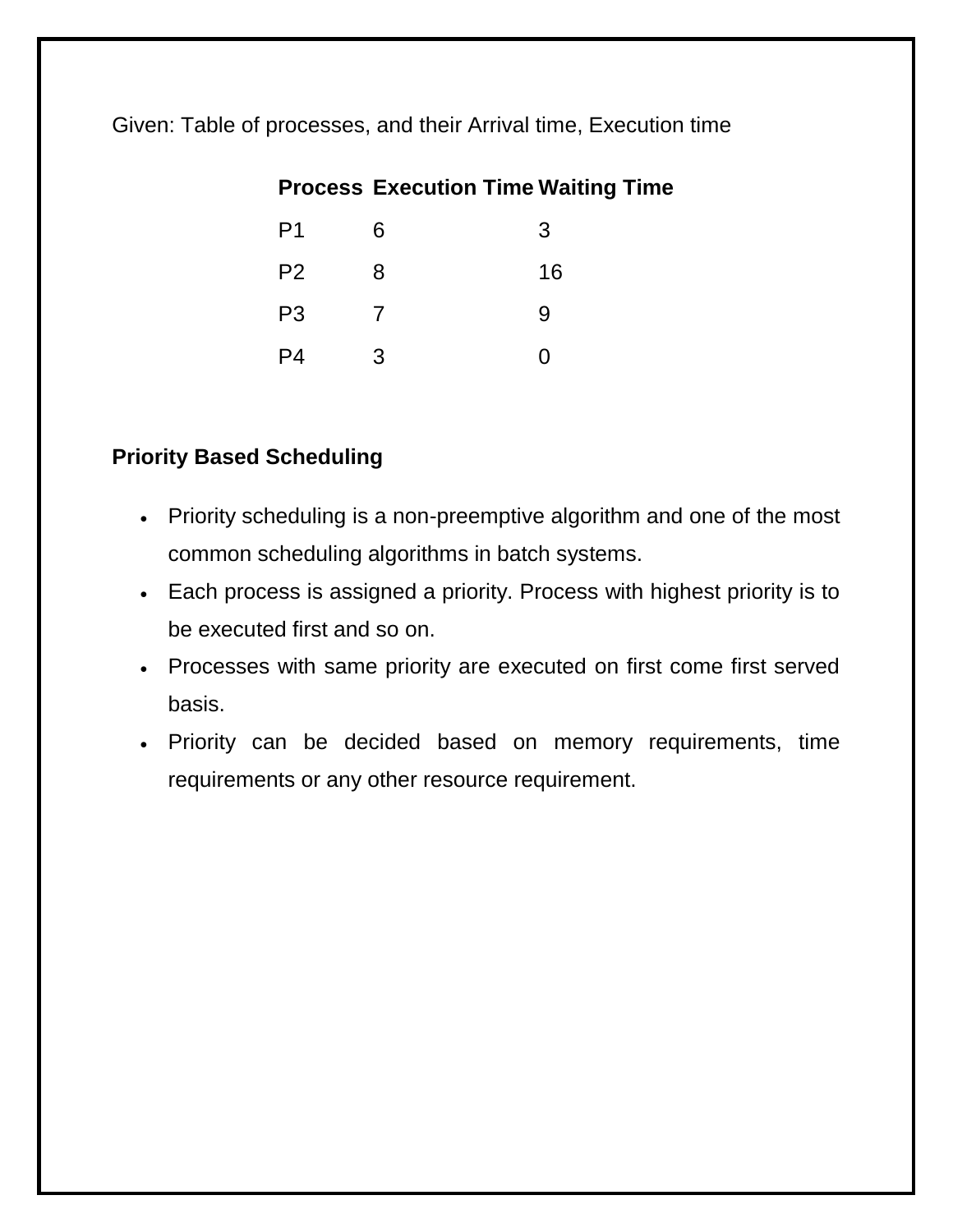Given: Table of processes, and their Arrival time, Execution time

|  | <b>Process Execution Time Waiting Time</b> |  |  |  |
|--|--------------------------------------------|--|--|--|
|--|--------------------------------------------|--|--|--|

| P <sub>1</sub> | 6 | 3  |
|----------------|---|----|
| P <sub>2</sub> | 8 | 16 |
| P <sub>3</sub> | 7 | 9  |
| P <sub>4</sub> | 3 | 0  |

#### **Priority Based Scheduling**

- Priority scheduling is a non-preemptive algorithm and one of the most common scheduling algorithms in batch systems.
- Each process is assigned a priority. Process with highest priority is to be executed first and so on.
- Processes with same priority are executed on first come first served basis.
- Priority can be decided based on memory requirements, time requirements or any other resource requirement.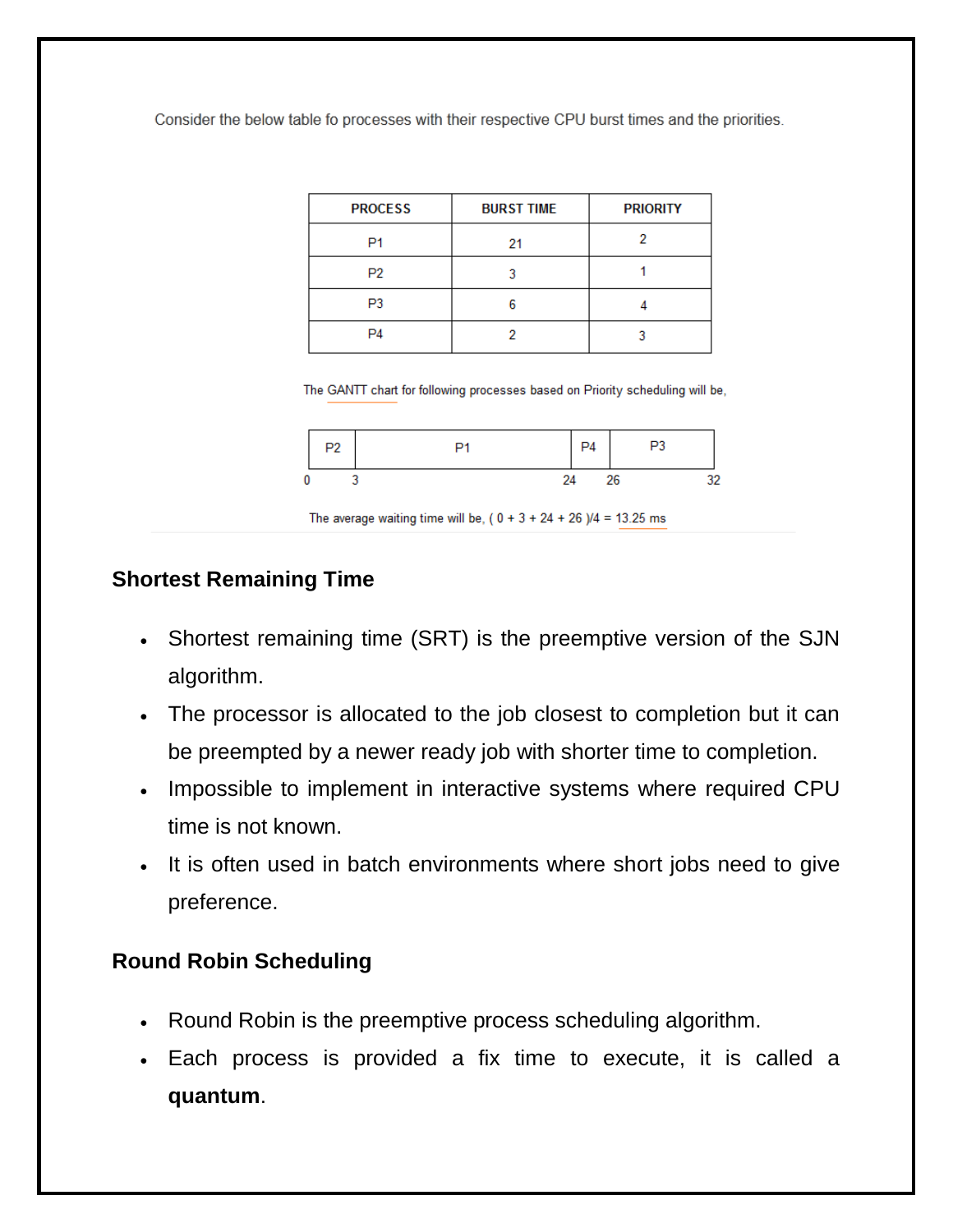Consider the below table fo processes with their respective CPU burst times and the priorities.

| <b>PROCESS</b> | <b>BURST TIME</b> | <b>PRIORITY</b> |
|----------------|-------------------|-----------------|
| P <sub>1</sub> | 21                |                 |
| P <sub>2</sub> |                   |                 |
| P <sub>3</sub> |                   |                 |
| P <sub>4</sub> |                   |                 |

The GANTT chart for following processes based on Priority scheduling will be,



The average waiting time will be,  $(0 + 3 + 24 + 26)/4 = 13.25$  ms

#### **Shortest Remaining Time**

- Shortest remaining time (SRT) is the preemptive version of the SJN algorithm.
- The processor is allocated to the job closest to completion but it can be preempted by a newer ready job with shorter time to completion.
- Impossible to implement in interactive systems where required CPU time is not known.
- It is often used in batch environments where short jobs need to give preference.

#### **Round Robin Scheduling**

- Round Robin is the preemptive process scheduling algorithm.
- Each process is provided a fix time to execute, it is called a **quantum**.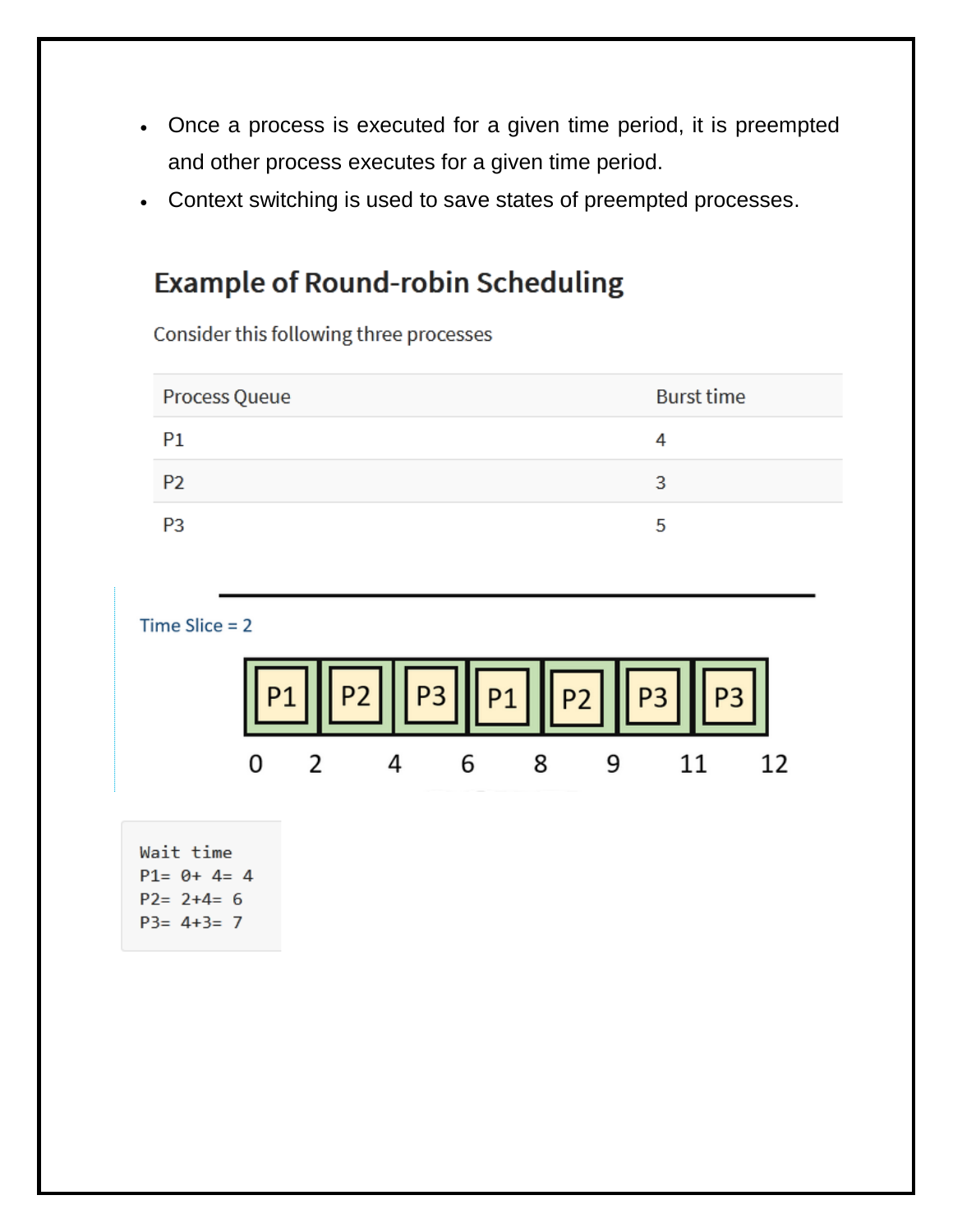- Once a process is executed for a given time period, it is preempted and other process executes for a given time period.
- Context switching is used to save states of preempted processes.

# **Example of Round-robin Scheduling**

Consider this following three processes

| Process Queue  | <b>Burst time</b> |
|----------------|-------------------|
| P <sub>1</sub> |                   |
| P <sub>2</sub> | 3                 |
| P <sub>3</sub> | ь                 |



Wait time  $P1 = 0 + 4 = 4$  $P2 = 2 + 4 = 6$  $P3 = 4 + 3 = 7$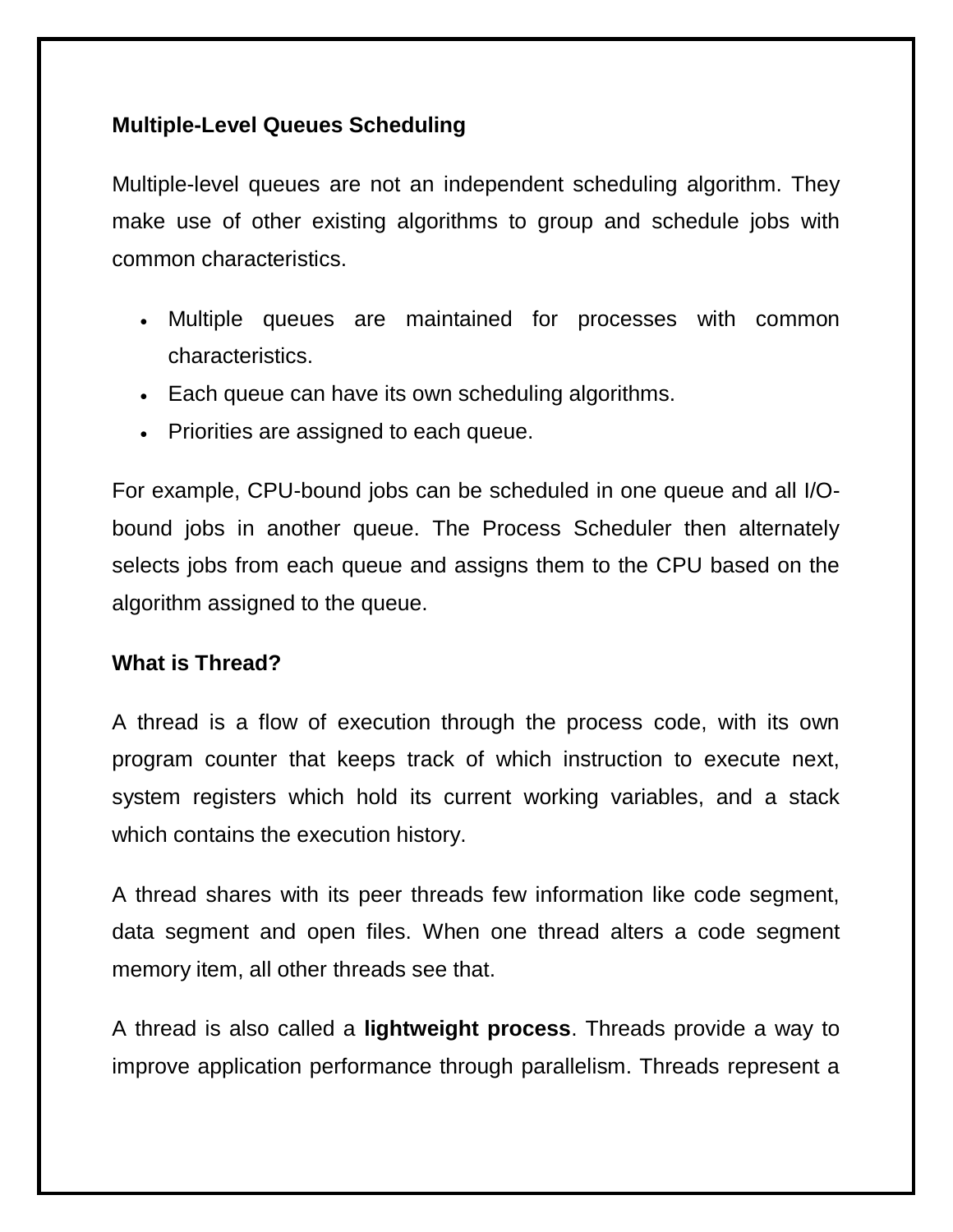#### **Multiple-Level Queues Scheduling**

Multiple-level queues are not an independent scheduling algorithm. They make use of other existing algorithms to group and schedule jobs with common characteristics.

- Multiple queues are maintained for processes with common characteristics.
- Each queue can have its own scheduling algorithms.
- Priorities are assigned to each queue.

For example, CPU-bound jobs can be scheduled in one queue and all I/Obound jobs in another queue. The Process Scheduler then alternately selects jobs from each queue and assigns them to the CPU based on the algorithm assigned to the queue.

#### **What is Thread?**

A thread is a flow of execution through the process code, with its own program counter that keeps track of which instruction to execute next, system registers which hold its current working variables, and a stack which contains the execution history.

A thread shares with its peer threads few information like code segment, data segment and open files. When one thread alters a code segment memory item, all other threads see that.

A thread is also called a **lightweight process**. Threads provide a way to improve application performance through parallelism. Threads represent a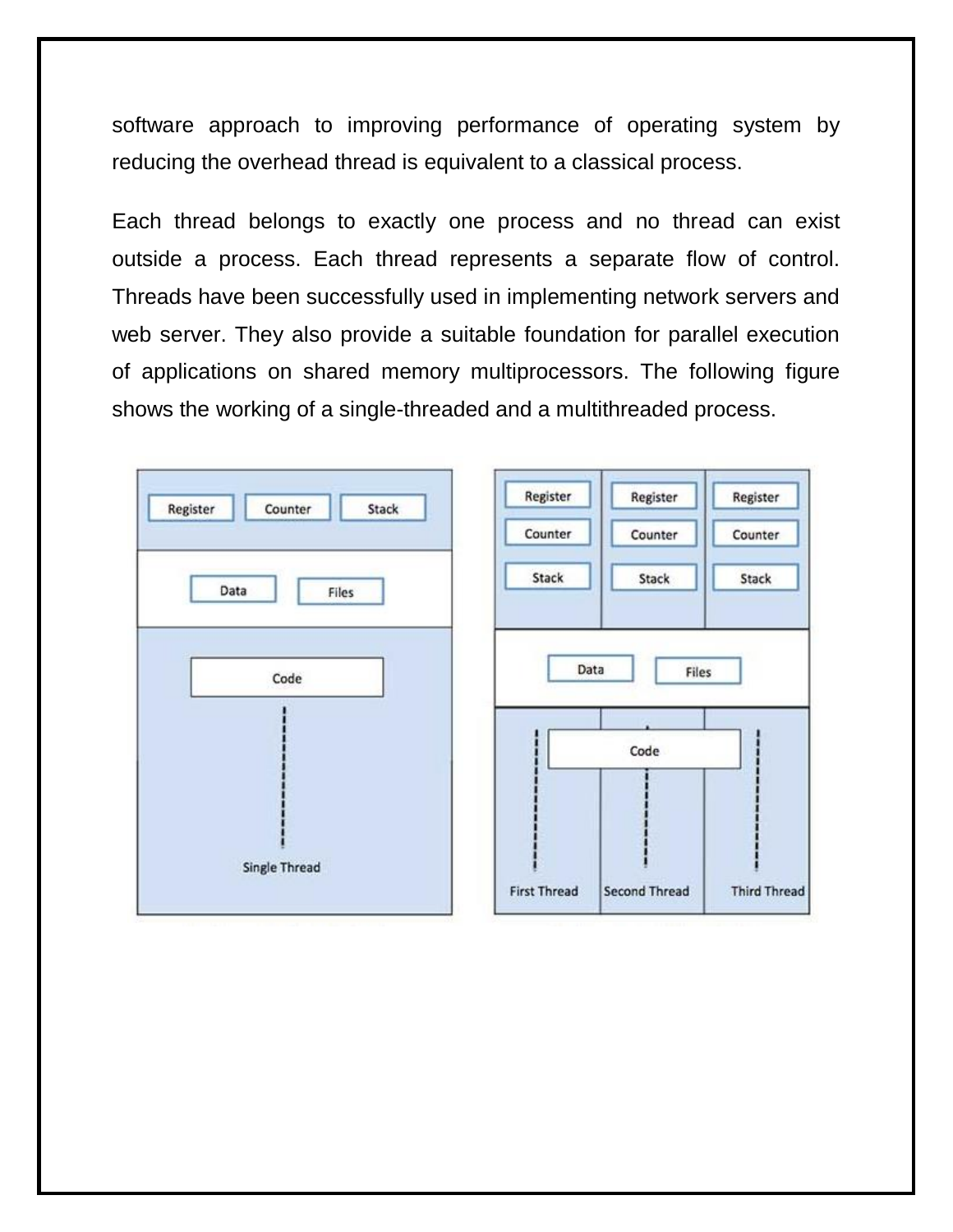software approach to improving performance of operating system by reducing the overhead thread is equivalent to a classical process.

Each thread belongs to exactly one process and no thread can exist outside a process. Each thread represents a separate flow of control. Threads have been successfully used in implementing network servers and web server. They also provide a suitable foundation for parallel execution of applications on shared memory multiprocessors. The following figure shows the working of a single-threaded and a multithreaded process.

| Register<br>Stack<br>Counter | Register<br>Counter | Register<br>Counter  | Register<br>Counter |
|------------------------------|---------------------|----------------------|---------------------|
| Data<br>Files                | Stack               | Stack                | Stack               |
| Code                         | Data                | Files                |                     |
|                              |                     | Code                 |                     |
|                              |                     |                      |                     |
| Single Thread                | <b>First Thread</b> | <b>Second Thread</b> | <b>Third Thread</b> |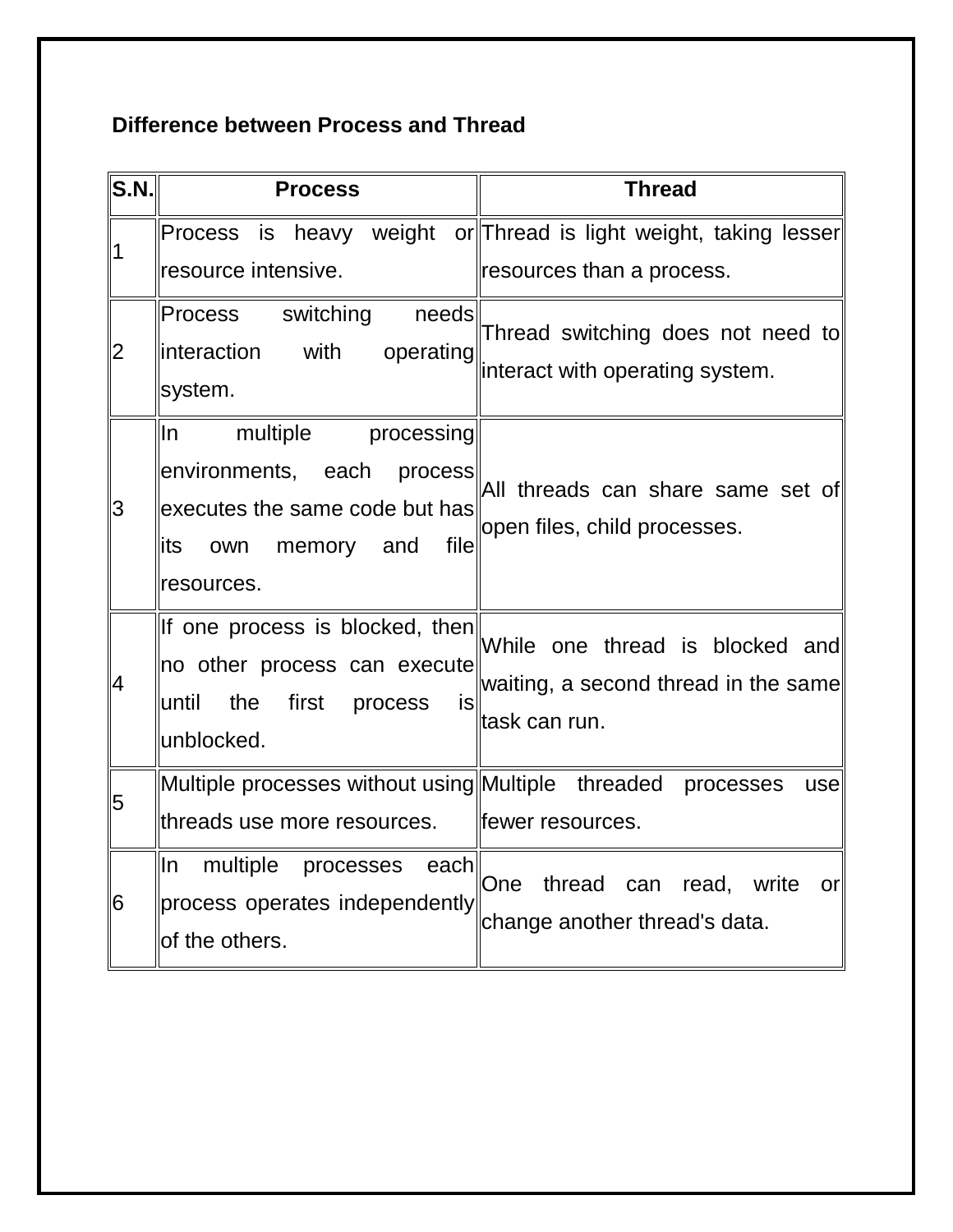# **Difference between Process and Thread**

| $\overline{\mathsf{S}.\mathsf{N}.}$ | <b>Process</b>                                                                                                                                            | <b>Thread</b>                                                                                 |
|-------------------------------------|-----------------------------------------------------------------------------------------------------------------------------------------------------------|-----------------------------------------------------------------------------------------------|
| 1                                   | resource intensive.                                                                                                                                       | Process is heavy weight or Thread is light weight, taking lesser<br>resources than a process. |
| 2                                   | switching<br><b>Process</b><br>needs<br>with<br>interaction<br>operating<br>system.                                                                       | Thread switching does not need to<br>interact with operating system.                          |
| 3                                   | ln.<br>multiple<br>processing<br>environments,<br>each<br>process<br>executes the same code but has<br>file<br>lits<br>memory<br>and<br>own<br>resources. | All threads can share same set of<br>open files, child processes.                             |
| 4                                   | If one process is blocked, then<br>no other process can execute<br>until<br>the<br>first<br>process<br>is<br>unblocked.                                   | While one thread is blocked and<br>waiting, a second thread in the same<br>task can run.      |
| 5                                   | Multiple processes without using Multiple threaded<br>threads use more resources.                                                                         | processes<br>usel<br>fewer resources.                                                         |
| 6                                   | In<br>multiple processes<br>each<br>process operates independently<br>of the others.                                                                      | thread<br>One<br>can<br>read, write<br>or<br>change another thread's data.                    |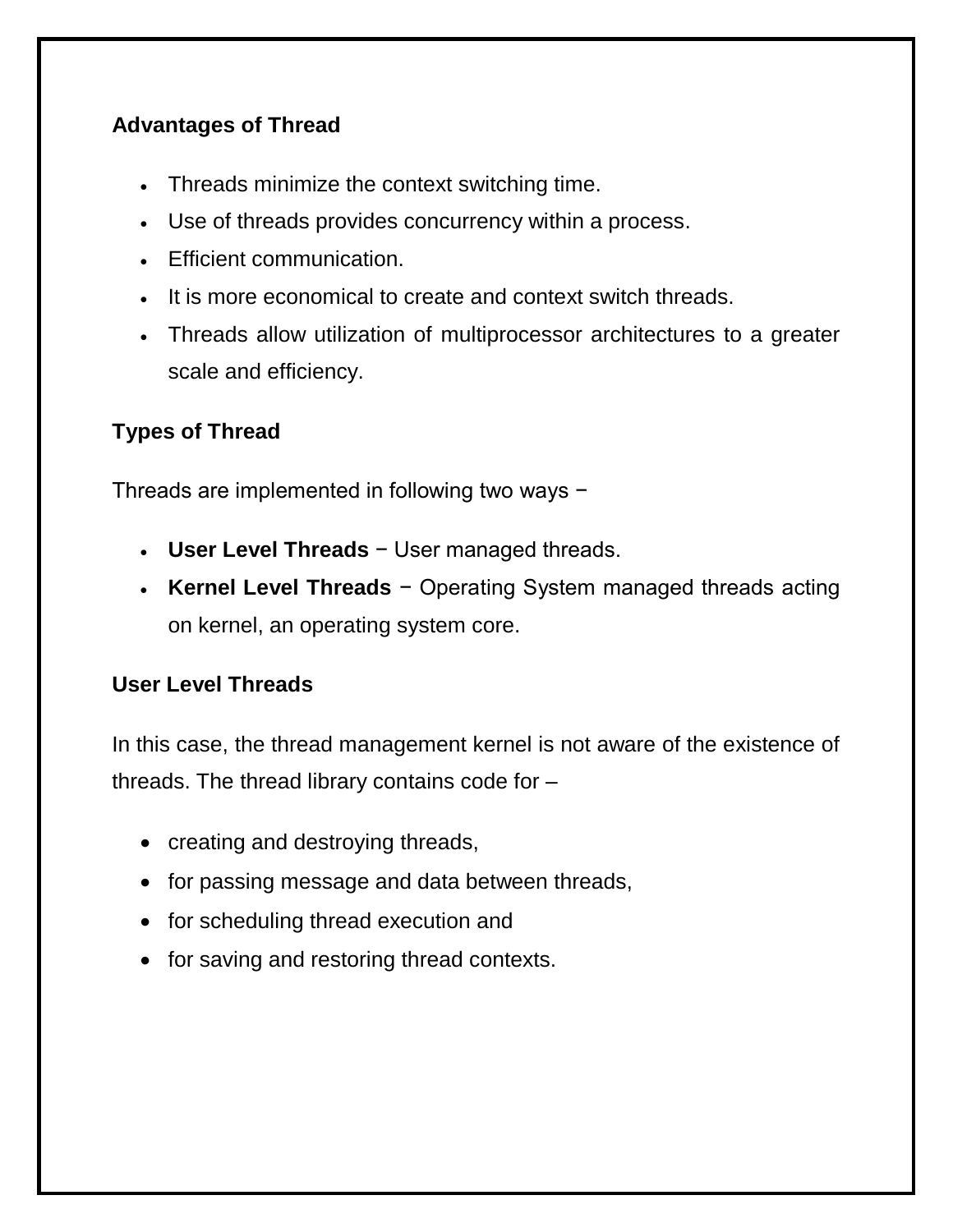#### **Advantages of Thread**

- Threads minimize the context switching time.
- Use of threads provides concurrency within a process.
- Efficient communication.
- It is more economical to create and context switch threads.
- Threads allow utilization of multiprocessor architectures to a greater scale and efficiency.

# **Types of Thread**

Threads are implemented in following two ways −

- **User Level Threads** − User managed threads.
- **Kernel Level Threads** − Operating System managed threads acting on kernel, an operating system core.

#### **User Level Threads**

In this case, the thread management kernel is not aware of the existence of threads. The thread library contains code for –

- creating and destroying threads,
- for passing message and data between threads,
- for scheduling thread execution and
- for saving and restoring thread contexts.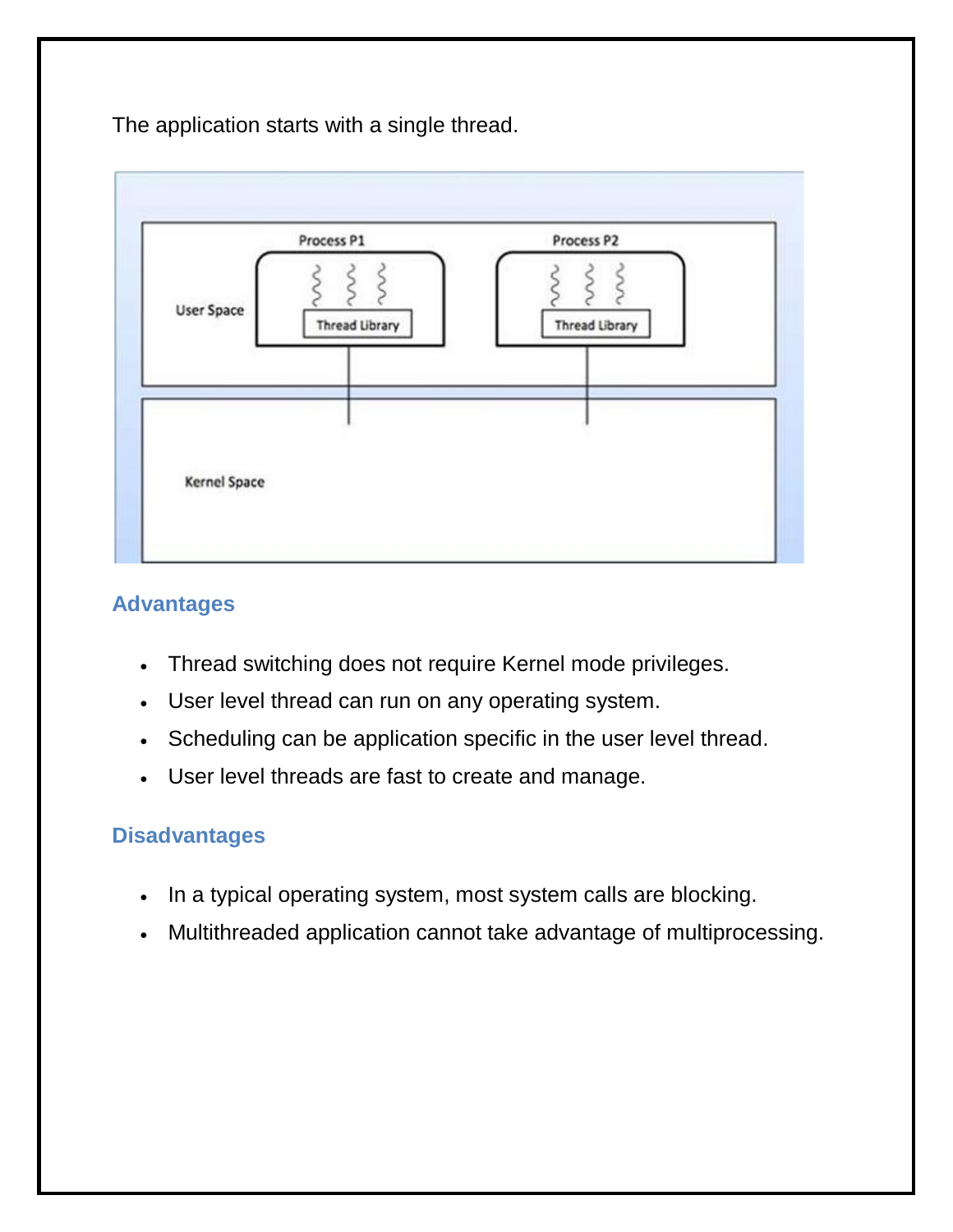The application starts with a single thread.



#### **Advantages**

- Thread switching does not require Kernel mode privileges.
- User level thread can run on any operating system.
- Scheduling can be application specific in the user level thread.
- User level threads are fast to create and manage.

#### **Disadvantages**

- In a typical operating system, most system calls are blocking.
- Multithreaded application cannot take advantage of multiprocessing.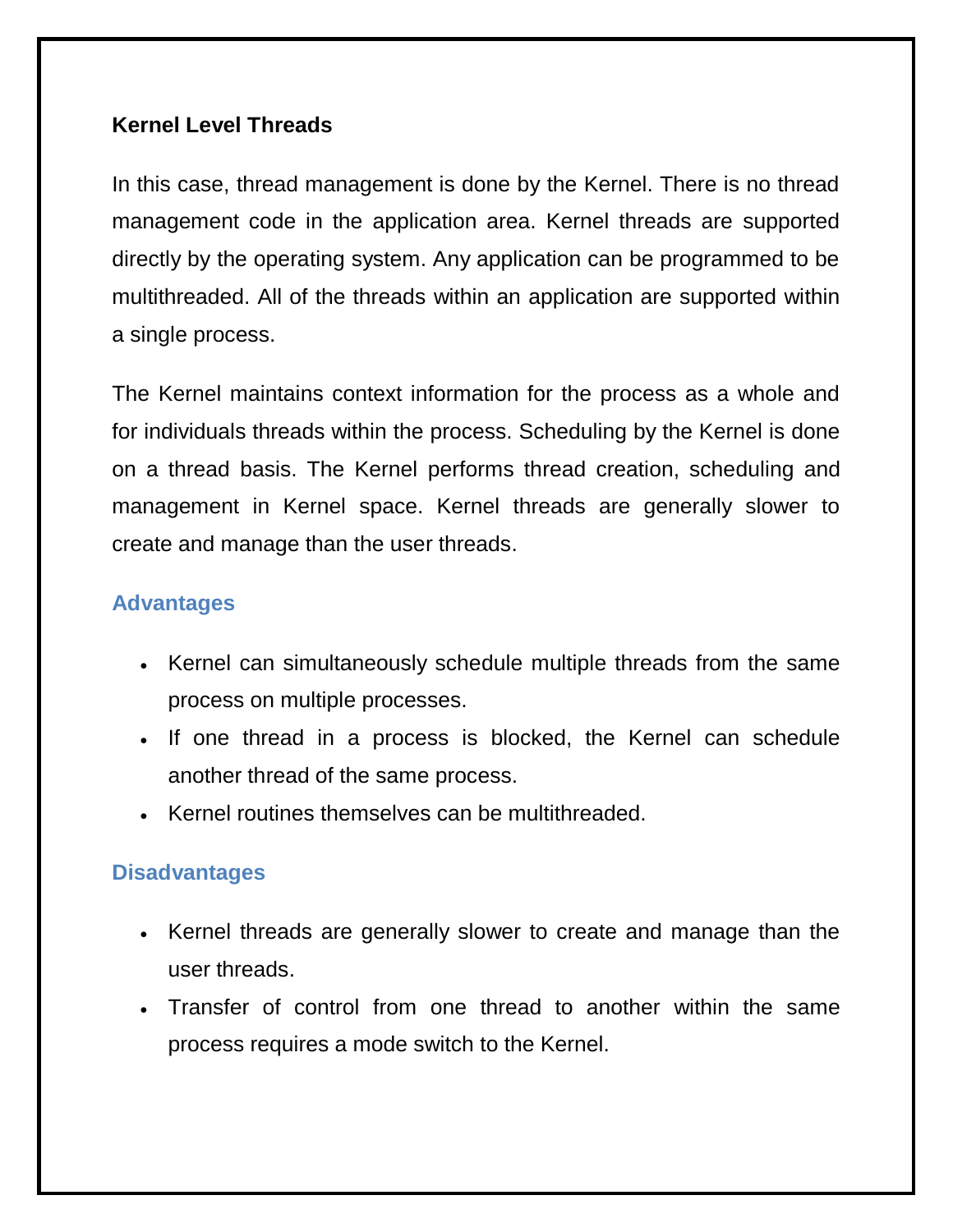#### **Kernel Level Threads**

In this case, thread management is done by the Kernel. There is no thread management code in the application area. Kernel threads are supported directly by the operating system. Any application can be programmed to be multithreaded. All of the threads within an application are supported within a single process.

The Kernel maintains context information for the process as a whole and for individuals threads within the process. Scheduling by the Kernel is done on a thread basis. The Kernel performs thread creation, scheduling and management in Kernel space. Kernel threads are generally slower to create and manage than the user threads.

#### **Advantages**

- Kernel can simultaneously schedule multiple threads from the same process on multiple processes.
- . If one thread in a process is blocked, the Kernel can schedule another thread of the same process.
- Kernel routines themselves can be multithreaded.

#### **Disadvantages**

- Kernel threads are generally slower to create and manage than the user threads.
- Transfer of control from one thread to another within the same process requires a mode switch to the Kernel.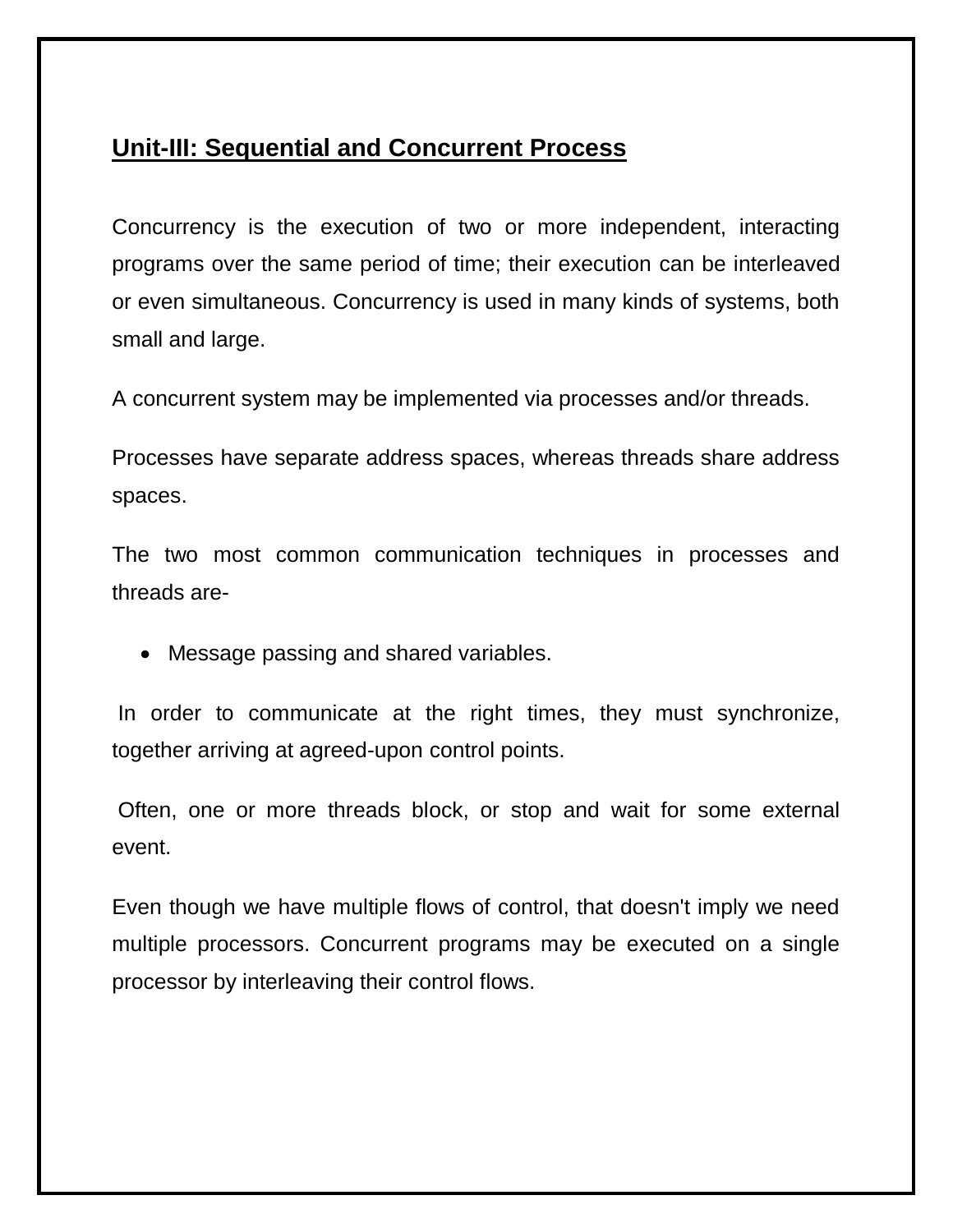# **Unit-III: Sequential and Concurrent Process**

Concurrency is the execution of two or more independent, interacting programs over the same period of time; their execution can be interleaved or even simultaneous. Concurrency is used in many kinds of systems, both small and large.

A concurrent system may be implemented via processes and/or threads.

Processes have separate address spaces, whereas threads share address spaces.

The two most common communication techniques in processes and threads are-

• Message passing and shared variables.

In order to communicate at the right times, they must synchronize, together arriving at agreed-upon control points.

Often, one or more threads block, or stop and wait for some external event.

Even though we have multiple flows of control, that doesn't imply we need multiple processors. Concurrent programs may be executed on a single processor by interleaving their control flows.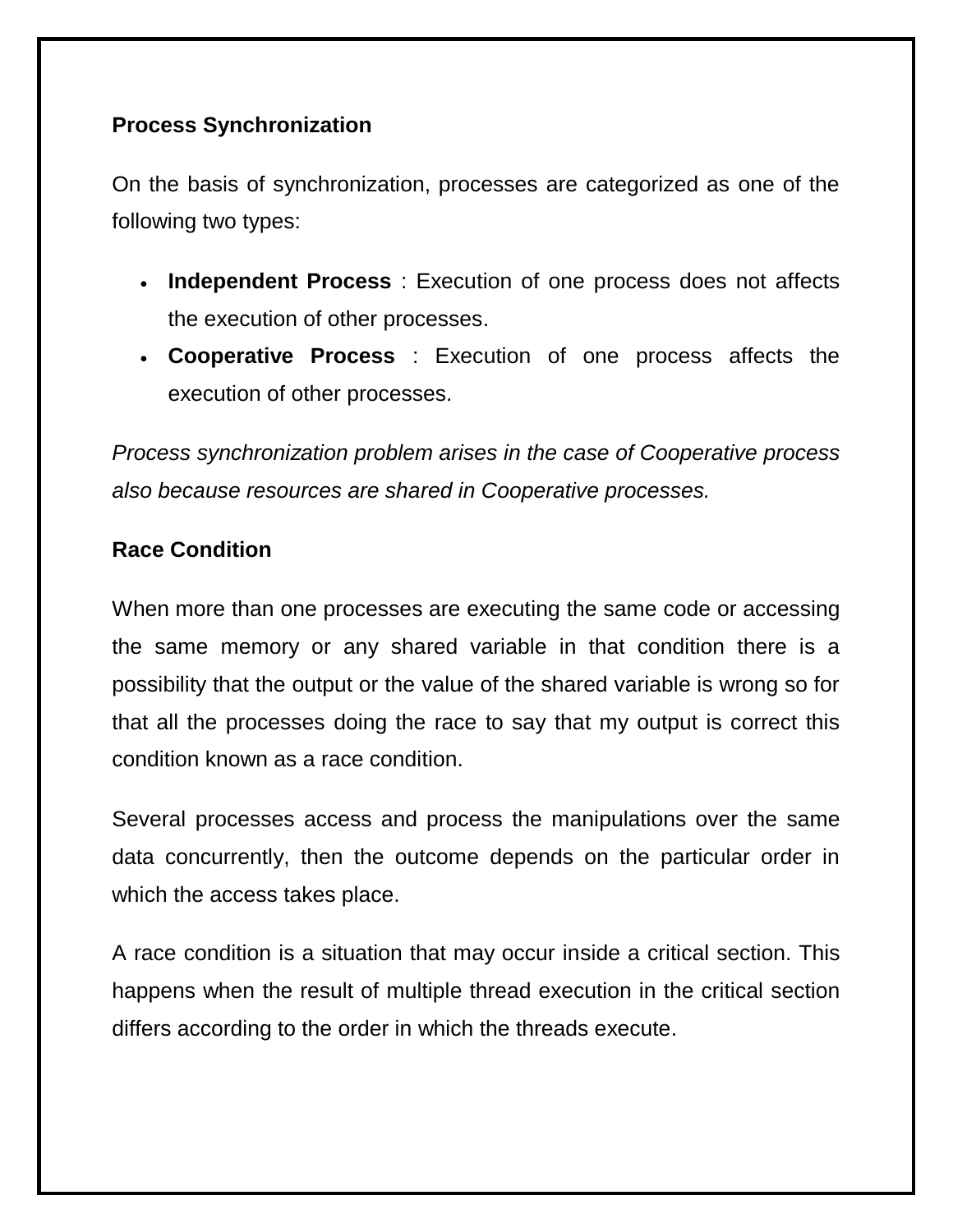#### **Process Synchronization**

On the basis of synchronization, processes are categorized as one of the following two types:

- **Independent Process** : Execution of one process does not affects the execution of other processes.
- **Cooperative Process** : Execution of one process affects the execution of other processes.

*Process synchronization problem arises in the case of Cooperative process also because resources are shared in Cooperative processes.*

#### **Race Condition**

When more than one processes are executing the same code or accessing the same memory or any shared variable in that condition there is a possibility that the output or the value of the shared variable is wrong so for that all the processes doing the race to say that my output is correct this condition known as a race condition.

Several processes access and process the manipulations over the same data concurrently, then the outcome depends on the particular order in which the access takes place.

A race condition is a situation that may occur inside a critical section. This happens when the result of multiple thread execution in the critical section differs according to the order in which the threads execute.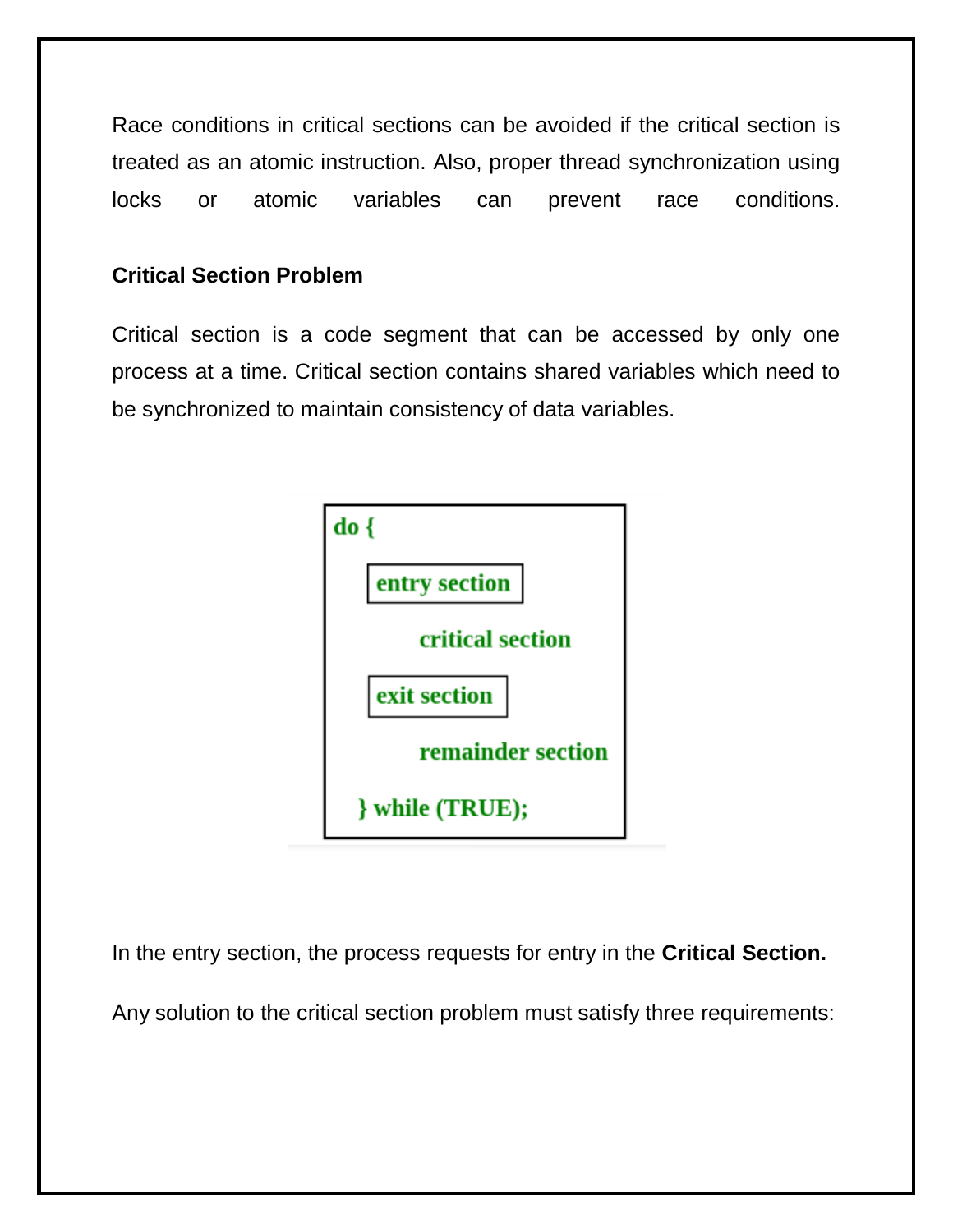Race conditions in critical sections can be avoided if the critical section is treated as an atomic instruction. Also, proper thread synchronization using locks or atomic variables can prevent race conditions.

#### **Critical Section Problem**

Critical section is a code segment that can be accessed by only one process at a time. Critical section contains shared variables which need to be synchronized to maintain consistency of data variables.



In the entry section, the process requests for entry in the **Critical Section.**

Any solution to the critical section problem must satisfy three requirements: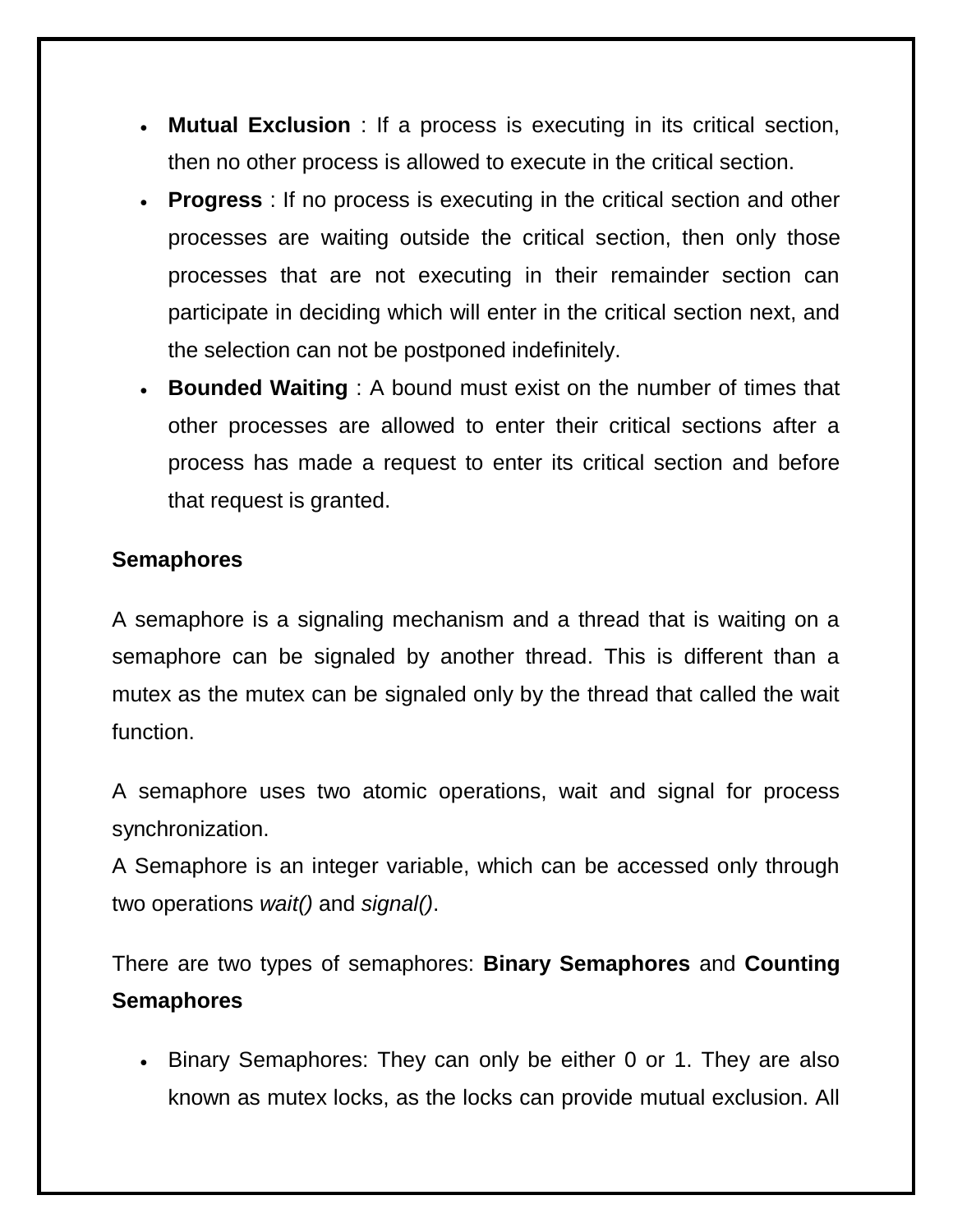- **Mutual Exclusion** : If a process is executing in its critical section, then no other process is allowed to execute in the critical section.
- **Progress** : If no process is executing in the critical section and other processes are waiting outside the critical section, then only those processes that are not executing in their remainder section can participate in deciding which will enter in the critical section next, and the selection can not be postponed indefinitely.
- **Bounded Waiting** : A bound must exist on the number of times that other processes are allowed to enter their critical sections after a process has made a request to enter its critical section and before that request is granted.

#### **Semaphores**

A semaphore is a signaling mechanism and a thread that is waiting on a semaphore can be signaled by another thread. This is different than a mutex as the mutex can be signaled only by the thread that called the wait function.

A semaphore uses two atomic operations, wait and signal for process synchronization.

A Semaphore is an integer variable, which can be accessed only through two operations *wait()* and *signal()*.

There are two types of semaphores: **Binary Semaphores** and **Counting Semaphores**

• Binary Semaphores: They can only be either 0 or 1. They are also known as mutex locks, as the locks can provide mutual exclusion. All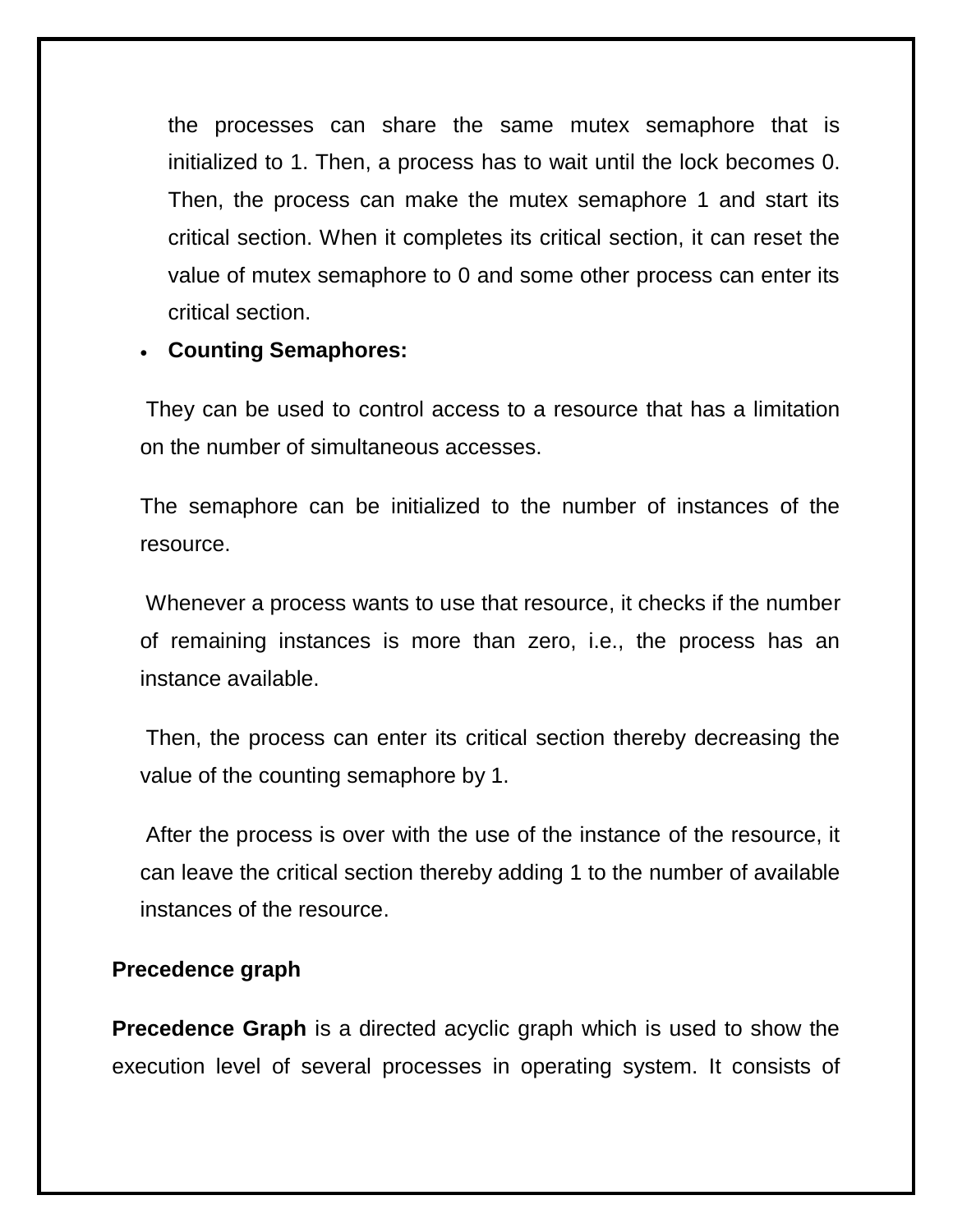the processes can share the same mutex semaphore that is initialized to 1. Then, a process has to wait until the lock becomes 0. Then, the process can make the mutex semaphore 1 and start its critical section. When it completes its critical section, it can reset the value of mutex semaphore to 0 and some other process can enter its critical section.

#### **Counting Semaphores:**

They can be used to control access to a resource that has a limitation on the number of simultaneous accesses.

The semaphore can be initialized to the number of instances of the resource.

Whenever a process wants to use that resource, it checks if the number of remaining instances is more than zero, i.e., the process has an instance available.

Then, the process can enter its critical section thereby decreasing the value of the counting semaphore by 1.

After the process is over with the use of the instance of the resource, it can leave the critical section thereby adding 1 to the number of available instances of the resource.

### **Precedence graph**

**Precedence Graph** is a directed acyclic graph which is used to show the execution level of several processes in operating system. It consists of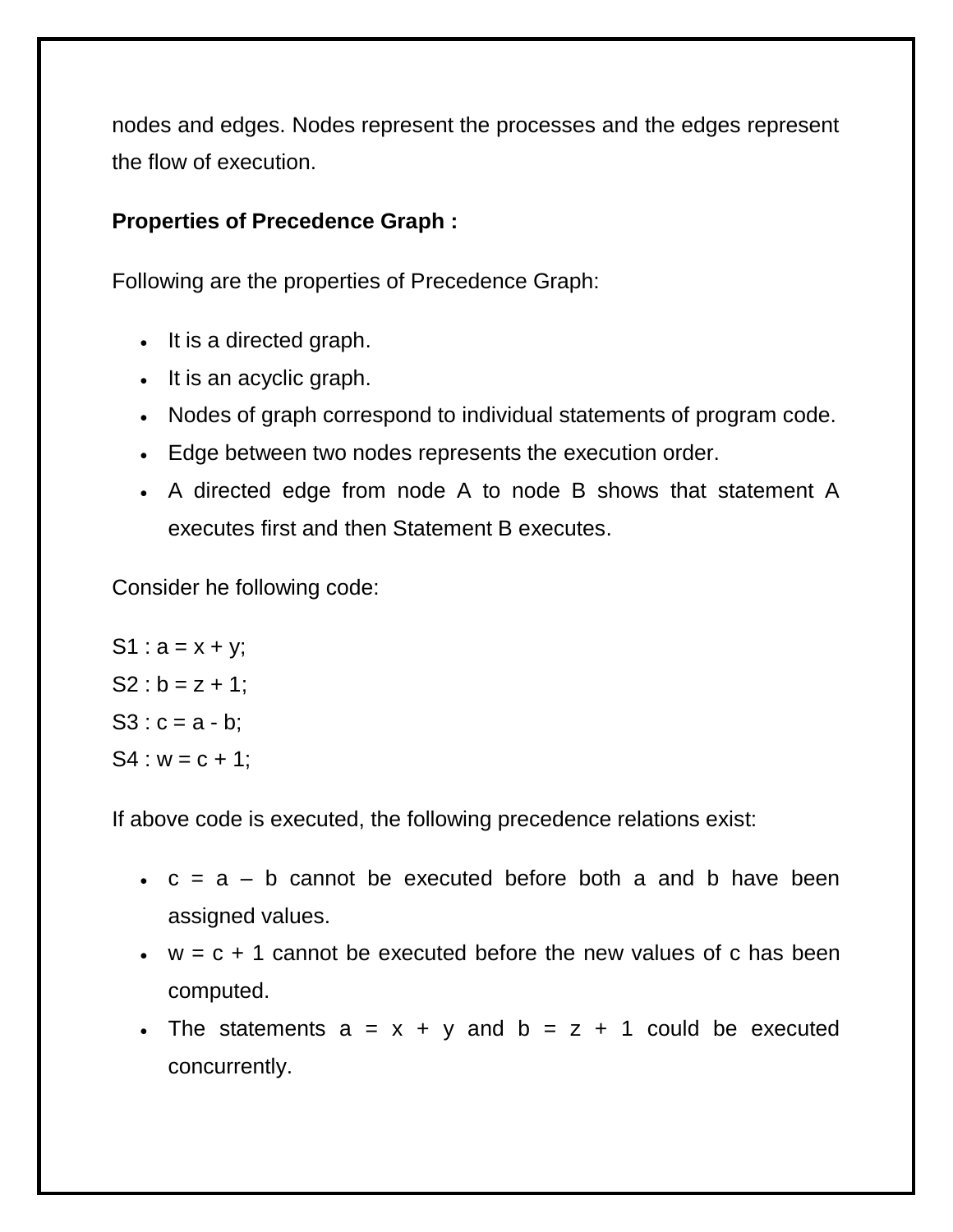nodes and edges. Nodes represent the processes and the edges represent the flow of execution.

# **Properties of Precedence Graph :**

Following are the properties of Precedence Graph:

- It is a directed graph.
- It is an acyclic graph.
- Nodes of graph correspond to individual statements of program code.
- Edge between two nodes represents the execution order.
- A directed edge from node A to node B shows that statement A executes first and then Statement B executes.

Consider he following code:

 $S1 : a = x + y;$  $S2 : b = z + 1$ ;  $S3 : c = a - b$ ;  $S4 : w = c + 1;$ 

If above code is executed, the following precedence relations exist:

- $\cdot$  c = a b cannot be executed before both a and b have been assigned values.
- $\cdot$   $w = c + 1$  cannot be executed before the new values of c has been computed.
- The statements  $a = x + y$  and  $b = z + 1$  could be executed concurrently.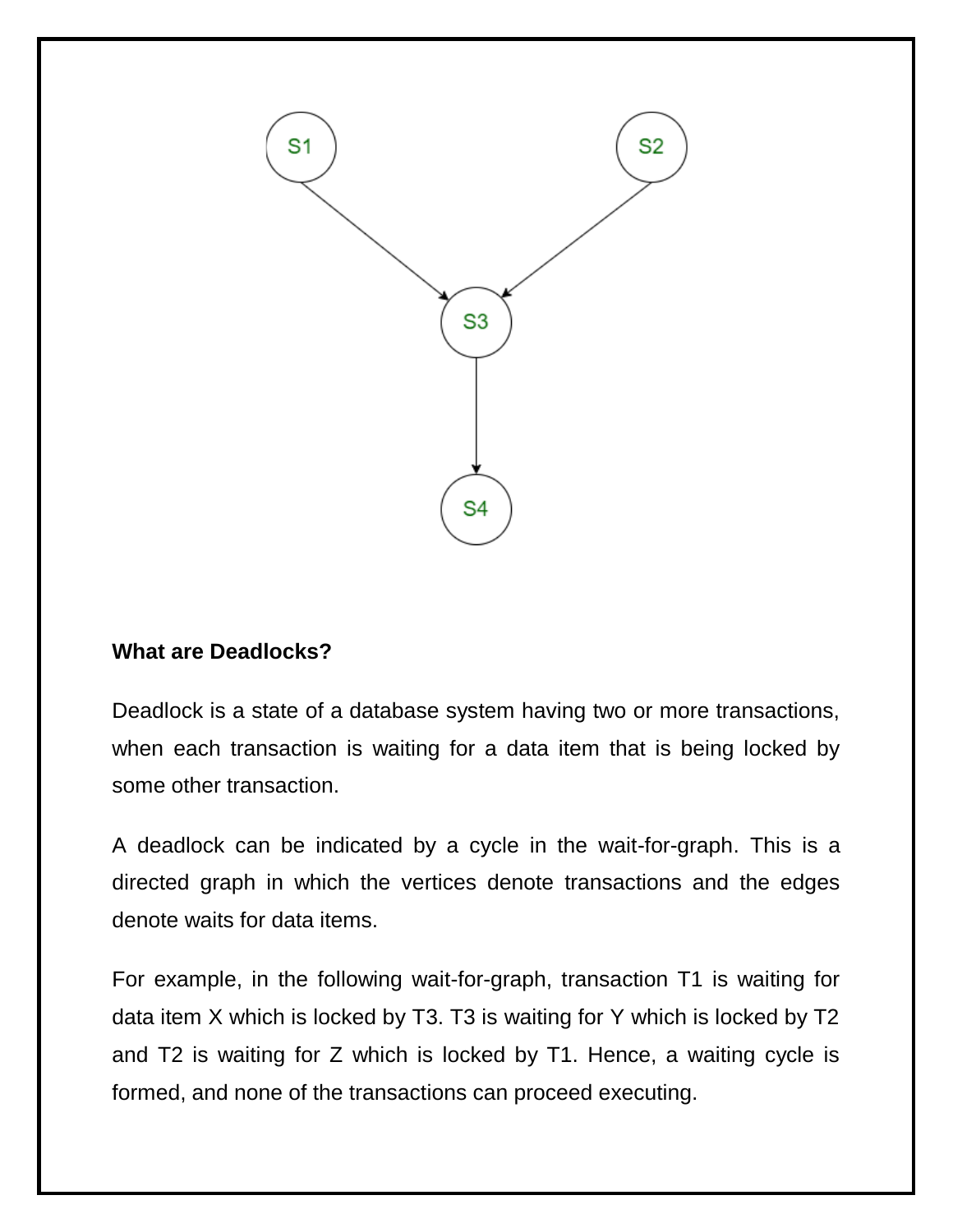

#### **What are Deadlocks?**

Deadlock is a state of a database system having two or more transactions, when each transaction is waiting for a data item that is being locked by some other transaction.

A deadlock can be indicated by a cycle in the wait-for-graph. This is a directed graph in which the vertices denote transactions and the edges denote waits for data items.

For example, in the following wait-for-graph, transaction T1 is waiting for data item X which is locked by T3. T3 is waiting for Y which is locked by T2 and T2 is waiting for Z which is locked by T1. Hence, a waiting cycle is formed, and none of the transactions can proceed executing.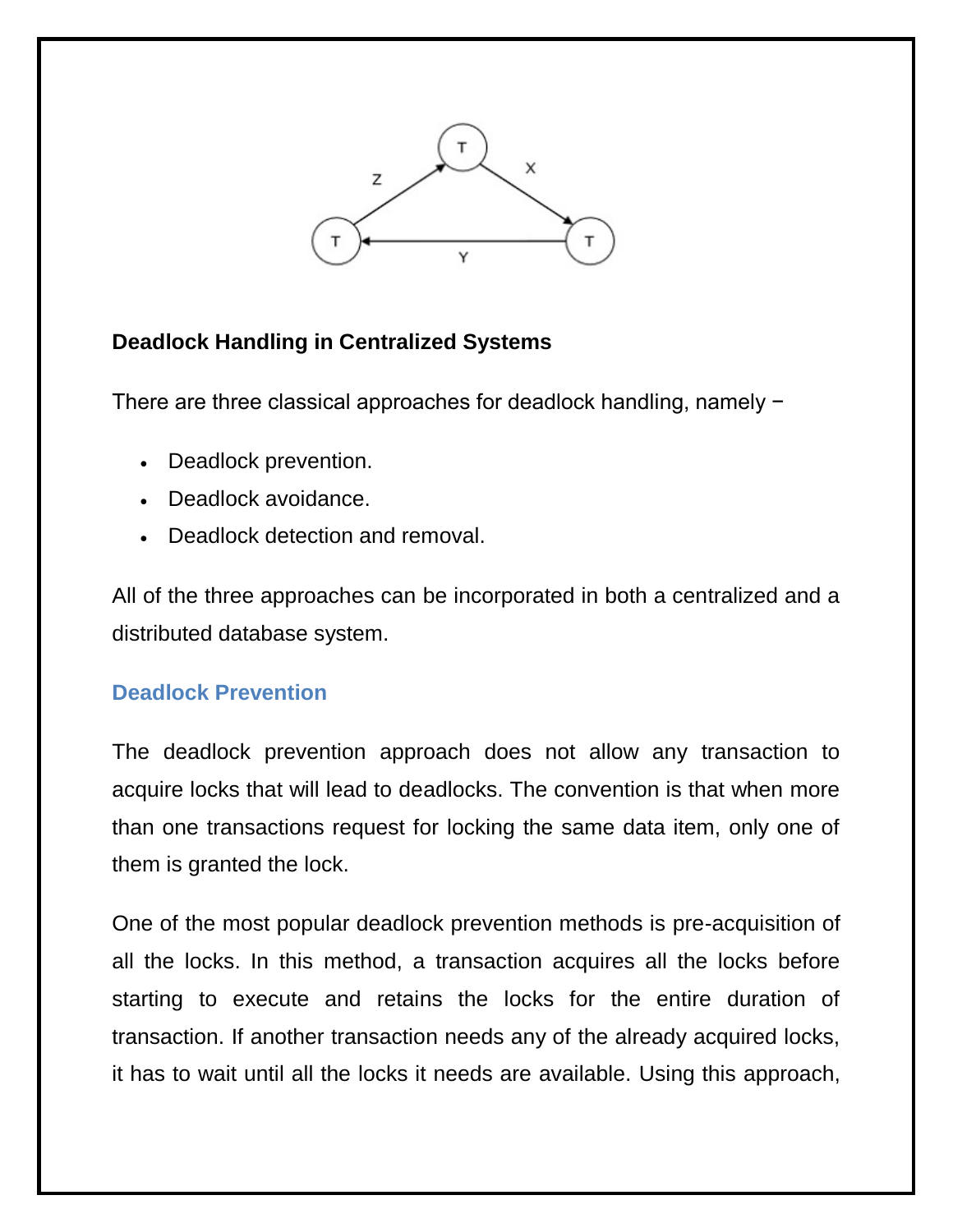

# **Deadlock Handling in Centralized Systems**

There are three classical approaches for deadlock handling, namely −

- Deadlock prevention.
- Deadlock avoidance.
- Deadlock detection and removal.

All of the three approaches can be incorporated in both a centralized and a distributed database system.

# **Deadlock Prevention**

The deadlock prevention approach does not allow any transaction to acquire locks that will lead to deadlocks. The convention is that when more than one transactions request for locking the same data item, only one of them is granted the lock.

One of the most popular deadlock prevention methods is pre-acquisition of all the locks. In this method, a transaction acquires all the locks before starting to execute and retains the locks for the entire duration of transaction. If another transaction needs any of the already acquired locks, it has to wait until all the locks it needs are available. Using this approach,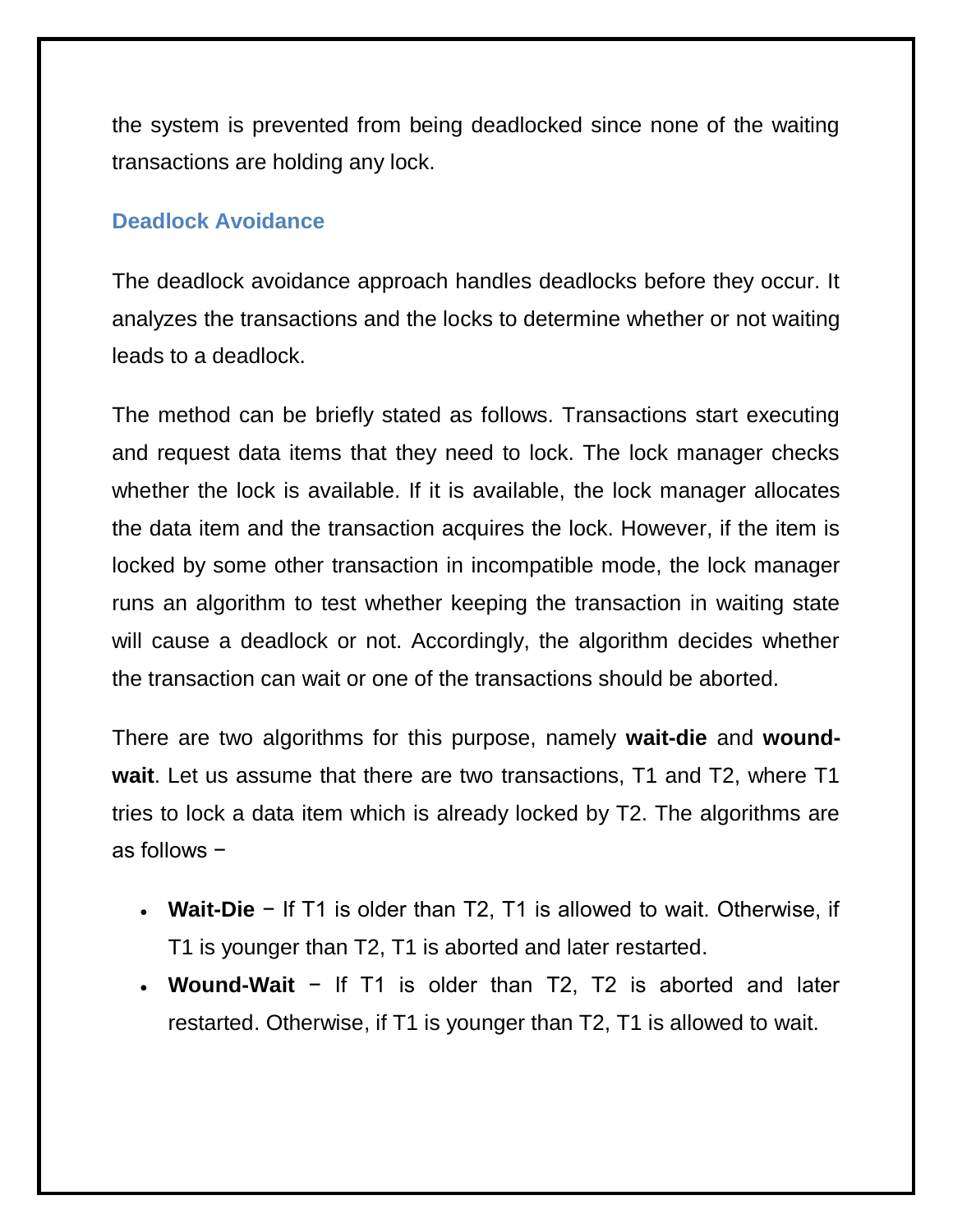the system is prevented from being deadlocked since none of the waiting transactions are holding any lock.

### **Deadlock Avoidance**

The deadlock avoidance approach handles deadlocks before they occur. It analyzes the transactions and the locks to determine whether or not waiting leads to a deadlock.

The method can be briefly stated as follows. Transactions start executing and request data items that they need to lock. The lock manager checks whether the lock is available. If it is available, the lock manager allocates the data item and the transaction acquires the lock. However, if the item is locked by some other transaction in incompatible mode, the lock manager runs an algorithm to test whether keeping the transaction in waiting state will cause a deadlock or not. Accordingly, the algorithm decides whether the transaction can wait or one of the transactions should be aborted.

There are two algorithms for this purpose, namely **wait-die** and **woundwait**. Let us assume that there are two transactions, T1 and T2, where T1 tries to lock a data item which is already locked by T2. The algorithms are as follows −

- **Wait-Die** − If T1 is older than T2, T1 is allowed to wait. Otherwise, if T1 is younger than T2, T1 is aborted and later restarted.
- **Wound-Wait** − If T1 is older than T2, T2 is aborted and later restarted. Otherwise, if T1 is younger than T2, T1 is allowed to wait.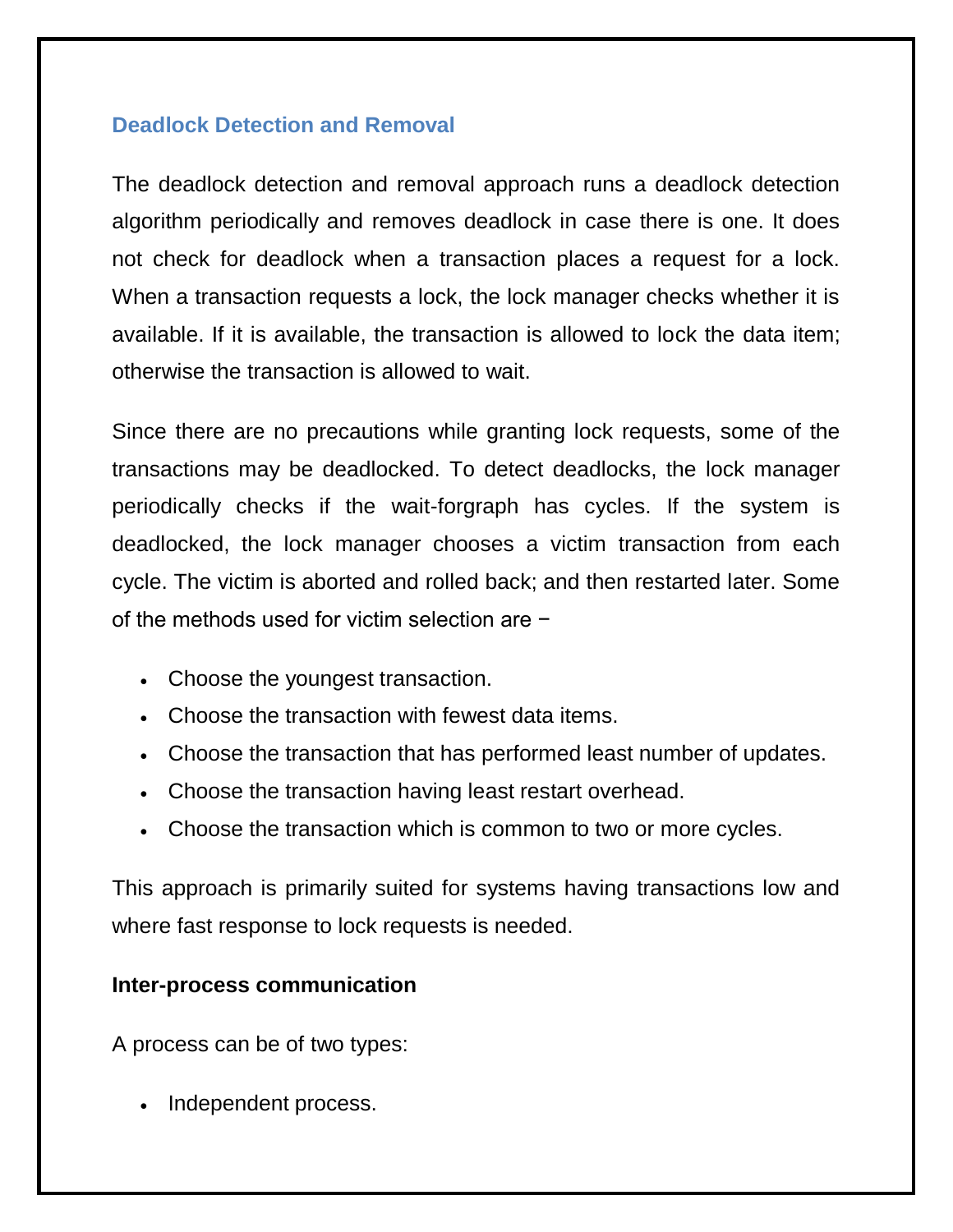### **Deadlock Detection and Removal**

The deadlock detection and removal approach runs a deadlock detection algorithm periodically and removes deadlock in case there is one. It does not check for deadlock when a transaction places a request for a lock. When a transaction requests a lock, the lock manager checks whether it is available. If it is available, the transaction is allowed to lock the data item; otherwise the transaction is allowed to wait.

Since there are no precautions while granting lock requests, some of the transactions may be deadlocked. To detect deadlocks, the lock manager periodically checks if the wait-forgraph has cycles. If the system is deadlocked, the lock manager chooses a victim transaction from each cycle. The victim is aborted and rolled back; and then restarted later. Some of the methods used for victim selection are −

- Choose the youngest transaction.
- Choose the transaction with fewest data items.
- Choose the transaction that has performed least number of updates.
- Choose the transaction having least restart overhead.
- Choose the transaction which is common to two or more cycles.

This approach is primarily suited for systems having transactions low and where fast response to lock requests is needed.

### **Inter-process communication**

A process can be of two types:

Independent process.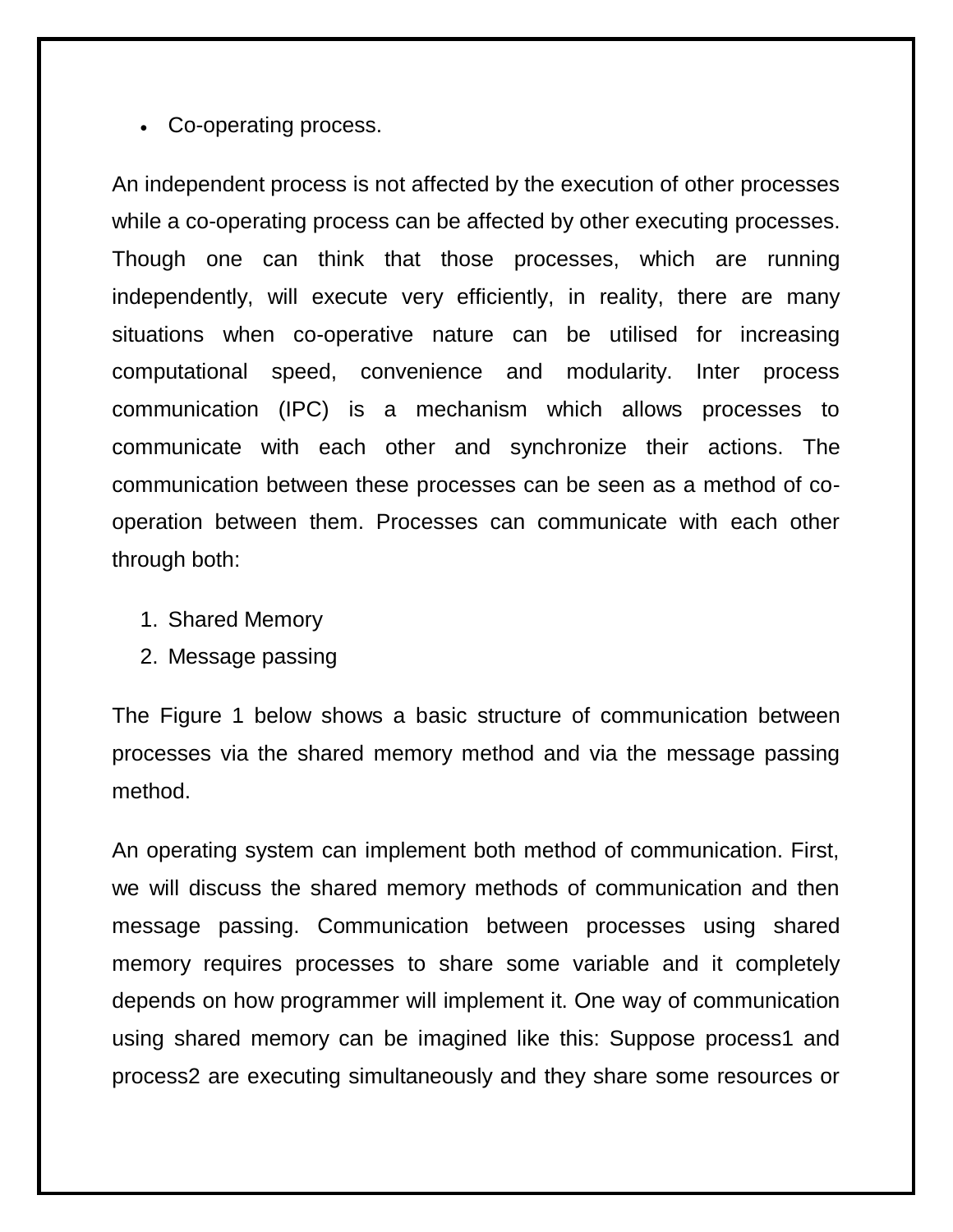#### Co-operating process.

An independent process is not affected by the execution of other processes while a co-operating process can be affected by other executing processes. Though one can think that those processes, which are running independently, will execute very efficiently, in reality, there are many situations when co-operative nature can be utilised for increasing computational speed, convenience and modularity. Inter process communication (IPC) is a mechanism which allows processes to communicate with each other and synchronize their actions. The communication between these processes can be seen as a method of cooperation between them. Processes can communicate with each other through both:

- 1. Shared Memory
- 2. Message passing

The Figure 1 below shows a basic structure of communication between processes via the shared memory method and via the message passing method.

An operating system can implement both method of communication. First, we will discuss the shared memory methods of communication and then message passing. Communication between processes using shared memory requires processes to share some variable and it completely depends on how programmer will implement it. One way of communication using shared memory can be imagined like this: Suppose process1 and process2 are executing simultaneously and they share some resources or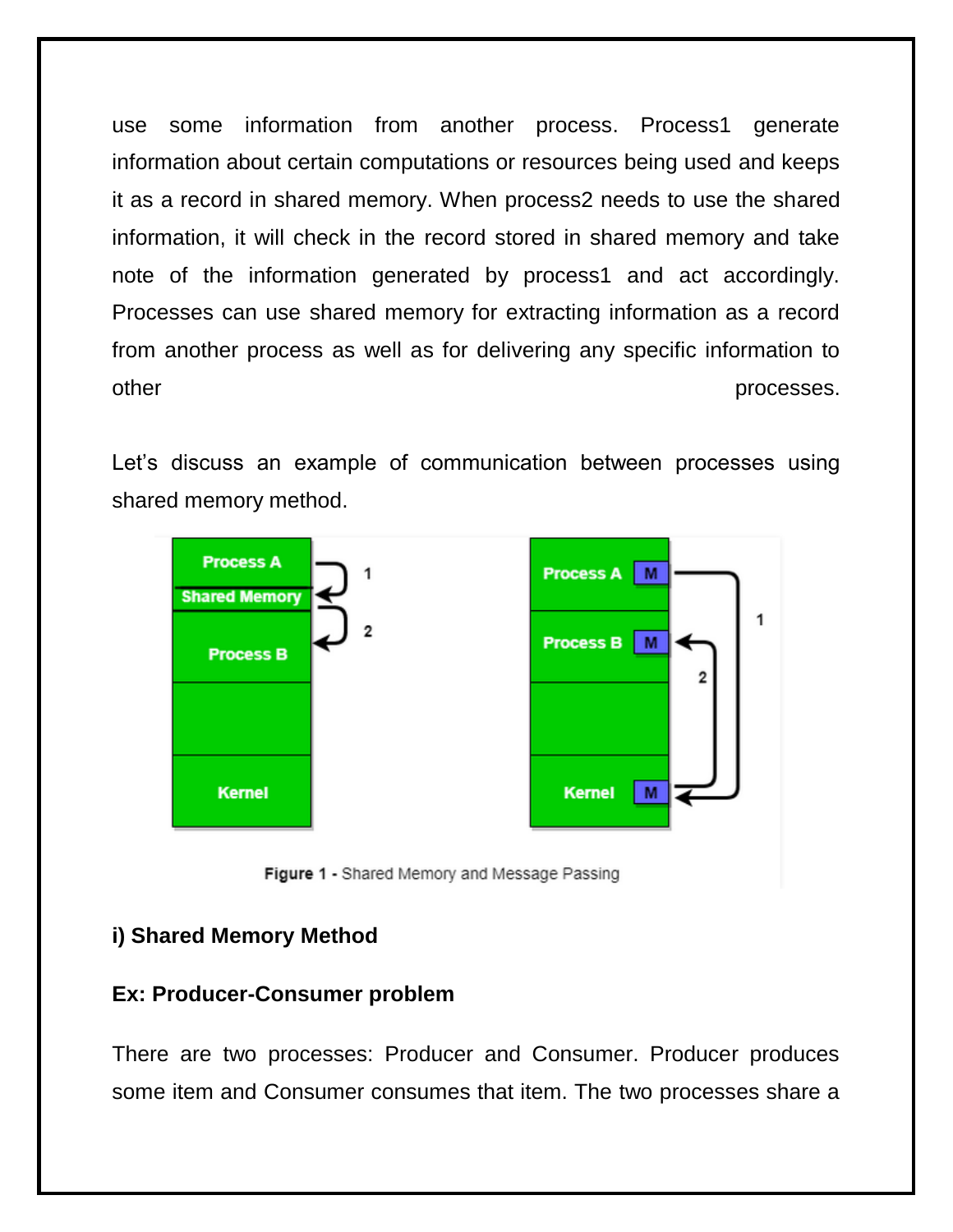use some information from another process. Process1 generate information about certain computations or resources being used and keeps it as a record in shared memory. When process2 needs to use the shared information, it will check in the record stored in shared memory and take note of the information generated by process1 and act accordingly. Processes can use shared memory for extracting information as a record from another process as well as for delivering any specific information to other processes.

Let's discuss an example of communication between processes using shared memory method.



Figure 1 - Shared Memory and Message Passing

### **i) Shared Memory Method**

#### **Ex: Producer-Consumer problem**

There are two processes: Producer and Consumer. Producer produces some item and Consumer consumes that item. The two processes share a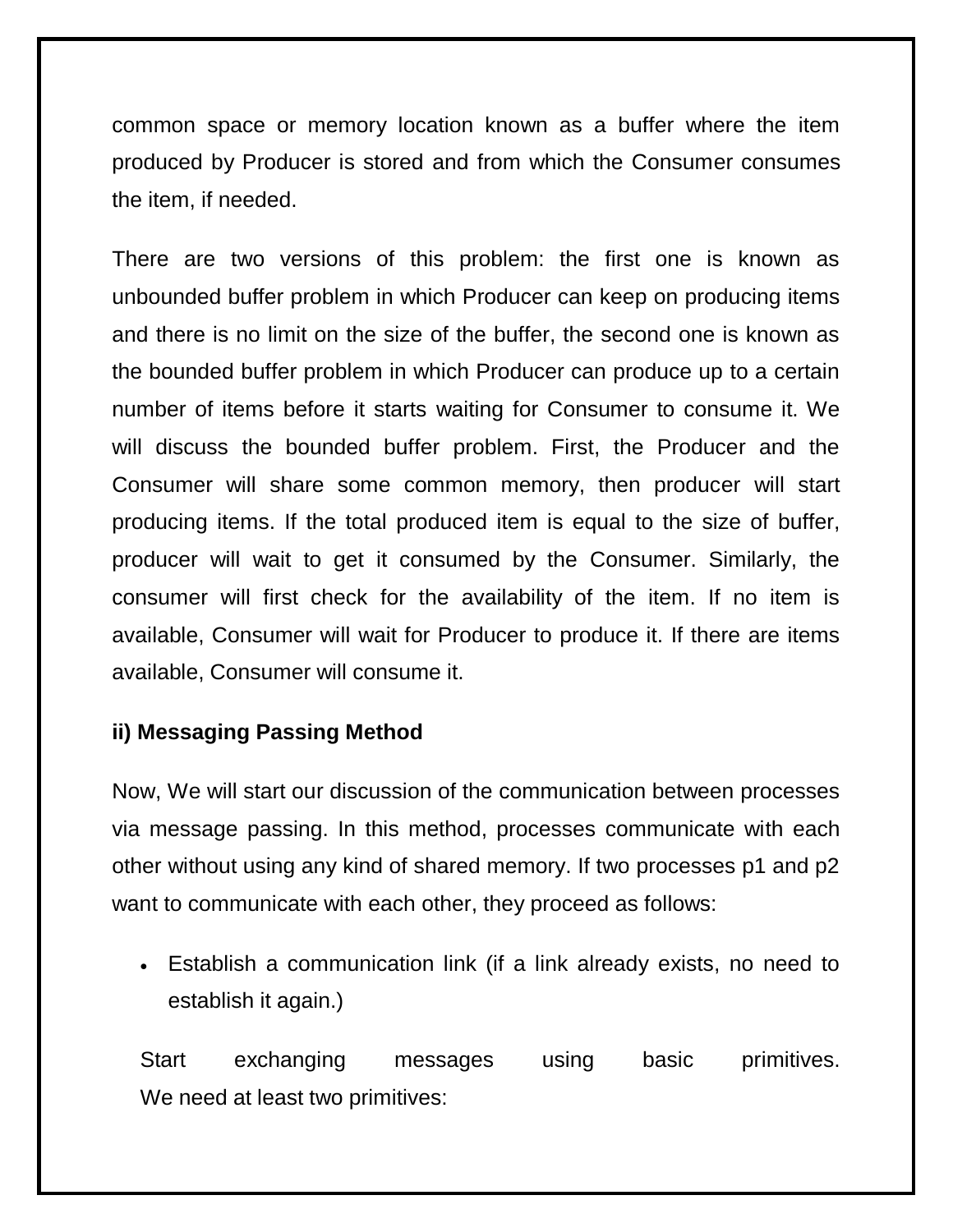common space or memory location known as a buffer where the item produced by Producer is stored and from which the Consumer consumes the item, if needed.

There are two versions of this problem: the first one is known as unbounded buffer problem in which Producer can keep on producing items and there is no limit on the size of the buffer, the second one is known as the bounded buffer problem in which Producer can produce up to a certain number of items before it starts waiting for Consumer to consume it. We will discuss the bounded buffer problem. First, the Producer and the Consumer will share some common memory, then producer will start producing items. If the total produced item is equal to the size of buffer, producer will wait to get it consumed by the Consumer. Similarly, the consumer will first check for the availability of the item. If no item is available, Consumer will wait for Producer to produce it. If there are items available, Consumer will consume it.

#### **ii) Messaging Passing Method**

Now, We will start our discussion of the communication between processes via message passing. In this method, processes communicate with each other without using any kind of shared memory. If two processes p1 and p2 want to communicate with each other, they proceed as follows:

 Establish a communication link (if a link already exists, no need to establish it again.)

Start exchanging messages using basic primitives. We need at least two primitives: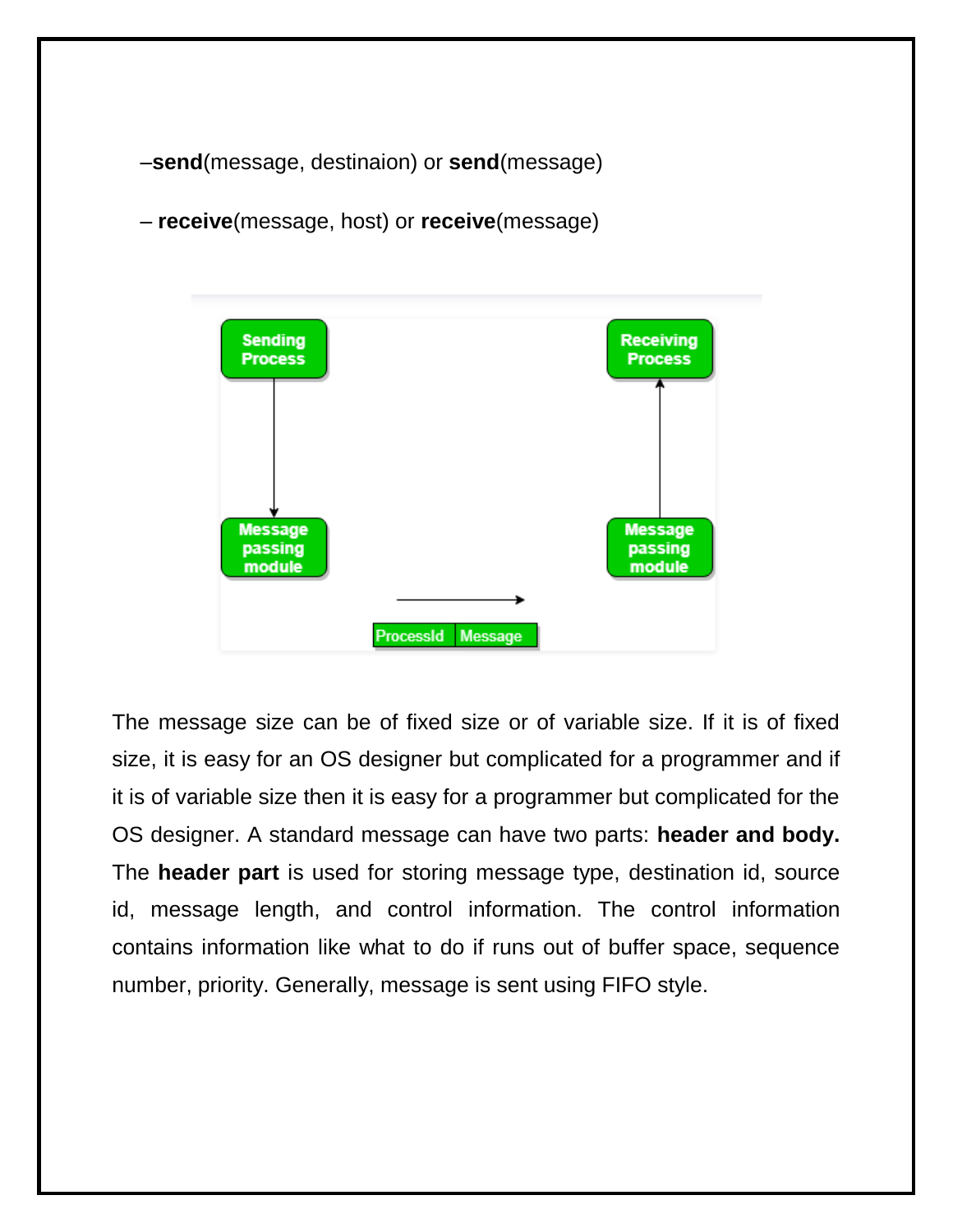–**send**(message, destinaion) or **send**(message)



– **receive**(message, host) or **receive**(message)

The message size can be of fixed size or of variable size. If it is of fixed size, it is easy for an OS designer but complicated for a programmer and if it is of variable size then it is easy for a programmer but complicated for the OS designer. A standard message can have two parts: **header and body.** The **header part** is used for storing message type, destination id, source id, message length, and control information. The control information contains information like what to do if runs out of buffer space, sequence number, priority. Generally, message is sent using FIFO style.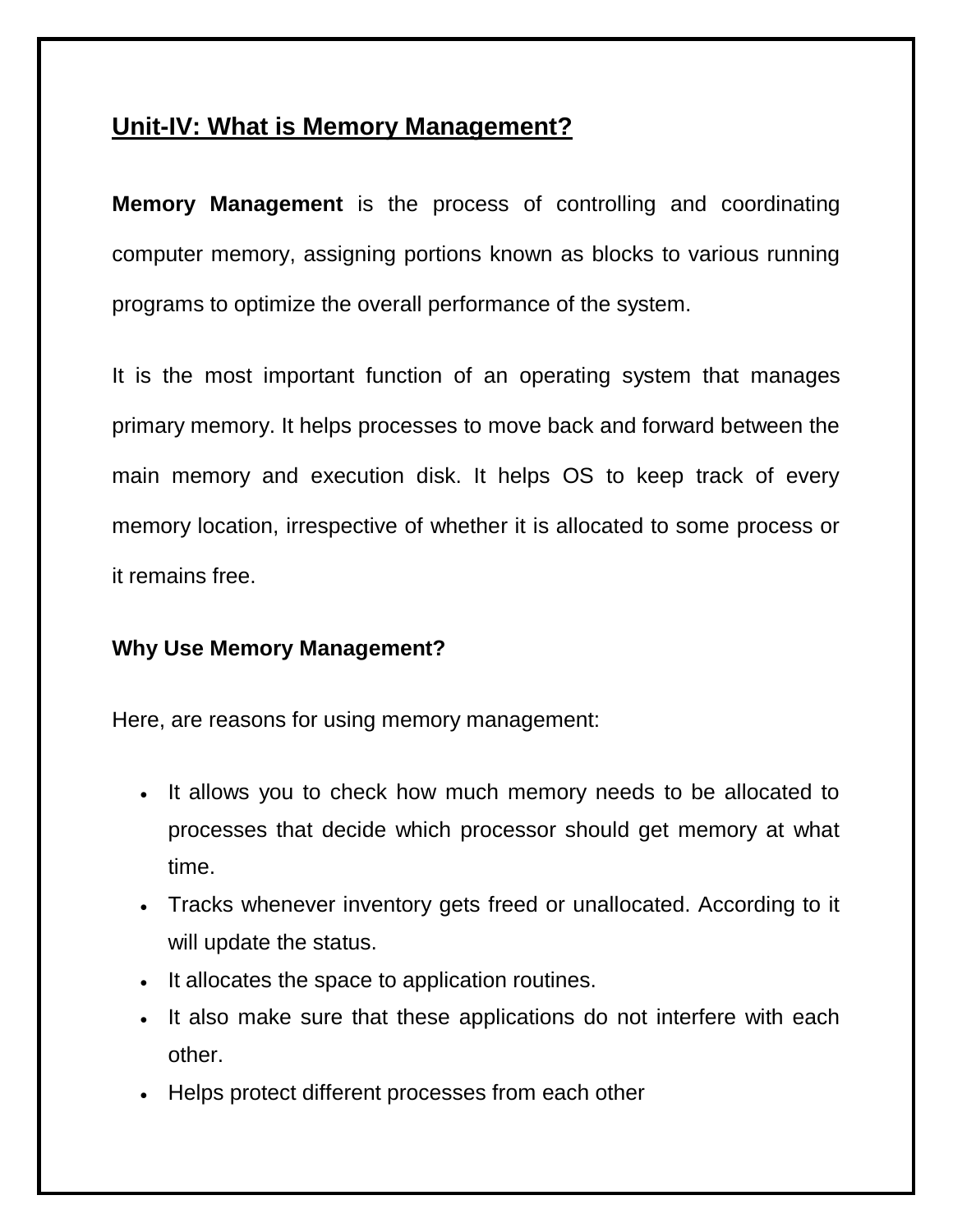# **Unit-IV: What is Memory Management?**

**Memory Management** is the process of controlling and coordinating computer memory, assigning portions known as blocks to various running programs to optimize the overall performance of the system.

It is the most important function of an operating system that manages primary memory. It helps processes to move back and forward between the main memory and execution disk. It helps OS to keep track of every memory location, irrespective of whether it is allocated to some process or it remains free.

### **Why Use Memory Management?**

Here, are reasons for using memory management:

- It allows you to check how much memory needs to be allocated to processes that decide which processor should get memory at what time.
- Tracks whenever inventory gets freed or unallocated. According to it will update the status.
- It allocates the space to application routines.
- It also make sure that these applications do not interfere with each other.
- Helps protect different processes from each other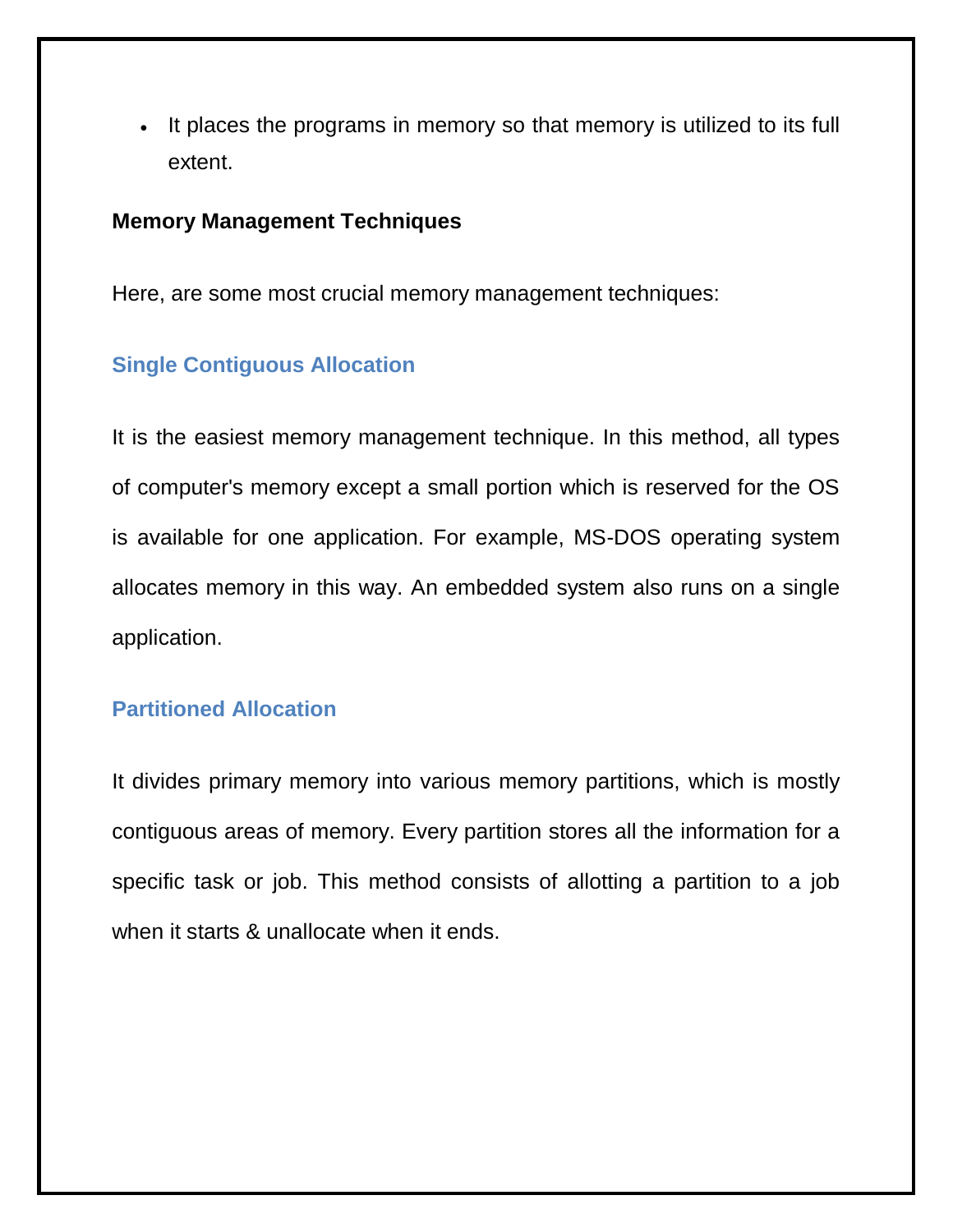It places the programs in memory so that memory is utilized to its full extent.

#### **Memory Management Techniques**

Here, are some most crucial memory management techniques:

### **Single Contiguous Allocation**

It is the easiest memory management technique. In this method, all types of computer's memory except a small portion which is reserved for the OS is available for one application. For example, MS-DOS operating system allocates memory in this way. An embedded system also runs on a single application.

### **Partitioned Allocation**

It divides primary memory into various memory partitions, which is mostly contiguous areas of memory. Every partition stores all the information for a specific task or job. This method consists of allotting a partition to a job when it starts & unallocate when it ends.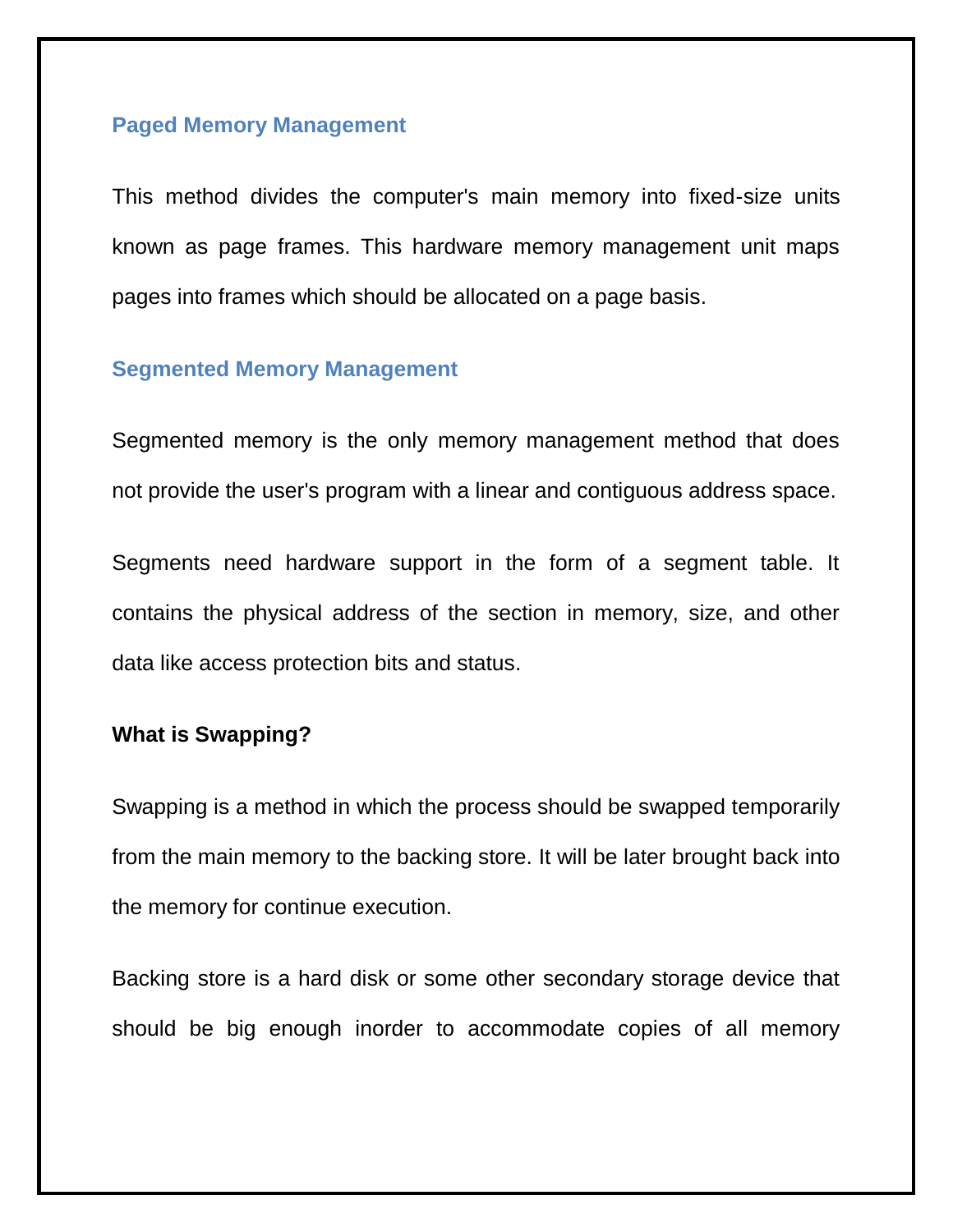#### **Paged Memory Management**

This method divides the computer's main memory into fixed-size units known as page frames. This hardware memory management unit maps pages into frames which should be allocated on a page basis.

#### **Segmented Memory Management**

Segmented memory is the only memory management method that does not provide the user's program with a linear and contiguous address space.

Segments need hardware support in the form of a segment table. It contains the physical address of the section in memory, size, and other data like access protection bits and status.

#### **What is Swapping?**

Swapping is a method in which the process should be swapped temporarily from the main memory to the backing store. It will be later brought back into the memory for continue execution.

Backing store is a hard disk or some other secondary storage device that should be big enough inorder to accommodate copies of all memory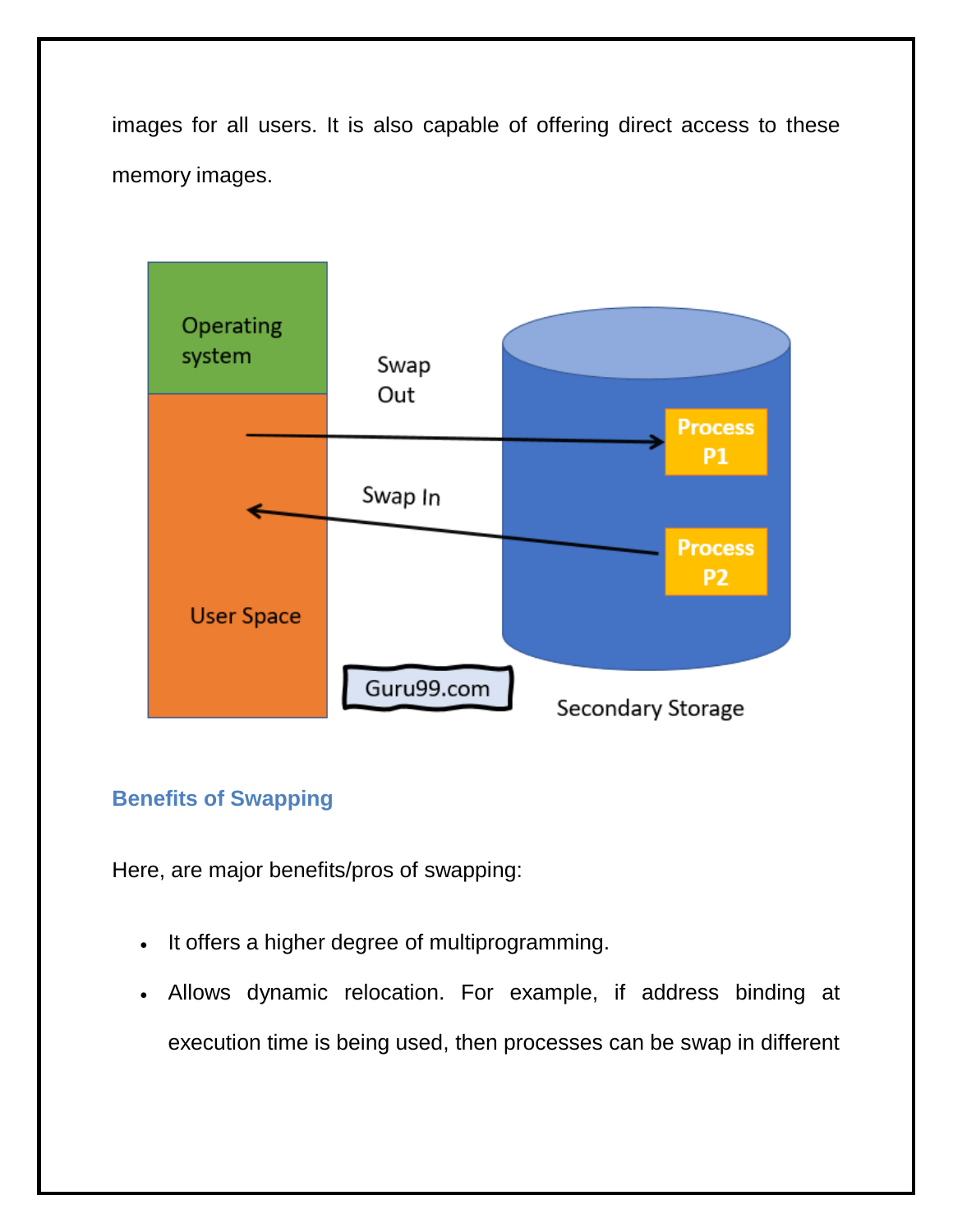images for all users. It is also capable of offering direct access to these memory images.



# **Benefits of Swapping**

Here, are major benefits/pros of swapping:

- It offers a higher degree of multiprogramming.
- Allows dynamic relocation. For example, if address binding at execution time is being used, then processes can be swap in different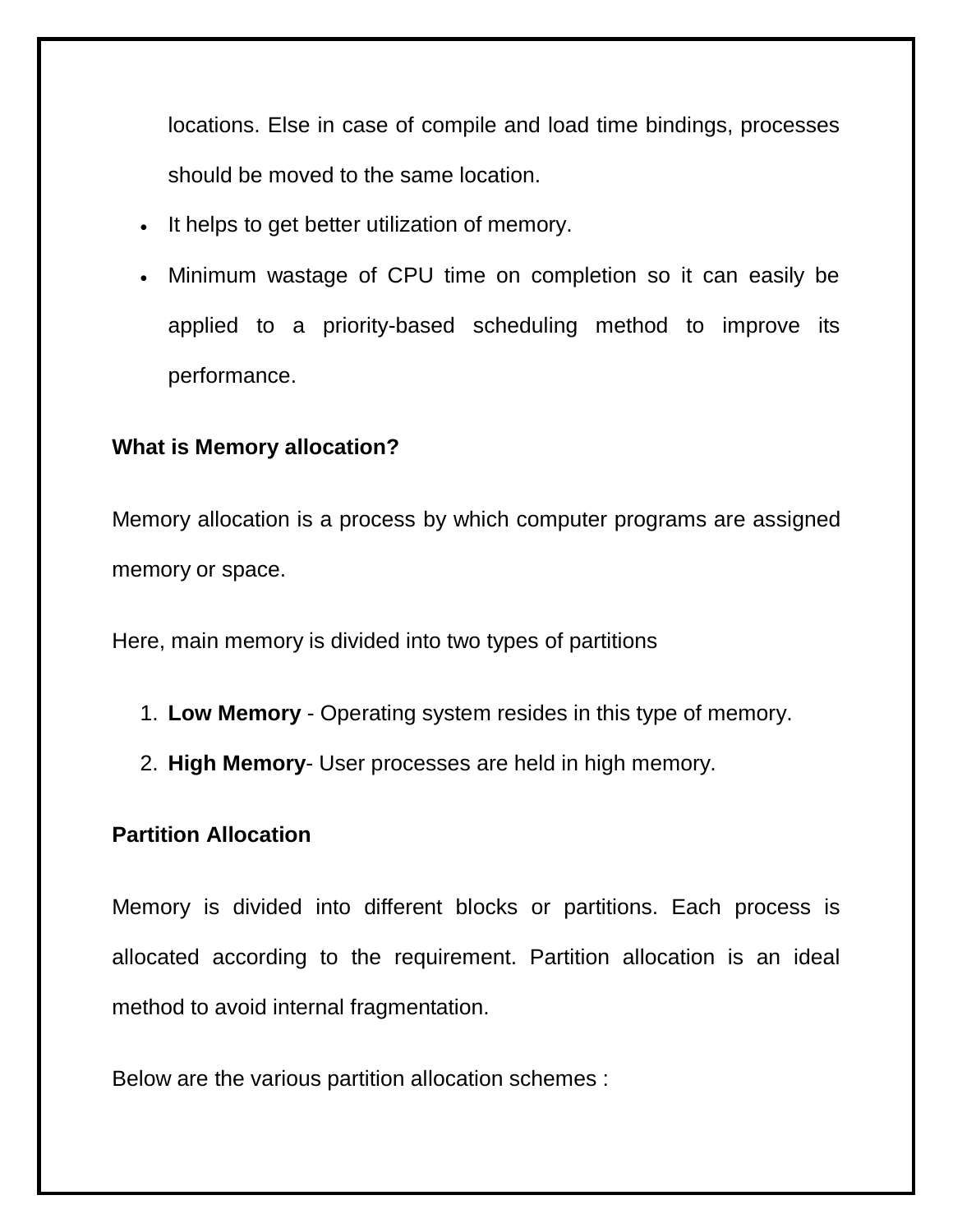locations. Else in case of compile and load time bindings, processes should be moved to the same location.

- It helps to get better utilization of memory.
- Minimum wastage of CPU time on completion so it can easily be applied to a priority-based scheduling method to improve its performance.

### **What is Memory allocation?**

Memory allocation is a process by which computer programs are assigned memory or space.

Here, main memory is divided into two types of partitions

- 1. **Low Memory** Operating system resides in this type of memory.
- 2. **High Memory** User processes are held in high memory.

# **Partition Allocation**

Memory is divided into different blocks or partitions. Each process is allocated according to the requirement. Partition allocation is an ideal method to avoid internal fragmentation.

Below are the various partition allocation schemes :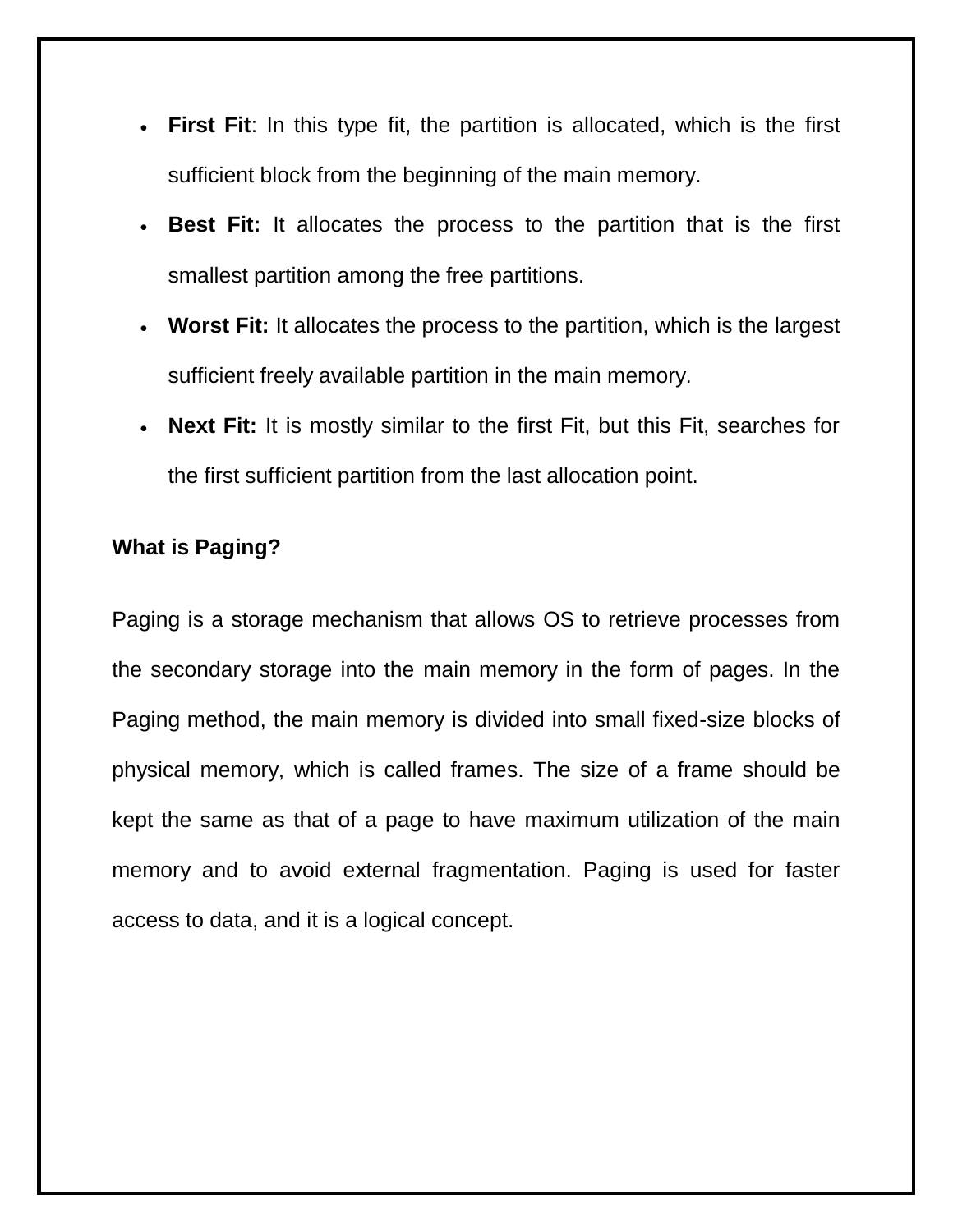- **First Fit:** In this type fit, the partition is allocated, which is the first sufficient block from the beginning of the main memory.
- **Best Fit:** It allocates the process to the partition that is the first smallest partition among the free partitions.
- **Worst Fit:** It allocates the process to the partition, which is the largest sufficient freely available partition in the main memory.
- **Next Fit:** It is mostly similar to the first Fit, but this Fit, searches for the first sufficient partition from the last allocation point.

#### **What is Paging?**

Paging is a storage mechanism that allows OS to retrieve processes from the secondary storage into the main memory in the form of pages. In the Paging method, the main memory is divided into small fixed-size blocks of physical memory, which is called frames. The size of a frame should be kept the same as that of a page to have maximum utilization of the main memory and to avoid external fragmentation. Paging is used for faster access to data, and it is a logical concept.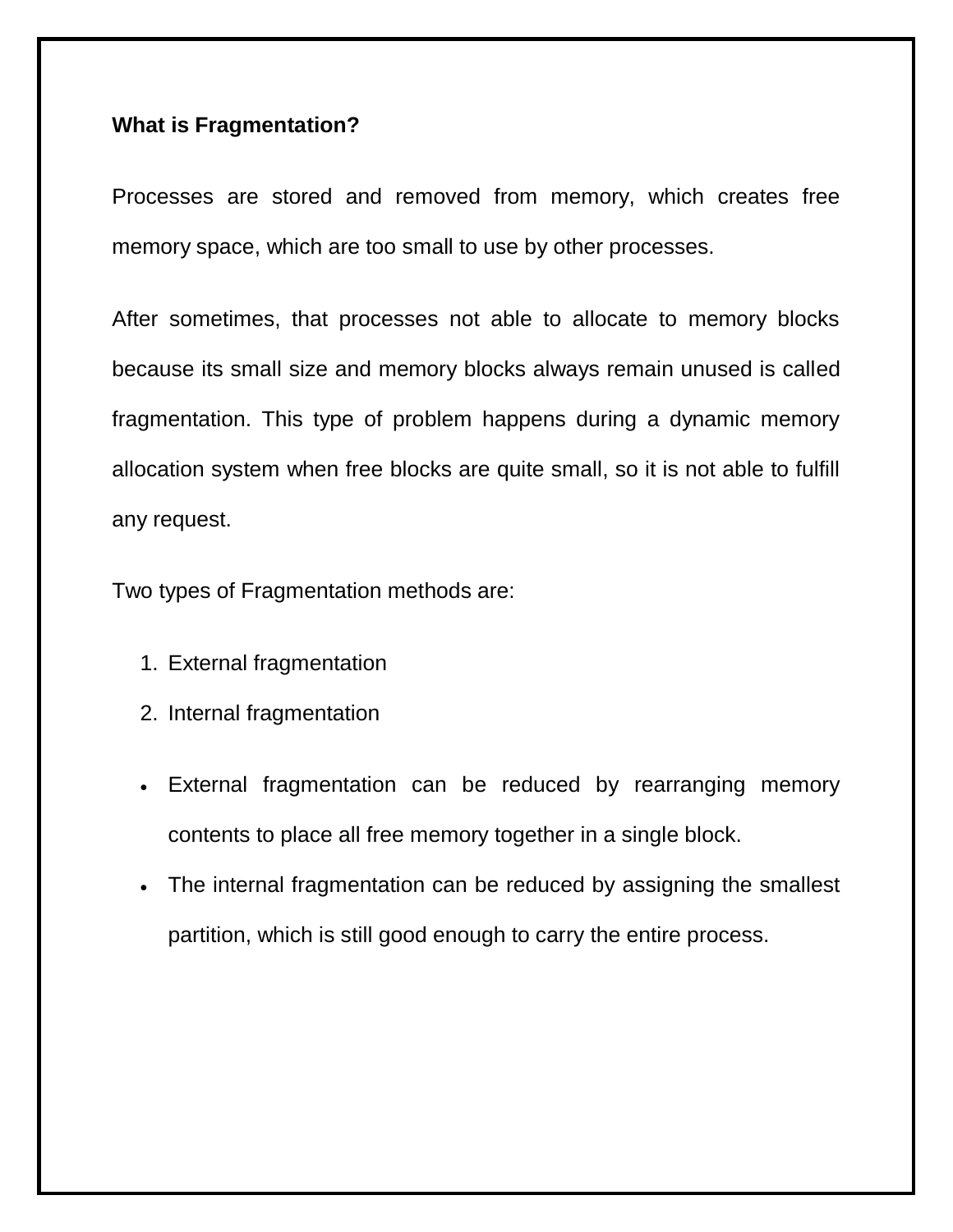#### **What is Fragmentation?**

Processes are stored and removed from memory, which creates free memory space, which are too small to use by other processes.

After sometimes, that processes not able to allocate to memory blocks because its small size and memory blocks always remain unused is called fragmentation. This type of problem happens during a dynamic memory allocation system when free blocks are quite small, so it is not able to fulfill any request.

Two types of Fragmentation methods are:

- 1. External fragmentation
- 2. Internal fragmentation
- External fragmentation can be reduced by rearranging memory contents to place all free memory together in a single block.
- The internal fragmentation can be reduced by assigning the smallest partition, which is still good enough to carry the entire process.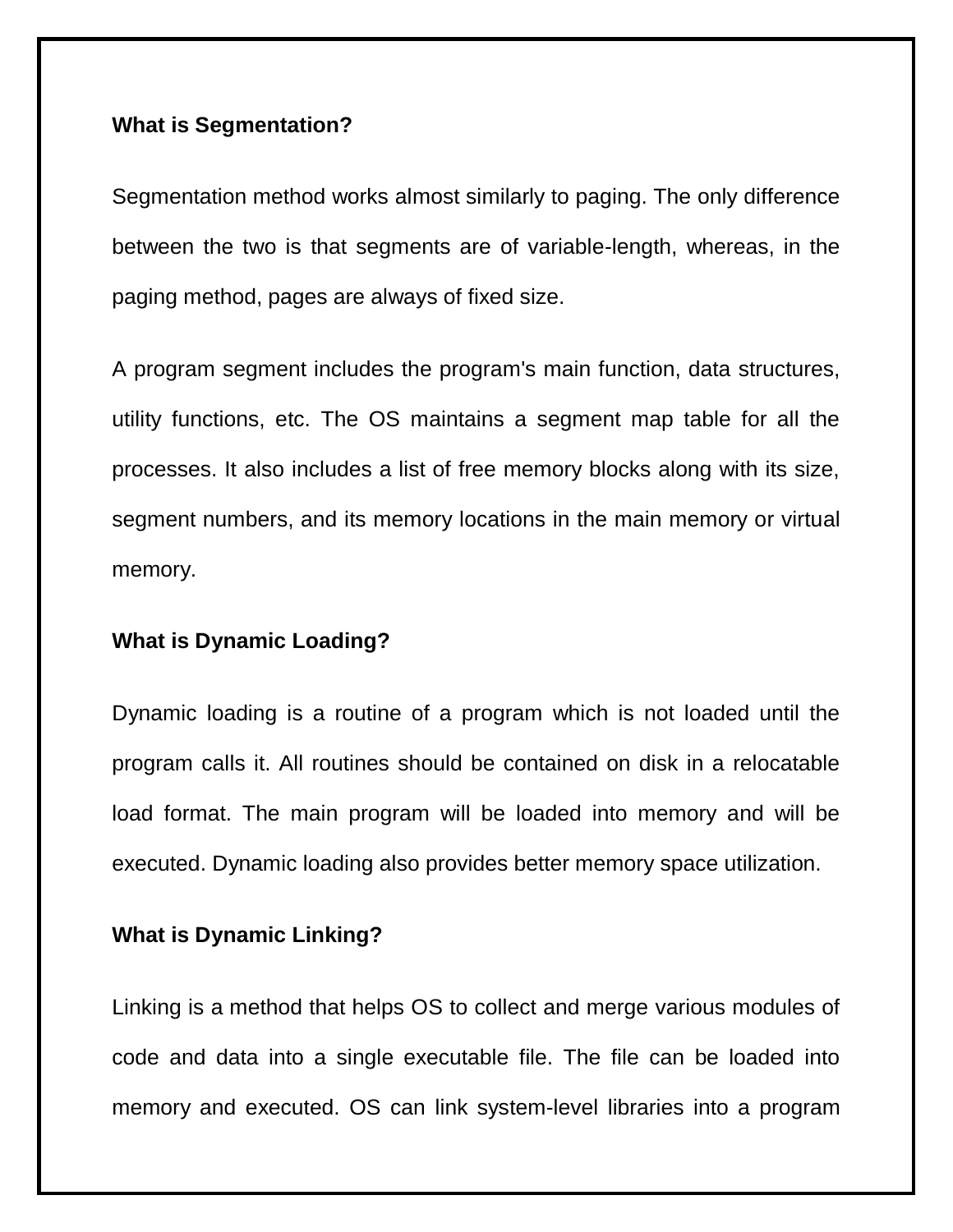#### **What is Segmentation?**

Segmentation method works almost similarly to paging. The only difference between the two is that segments are of variable-length, whereas, in the paging method, pages are always of fixed size.

A program segment includes the program's main function, data structures, utility functions, etc. The OS maintains a segment map table for all the processes. It also includes a list of free memory blocks along with its size, segment numbers, and its memory locations in the main memory or virtual memory.

#### **What is Dynamic Loading?**

Dynamic loading is a routine of a program which is not loaded until the program calls it. All routines should be contained on disk in a relocatable load format. The main program will be loaded into memory and will be executed. Dynamic loading also provides better memory space utilization.

### **What is Dynamic Linking?**

Linking is a method that helps OS to collect and merge various modules of code and data into a single executable file. The file can be loaded into memory and executed. OS can link system-level libraries into a program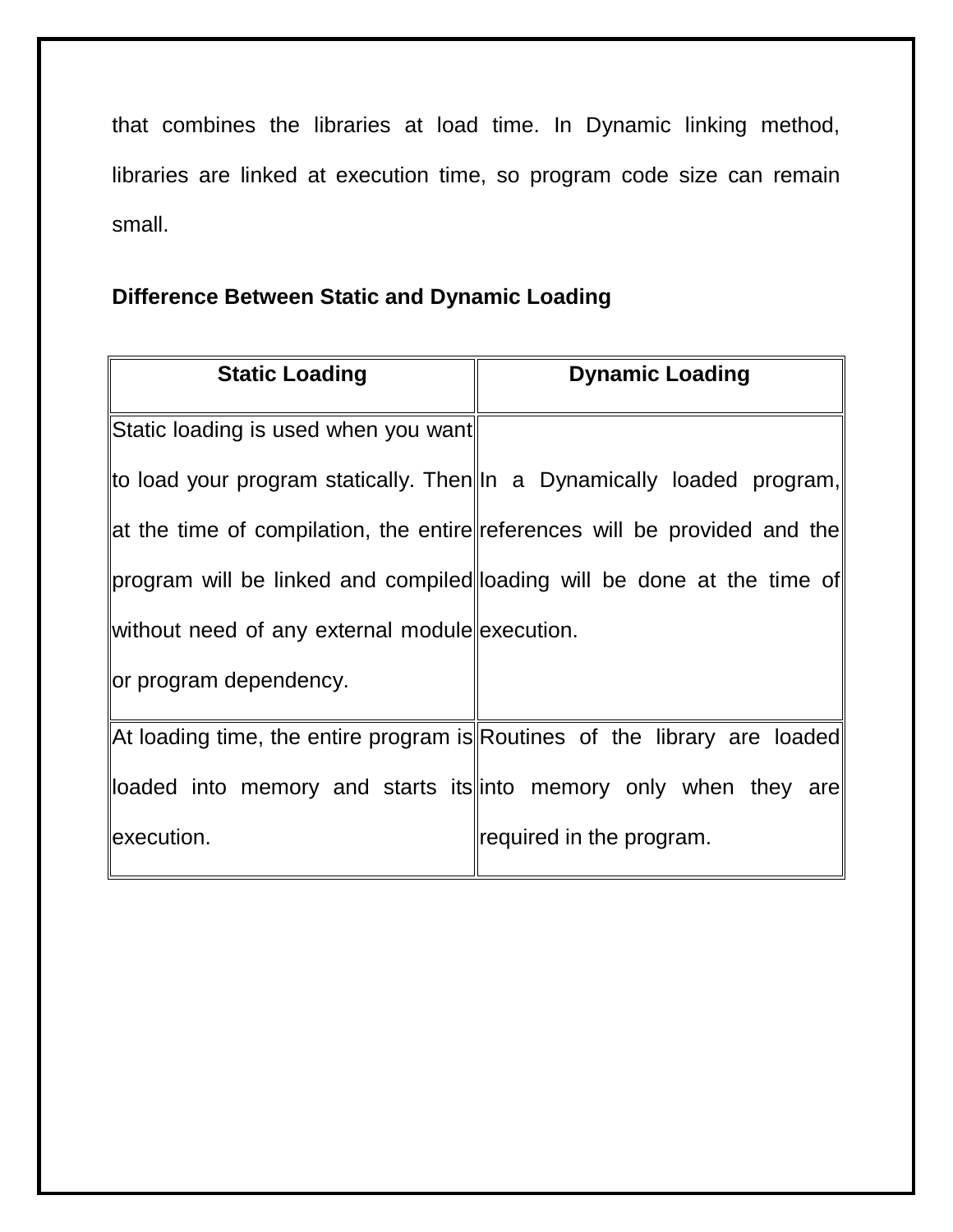that combines the libraries at load time. In Dynamic linking method, libraries are linked at execution time, so program code size can remain small.

# **Difference Between Static and Dynamic Loading**

| <b>Static Loading</b>                          | <b>Dynamic Loading</b>                                                     |
|------------------------------------------------|----------------------------------------------------------------------------|
| Static loading is used when you want           |                                                                            |
|                                                | to load your program statically. Then  In a Dynamically loaded program,    |
|                                                | at the time of compilation, the entire references will be provided and the |
|                                                | program will be linked and compiled loading will be done at the time of    |
| without need of any external module execution. |                                                                            |
| or program dependency.                         |                                                                            |
|                                                | At loading time, the entire program is Routines of the library are loaded  |
|                                                | loaded into memory and starts its into memory only when they are           |
| execution.                                     | required in the program.                                                   |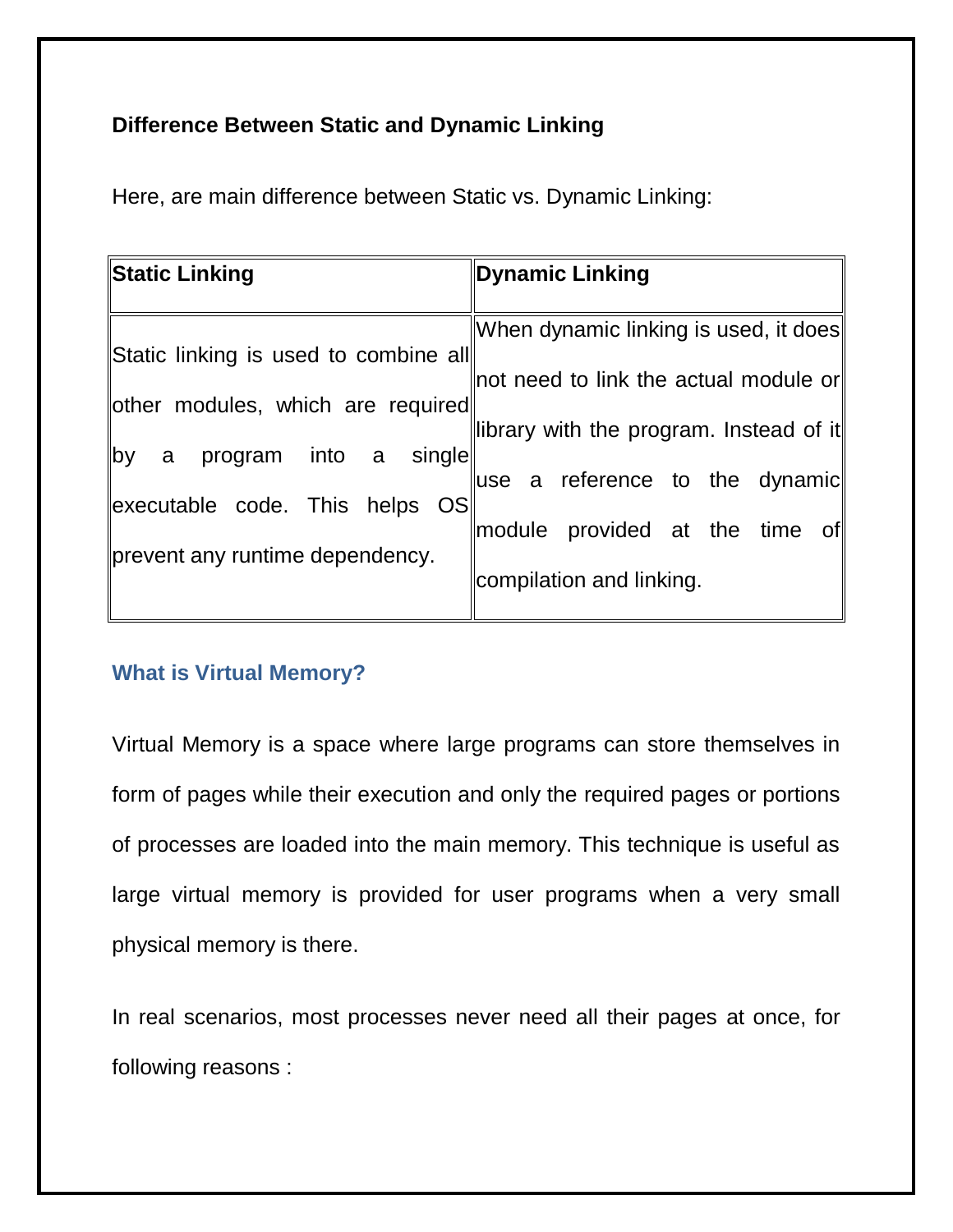# **Difference Between Static and Dynamic Linking**

Here, are main difference between Static vs. Dynamic Linking:

| <b>Static Linking</b>                   | Dynamic Linking                         |
|-----------------------------------------|-----------------------------------------|
|                                         |                                         |
|                                         | When dynamic linking is used, it does   |
| Static linking is used to combine all   |                                         |
|                                         | ∥not need to link the actual module or∥ |
| other modules, which are required       |                                         |
|                                         | library with the program. Instead of it |
| single∥<br>into a<br>program<br>by<br>a |                                         |
|                                         | a reference to the dynamic<br>lluse     |
| executable code. This helps OS          |                                         |
|                                         | module provided at the time<br>ofl      |
| prevent any runtime dependency.         | compilation and linking.                |
|                                         |                                         |

# **What is Virtual Memory?**

Virtual Memory is a space where large programs can store themselves in form of pages while their execution and only the required pages or portions of processes are loaded into the main memory. This technique is useful as large virtual memory is provided for user programs when a very small physical memory is there.

In real scenarios, most processes never need all their pages at once, for following reasons :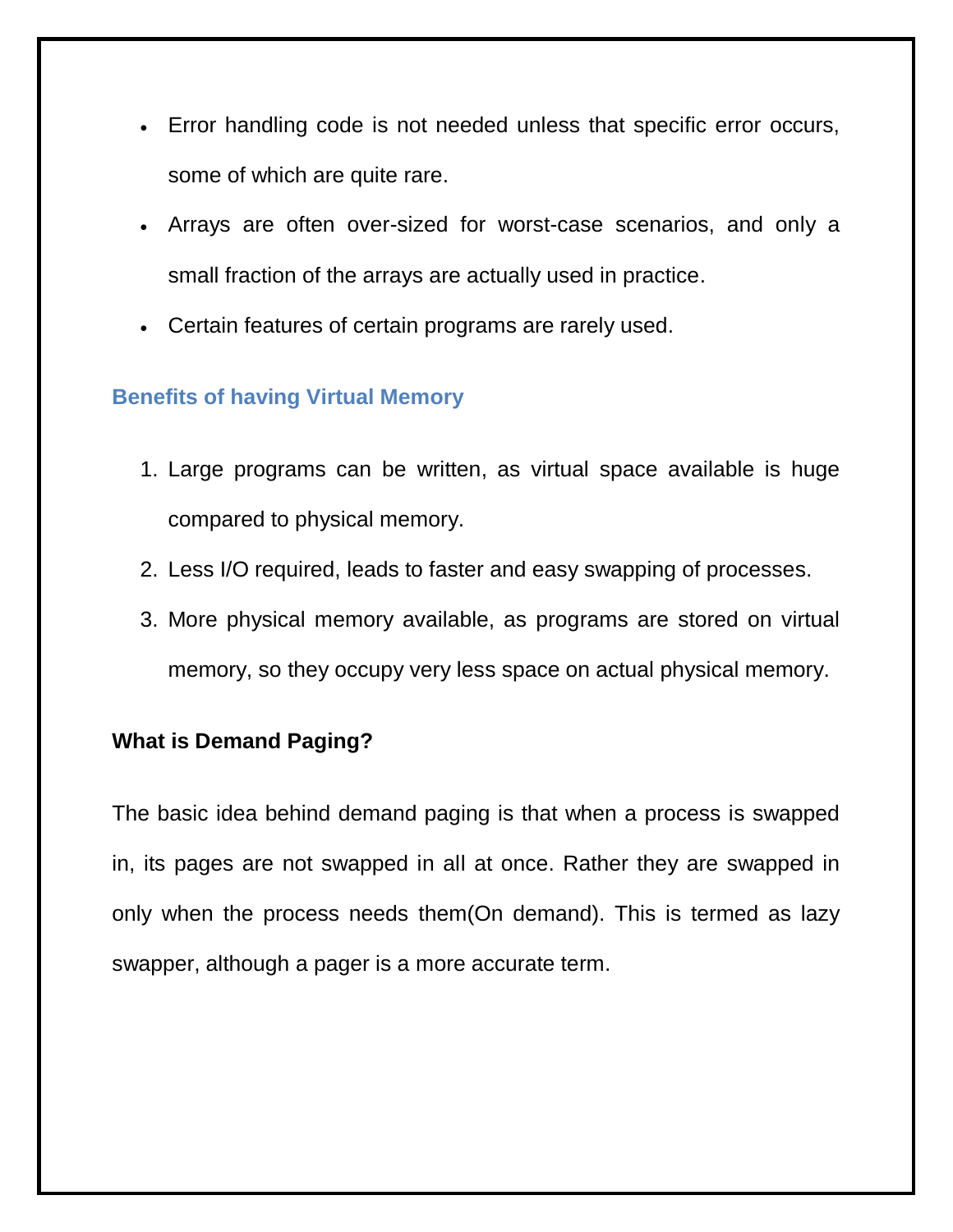- Error handling code is not needed unless that specific error occurs, some of which are quite rare.
- Arrays are often over-sized for worst-case scenarios, and only a small fraction of the arrays are actually used in practice.
- Certain features of certain programs are rarely used.

# **Benefits of having Virtual Memory**

- 1. Large programs can be written, as virtual space available is huge compared to physical memory.
- 2. Less I/O required, leads to faster and easy swapping of processes.
- 3. More physical memory available, as programs are stored on virtual memory, so they occupy very less space on actual physical memory.

# **What is Demand Paging?**

The basic idea behind demand paging is that when a process is swapped in, its pages are not swapped in all at once. Rather they are swapped in only when the process needs them(On demand). This is termed as lazy swapper, although a pager is a more accurate term.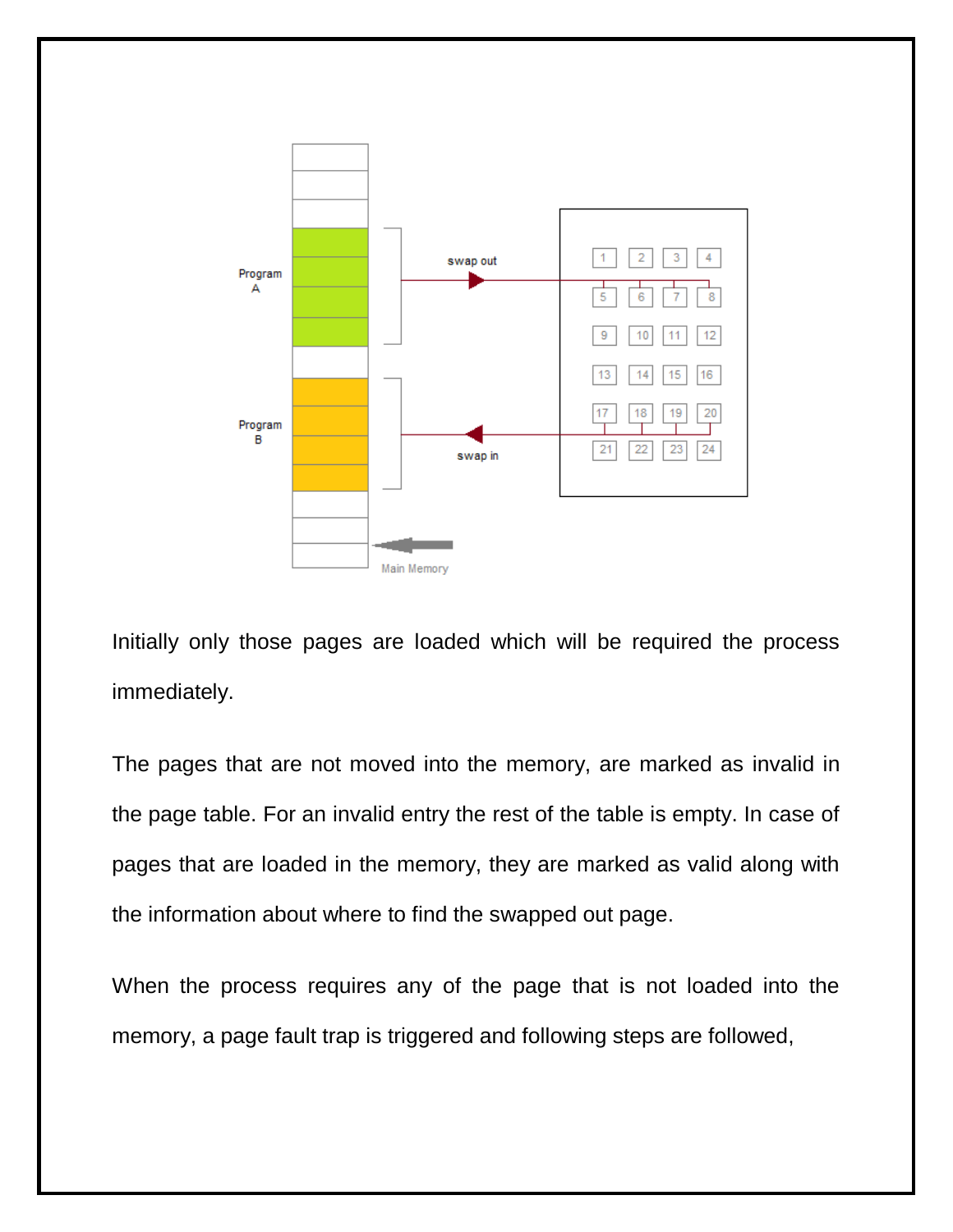

Initially only those pages are loaded which will be required the process immediately.

The pages that are not moved into the memory, are marked as invalid in the page table. For an invalid entry the rest of the table is empty. In case of pages that are loaded in the memory, they are marked as valid along with the information about where to find the swapped out page.

When the process requires any of the page that is not loaded into the memory, a page fault trap is triggered and following steps are followed,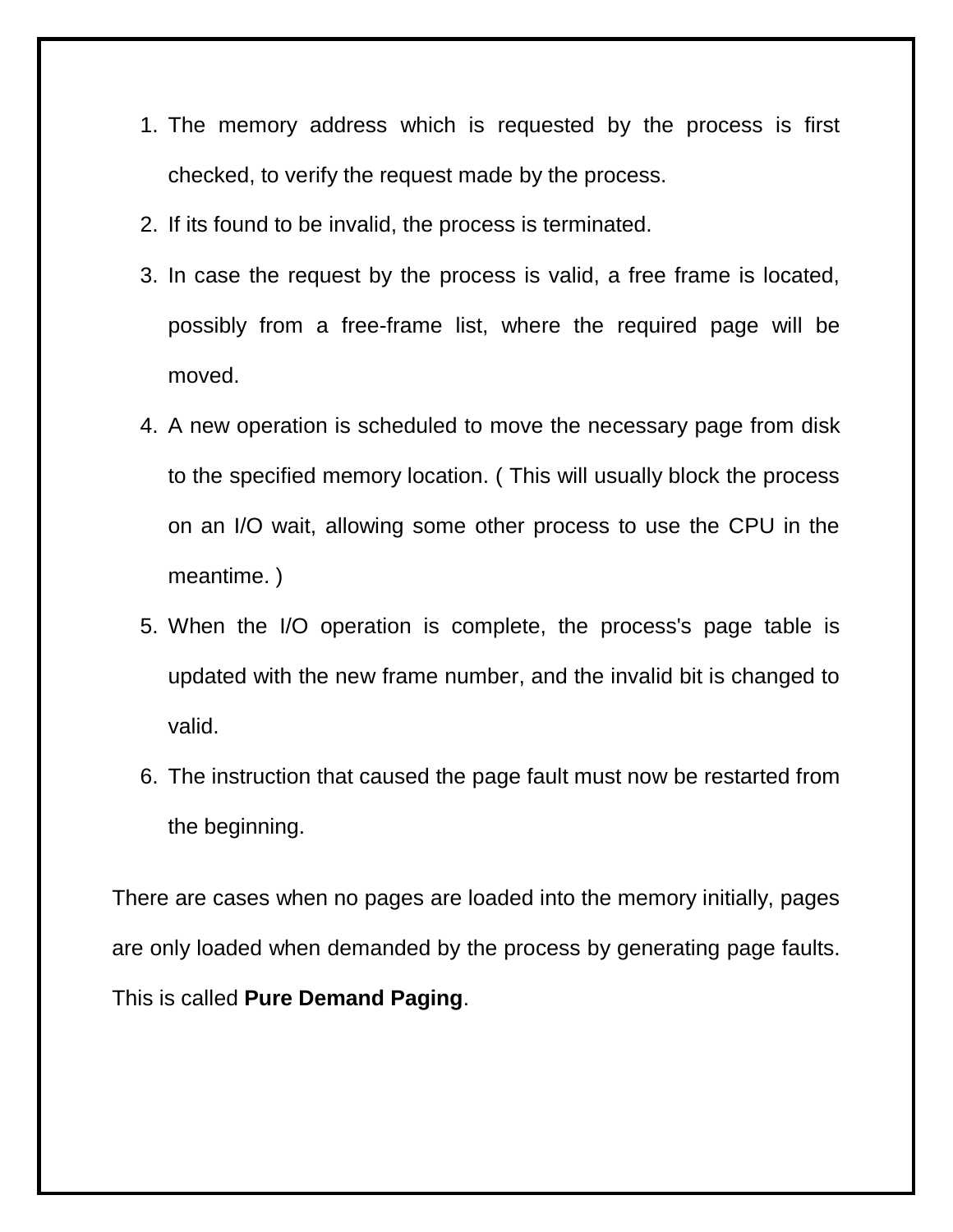- 1. The memory address which is requested by the process is first checked, to verify the request made by the process.
- 2. If its found to be invalid, the process is terminated.
- 3. In case the request by the process is valid, a free frame is located, possibly from a free-frame list, where the required page will be moved.
- 4. A new operation is scheduled to move the necessary page from disk to the specified memory location. ( This will usually block the process on an I/O wait, allowing some other process to use the CPU in the meantime. )
- 5. When the I/O operation is complete, the process's page table is updated with the new frame number, and the invalid bit is changed to valid.
- 6. The instruction that caused the page fault must now be restarted from the beginning.

There are cases when no pages are loaded into the memory initially, pages are only loaded when demanded by the process by generating page faults. This is called **Pure Demand Paging**.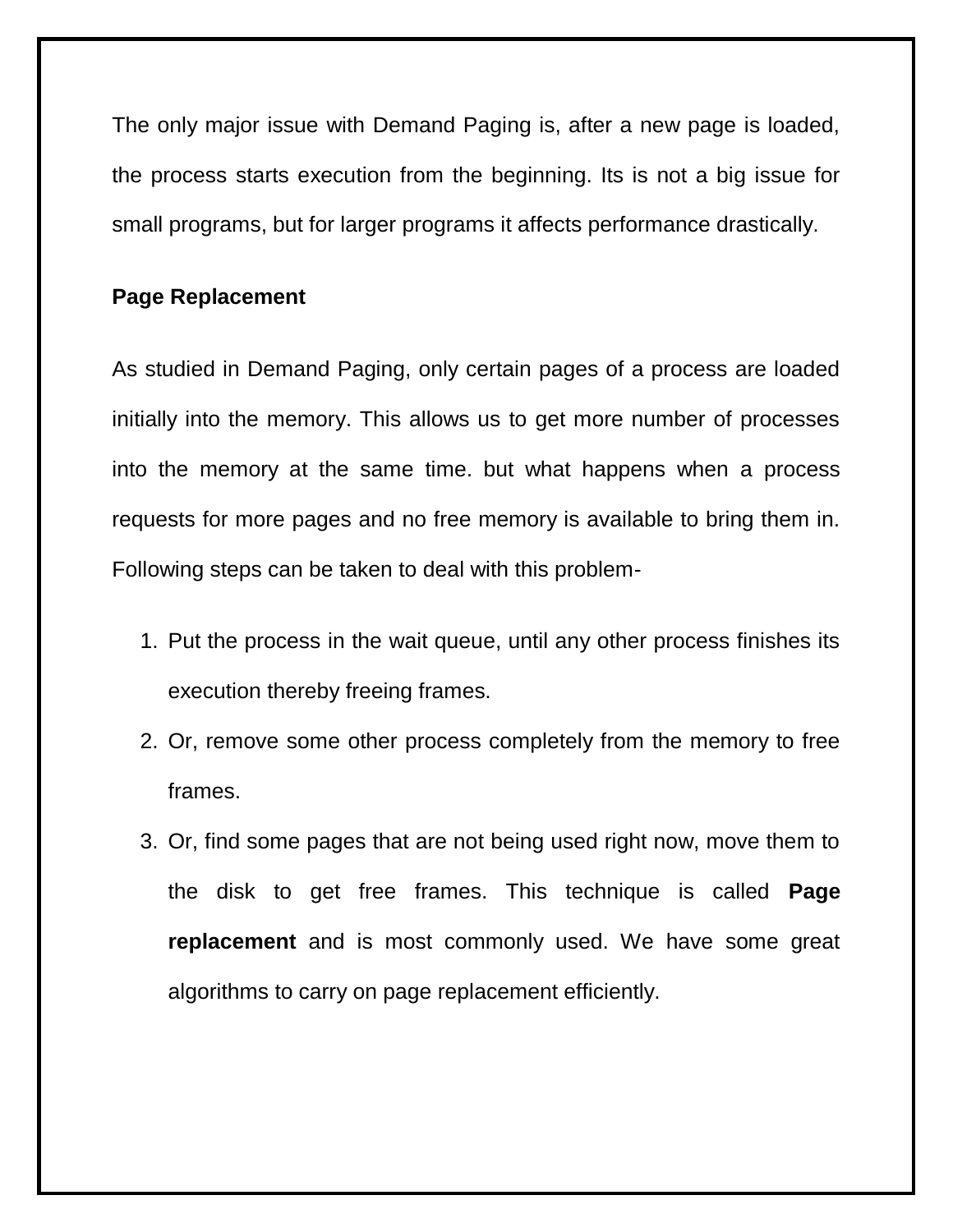The only major issue with Demand Paging is, after a new page is loaded, the process starts execution from the beginning. Its is not a big issue for small programs, but for larger programs it affects performance drastically.

### **Page Replacement**

As studied in Demand Paging, only certain pages of a process are loaded initially into the memory. This allows us to get more number of processes into the memory at the same time. but what happens when a process requests for more pages and no free memory is available to bring them in. Following steps can be taken to deal with this problem-

- 1. Put the process in the wait queue, until any other process finishes its execution thereby freeing frames.
- 2. Or, remove some other process completely from the memory to free frames.
- 3. Or, find some pages that are not being used right now, move them to the disk to get free frames. This technique is called **Page replacement** and is most commonly used. We have some great algorithms to carry on page replacement efficiently.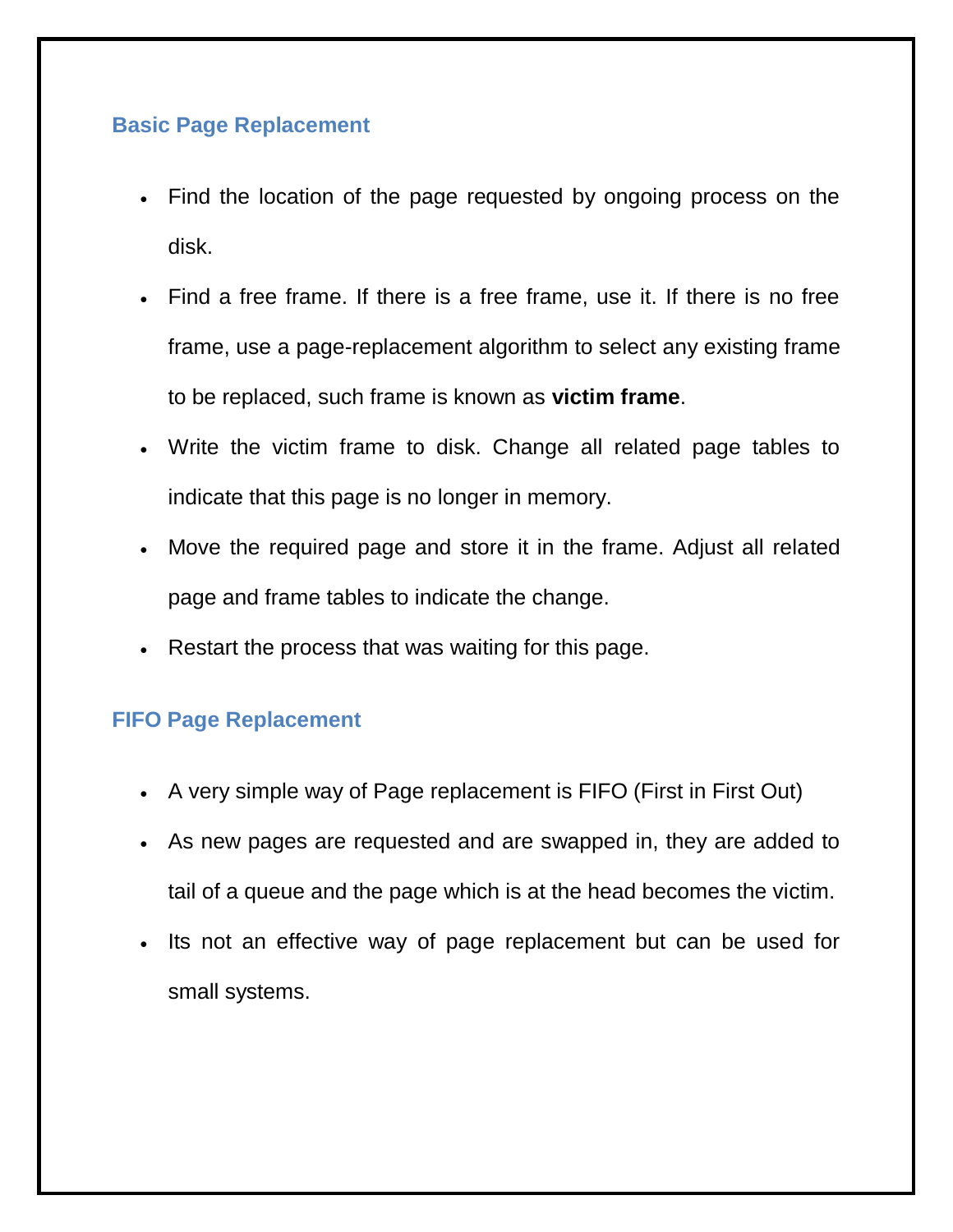### **Basic Page Replacement**

- Find the location of the page requested by ongoing process on the disk.
- Find a free frame. If there is a free frame, use it. If there is no free frame, use a page-replacement algorithm to select any existing frame to be replaced, such frame is known as **victim frame**.
- Write the victim frame to disk. Change all related page tables to indicate that this page is no longer in memory.
- Move the required page and store it in the frame. Adjust all related page and frame tables to indicate the change.
- Restart the process that was waiting for this page.

# **FIFO Page Replacement**

- A very simple way of Page replacement is FIFO (First in First Out)
- As new pages are requested and are swapped in, they are added to tail of a queue and the page which is at the head becomes the victim.
- Its not an effective way of page replacement but can be used for small systems.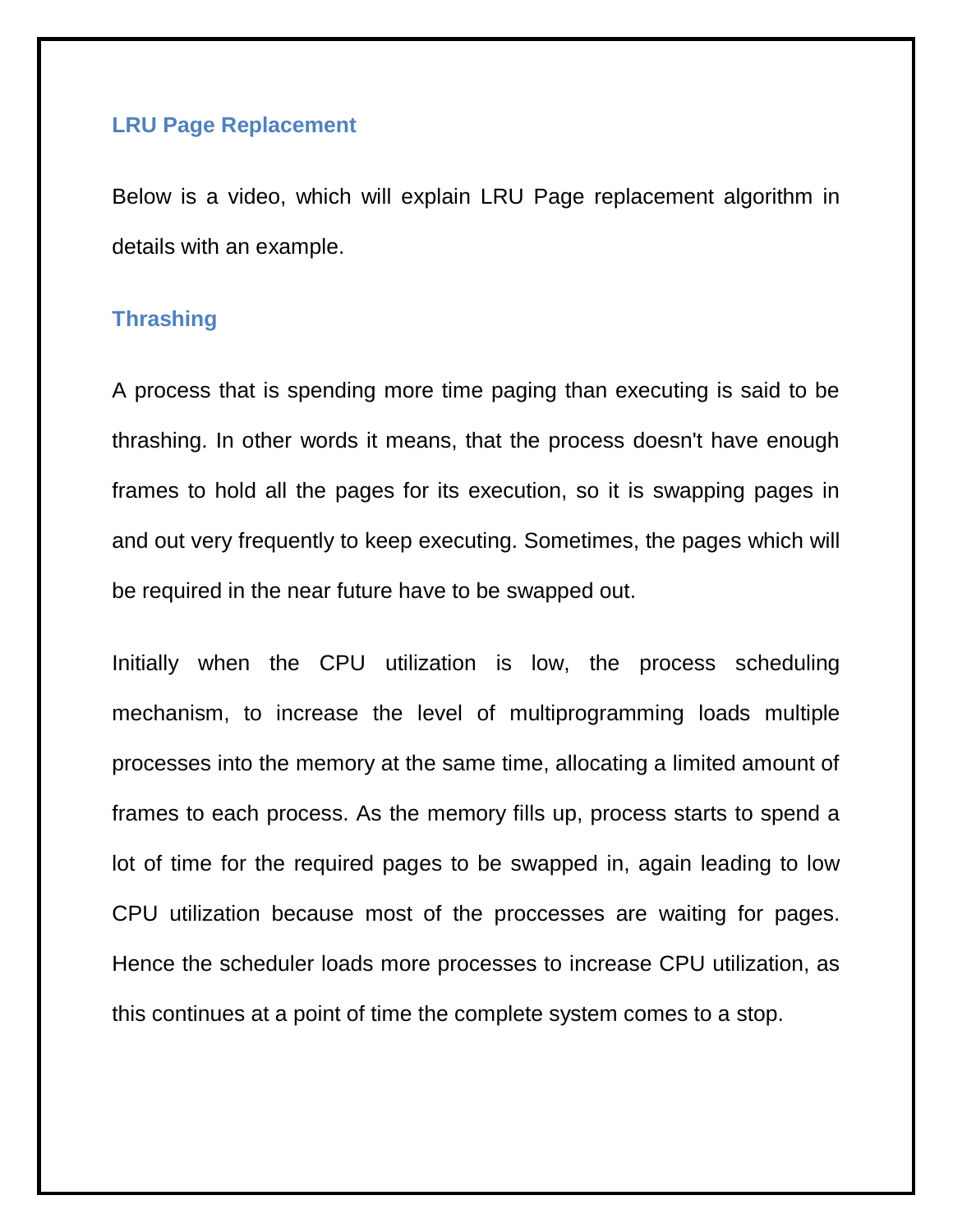#### **LRU Page Replacement**

Below is a video, which will explain LRU Page replacement algorithm in details with an example.

### **Thrashing**

A process that is spending more time paging than executing is said to be thrashing. In other words it means, that the process doesn't have enough frames to hold all the pages for its execution, so it is swapping pages in and out very frequently to keep executing. Sometimes, the pages which will be required in the near future have to be swapped out.

Initially when the CPU utilization is low, the process scheduling mechanism, to increase the level of multiprogramming loads multiple processes into the memory at the same time, allocating a limited amount of frames to each process. As the memory fills up, process starts to spend a lot of time for the required pages to be swapped in, again leading to low CPU utilization because most of the proccesses are waiting for pages. Hence the scheduler loads more processes to increase CPU utilization, as this continues at a point of time the complete system comes to a stop.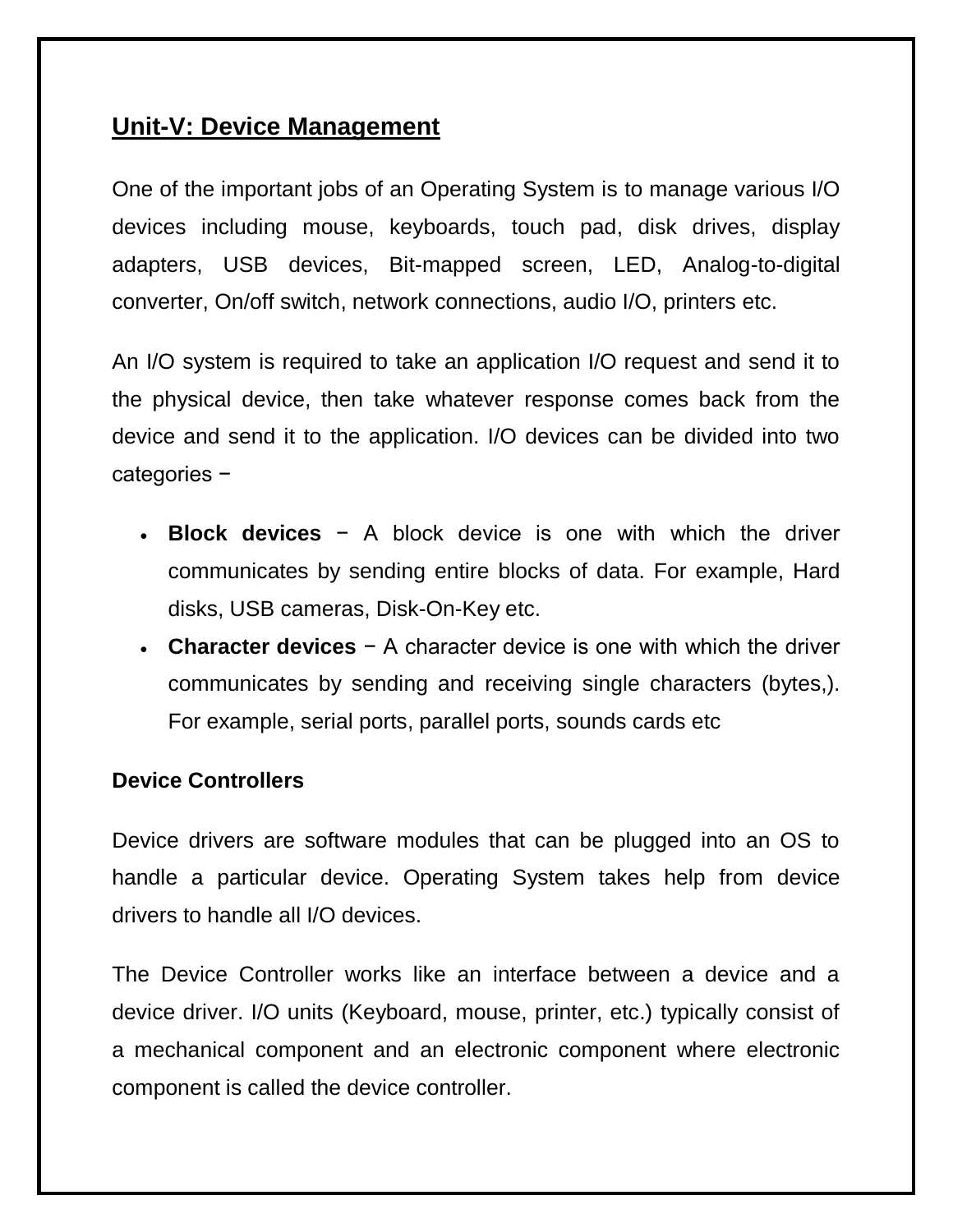# **Unit-V: Device Management**

One of the important jobs of an Operating System is to manage various I/O devices including mouse, keyboards, touch pad, disk drives, display adapters, USB devices, Bit-mapped screen, LED, Analog-to-digital converter, On/off switch, network connections, audio I/O, printers etc.

An I/O system is required to take an application I/O request and send it to the physical device, then take whatever response comes back from the device and send it to the application. I/O devices can be divided into two categories −

- **Block devices** − A block device is one with which the driver communicates by sending entire blocks of data. For example, Hard disks, USB cameras, Disk-On-Key etc.
- **Character devices** − A character device is one with which the driver communicates by sending and receiving single characters (bytes,). For example, serial ports, parallel ports, sounds cards etc

# **Device Controllers**

Device drivers are software modules that can be plugged into an OS to handle a particular device. Operating System takes help from device drivers to handle all I/O devices.

The Device Controller works like an interface between a device and a device driver. I/O units (Keyboard, mouse, printer, etc.) typically consist of a mechanical component and an electronic component where electronic component is called the device controller.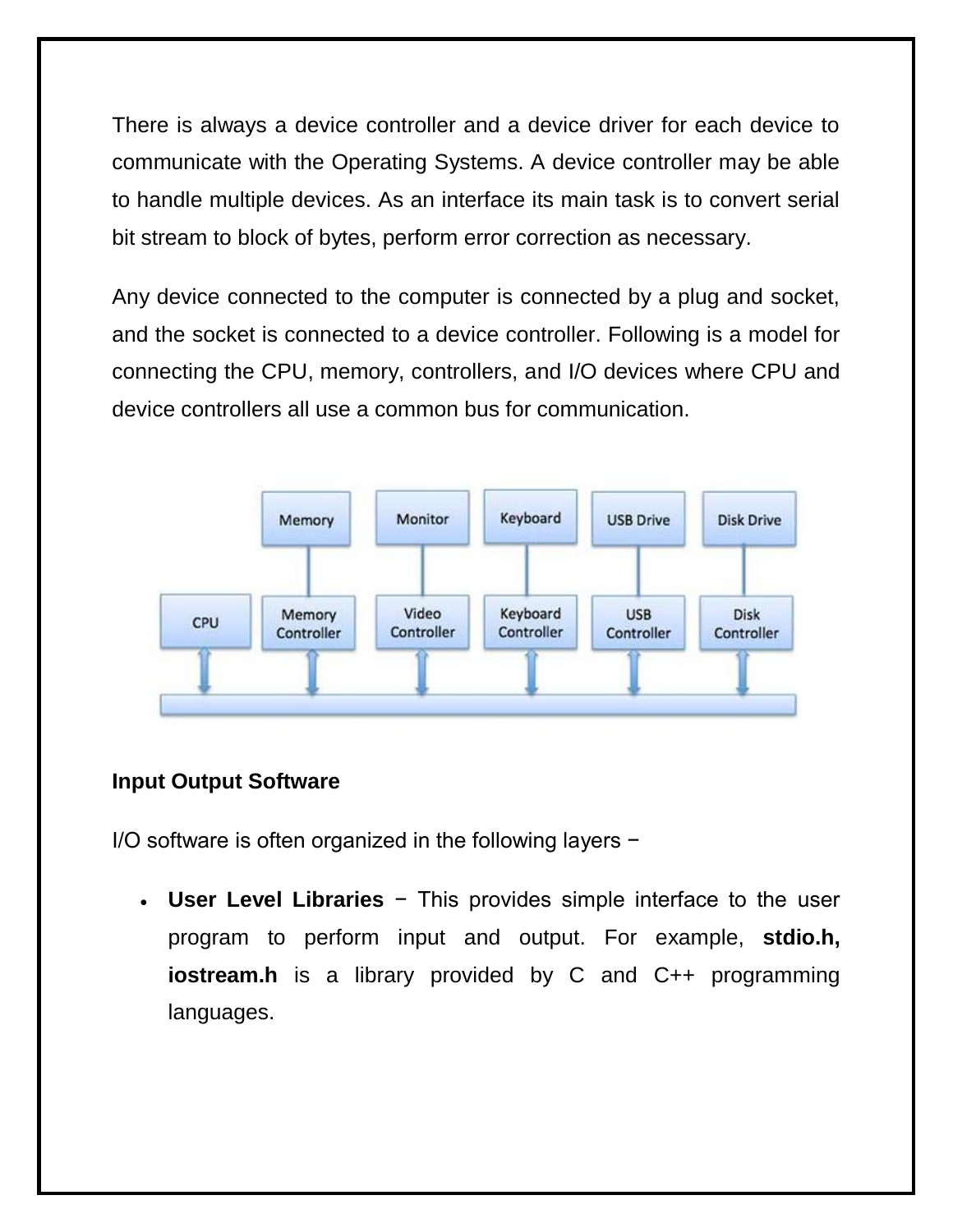There is always a device controller and a device driver for each device to communicate with the Operating Systems. A device controller may be able to handle multiple devices. As an interface its main task is to convert serial bit stream to block of bytes, perform error correction as necessary.

Any device connected to the computer is connected by a plug and socket, and the socket is connected to a device controller. Following is a model for connecting the CPU, memory, controllers, and I/O devices where CPU and device controllers all use a common bus for communication.



### **Input Output Software**

I/O software is often organized in the following layers −

 **User Level Libraries** − This provides simple interface to the user program to perform input and output. For example, **stdio.h, iostream.h** is a library provided by C and C++ programming languages.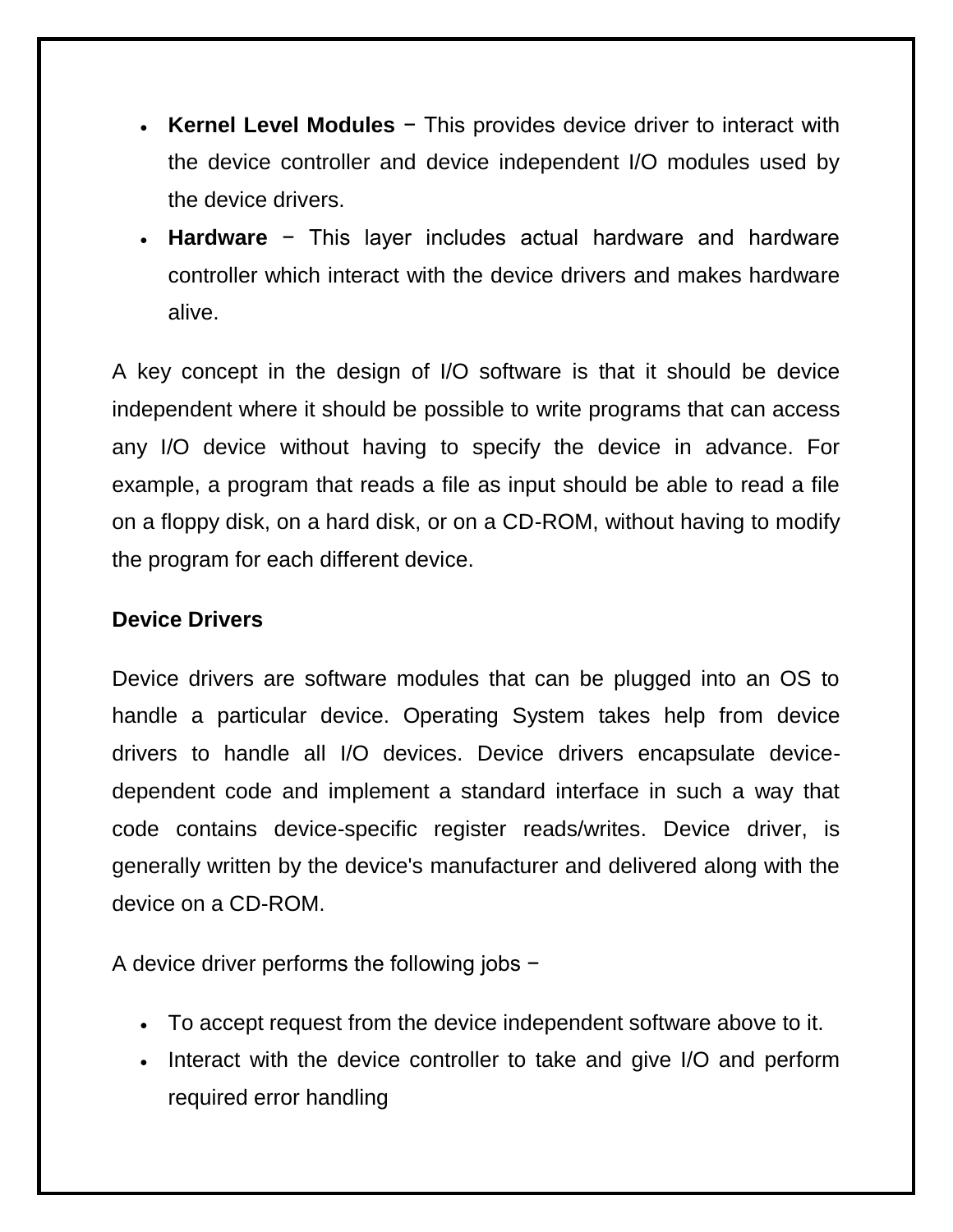- **Kernel Level Modules** − This provides device driver to interact with the device controller and device independent I/O modules used by the device drivers.
- **Hardware** − This layer includes actual hardware and hardware controller which interact with the device drivers and makes hardware alive.

A key concept in the design of I/O software is that it should be device independent where it should be possible to write programs that can access any I/O device without having to specify the device in advance. For example, a program that reads a file as input should be able to read a file on a floppy disk, on a hard disk, or on a CD-ROM, without having to modify the program for each different device.

#### **Device Drivers**

Device drivers are software modules that can be plugged into an OS to handle a particular device. Operating System takes help from device drivers to handle all I/O devices. Device drivers encapsulate devicedependent code and implement a standard interface in such a way that code contains device-specific register reads/writes. Device driver, is generally written by the device's manufacturer and delivered along with the device on a CD-ROM.

A device driver performs the following jobs −

- To accept request from the device independent software above to it.
- Interact with the device controller to take and give I/O and perform required error handling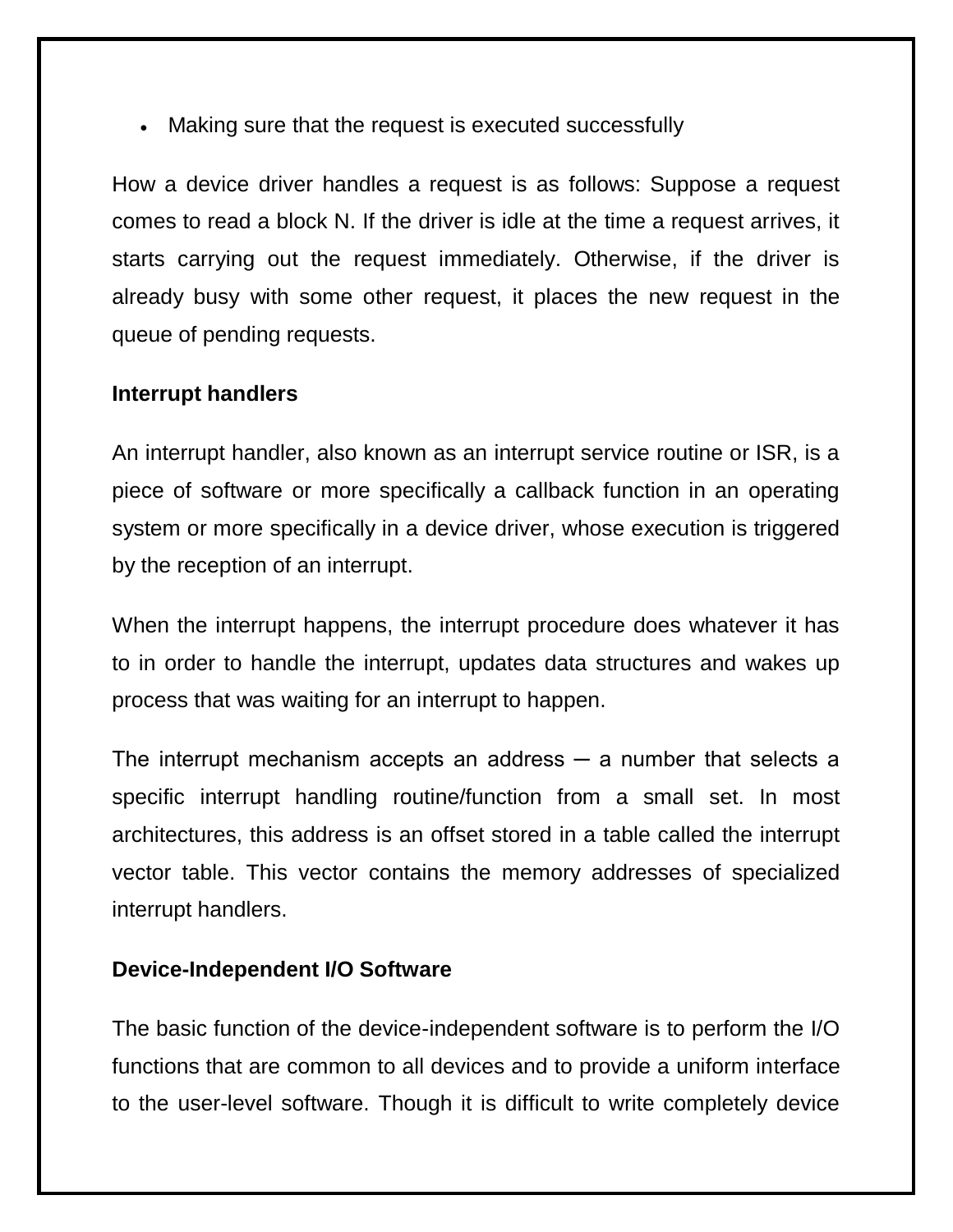Making sure that the request is executed successfully

How a device driver handles a request is as follows: Suppose a request comes to read a block N. If the driver is idle at the time a request arrives, it starts carrying out the request immediately. Otherwise, if the driver is already busy with some other request, it places the new request in the queue of pending requests.

#### **Interrupt handlers**

An interrupt handler, also known as an interrupt service routine or ISR, is a piece of software or more specifically a callback function in an operating system or more specifically in a device driver, whose execution is triggered by the reception of an interrupt.

When the interrupt happens, the interrupt procedure does whatever it has to in order to handle the interrupt, updates data structures and wakes up process that was waiting for an interrupt to happen.

The interrupt mechanism accepts an address  $-$  a number that selects a specific interrupt handling routine/function from a small set. In most architectures, this address is an offset stored in a table called the interrupt vector table. This vector contains the memory addresses of specialized interrupt handlers.

### **Device-Independent I/O Software**

The basic function of the device-independent software is to perform the I/O functions that are common to all devices and to provide a uniform interface to the user-level software. Though it is difficult to write completely device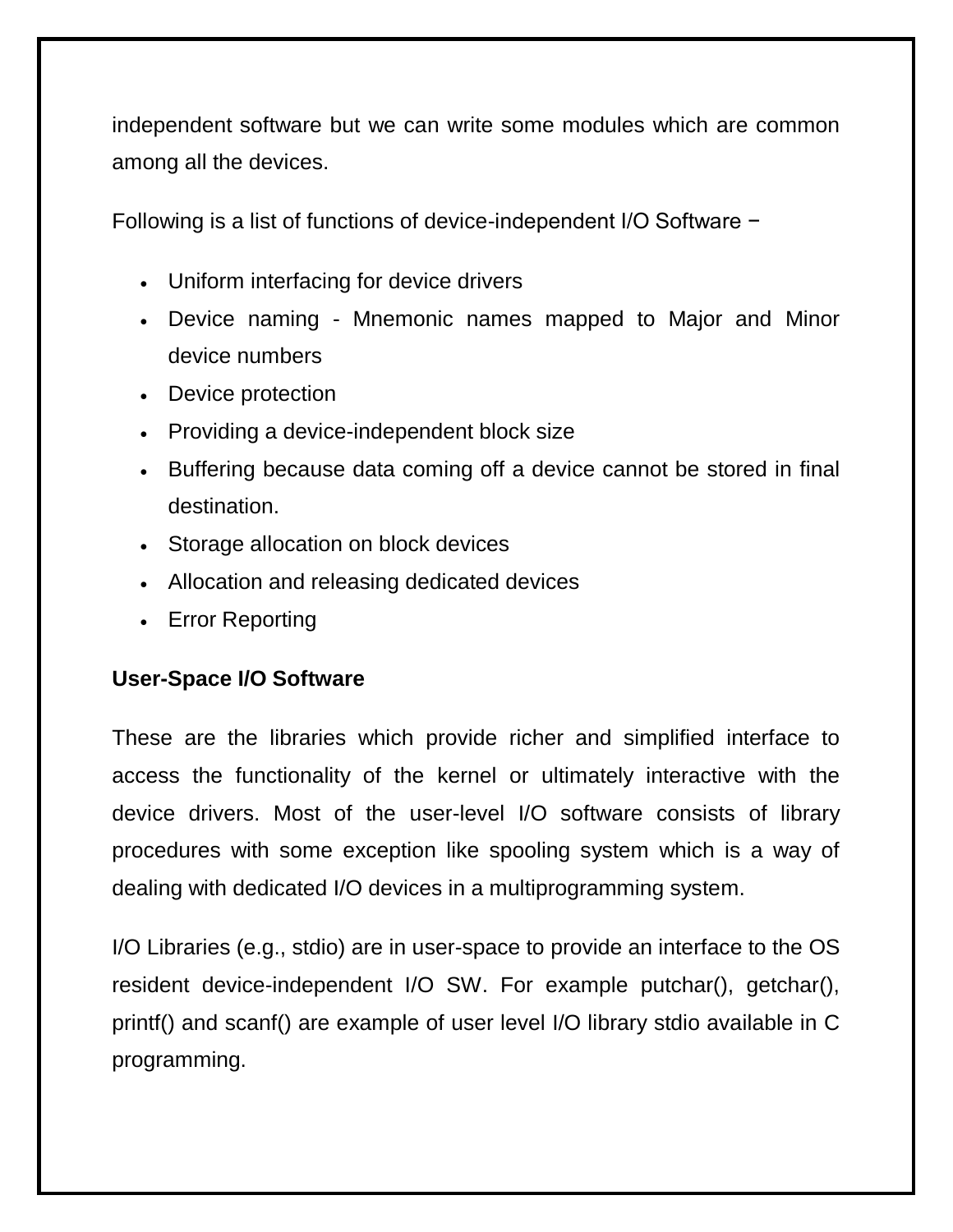independent software but we can write some modules which are common among all the devices.

Following is a list of functions of device-independent I/O Software −

- Uniform interfacing for device drivers
- Device naming Mnemonic names mapped to Major and Minor device numbers
- Device protection
- Providing a device-independent block size
- Buffering because data coming off a device cannot be stored in final destination.
- Storage allocation on block devices
- Allocation and releasing dedicated devices
- Error Reporting

# **User-Space I/O Software**

These are the libraries which provide richer and simplified interface to access the functionality of the kernel or ultimately interactive with the device drivers. Most of the user-level I/O software consists of library procedures with some exception like spooling system which is a way of dealing with dedicated I/O devices in a multiprogramming system.

I/O Libraries (e.g., stdio) are in user-space to provide an interface to the OS resident device-independent I/O SW. For example putchar(), getchar(), printf() and scanf() are example of user level I/O library stdio available in C programming.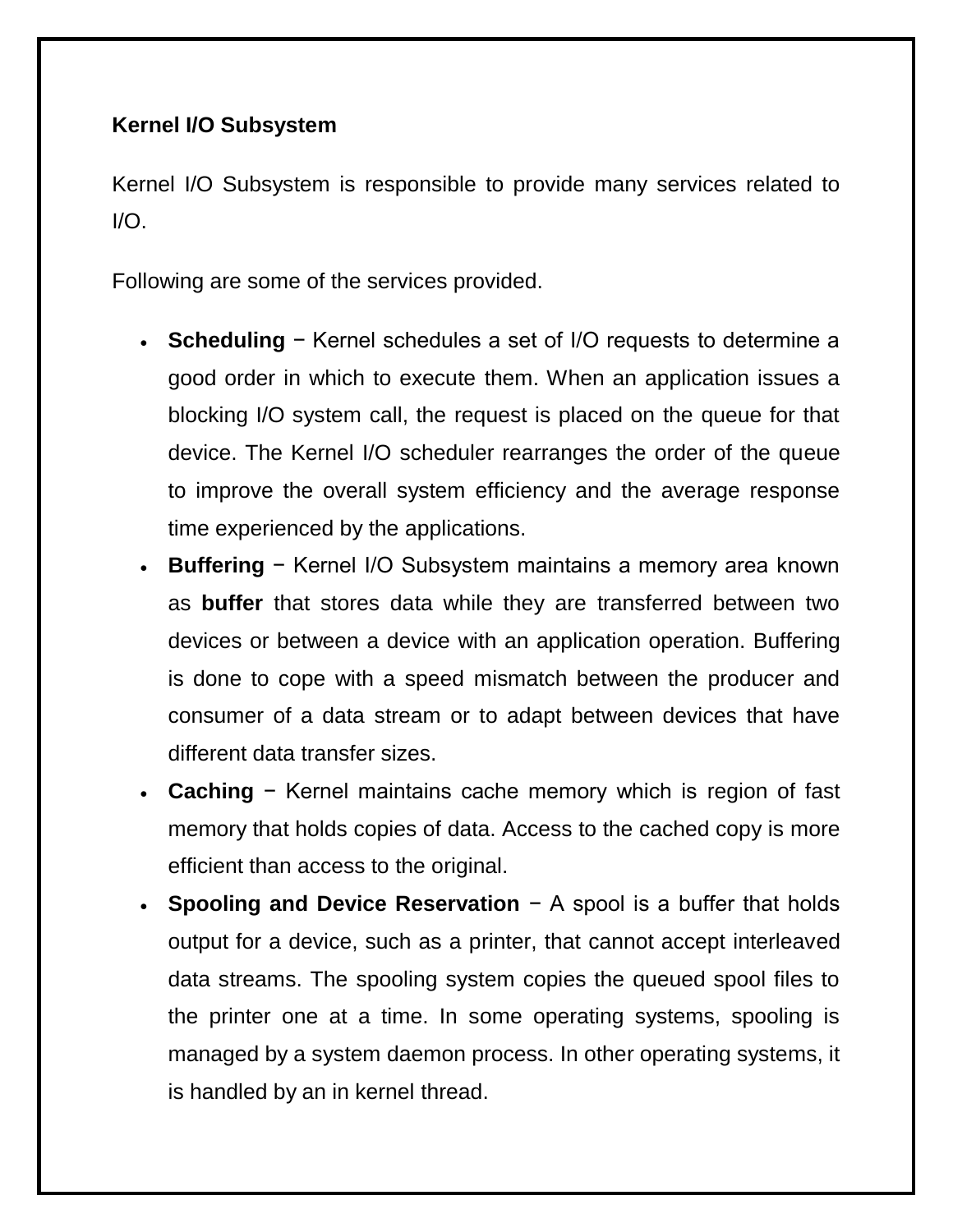### **Kernel I/O Subsystem**

Kernel I/O Subsystem is responsible to provide many services related to  $I/O$ .

Following are some of the services provided.

- **Scheduling** − Kernel schedules a set of I/O requests to determine a good order in which to execute them. When an application issues a blocking I/O system call, the request is placed on the queue for that device. The Kernel I/O scheduler rearranges the order of the queue to improve the overall system efficiency and the average response time experienced by the applications.
- **Buffering** − Kernel I/O Subsystem maintains a memory area known as **buffer** that stores data while they are transferred between two devices or between a device with an application operation. Buffering is done to cope with a speed mismatch between the producer and consumer of a data stream or to adapt between devices that have different data transfer sizes.
- **Caching** − Kernel maintains cache memory which is region of fast memory that holds copies of data. Access to the cached copy is more efficient than access to the original.
- **Spooling and Device Reservation** − A spool is a buffer that holds output for a device, such as a printer, that cannot accept interleaved data streams. The spooling system copies the queued spool files to the printer one at a time. In some operating systems, spooling is managed by a system daemon process. In other operating systems, it is handled by an in kernel thread.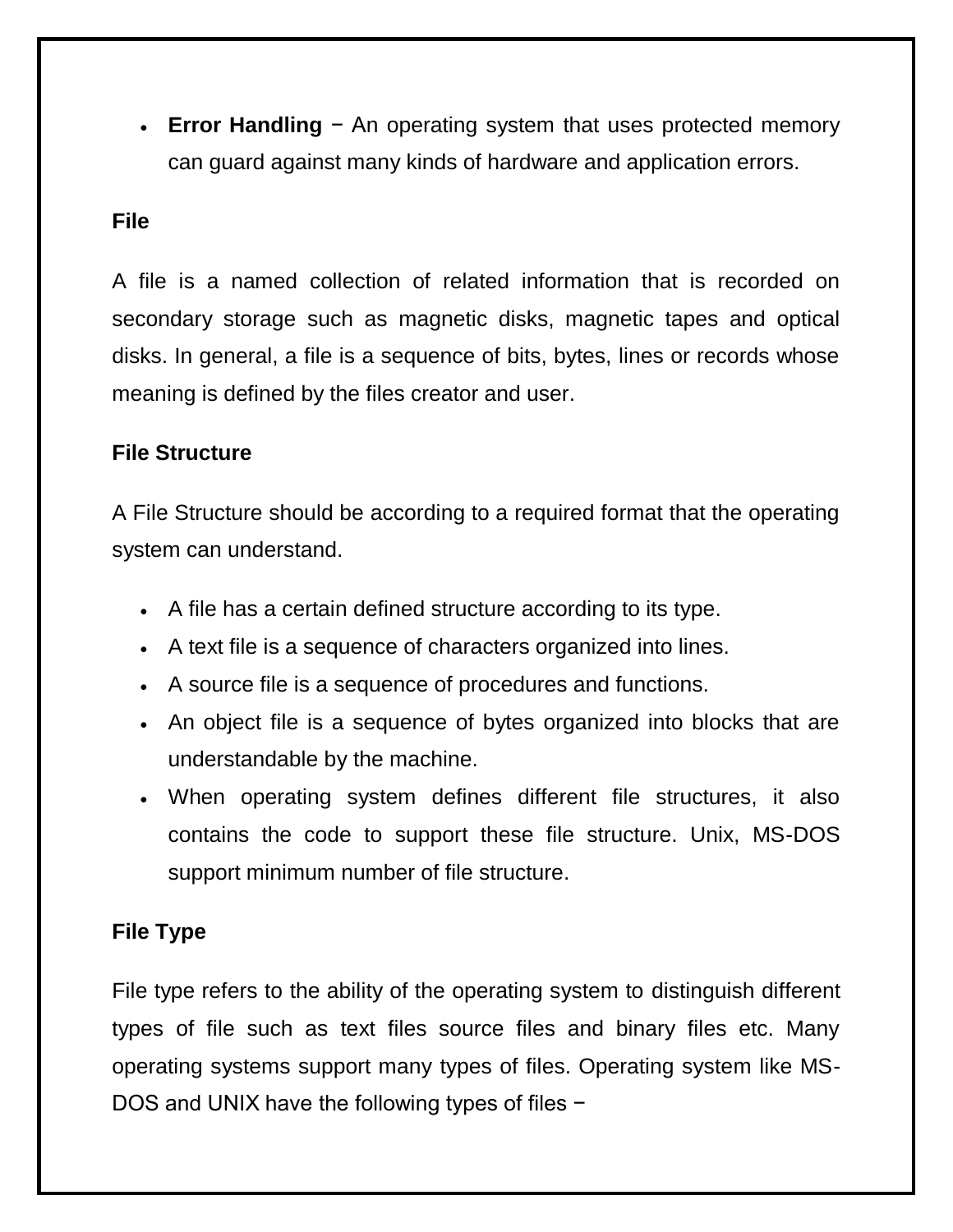■ **Error Handling** − An operating system that uses protected memory can guard against many kinds of hardware and application errors.

#### **File**

A file is a named collection of related information that is recorded on secondary storage such as magnetic disks, magnetic tapes and optical disks. In general, a file is a sequence of bits, bytes, lines or records whose meaning is defined by the files creator and user.

### **File Structure**

A File Structure should be according to a required format that the operating system can understand.

- A file has a certain defined structure according to its type.
- A text file is a sequence of characters organized into lines.
- A source file is a sequence of procedures and functions.
- An object file is a sequence of bytes organized into blocks that are understandable by the machine.
- When operating system defines different file structures, it also contains the code to support these file structure. Unix, MS-DOS support minimum number of file structure.

# **File Type**

File type refers to the ability of the operating system to distinguish different types of file such as text files source files and binary files etc. Many operating systems support many types of files. Operating system like MS-DOS and UNIX have the following types of files −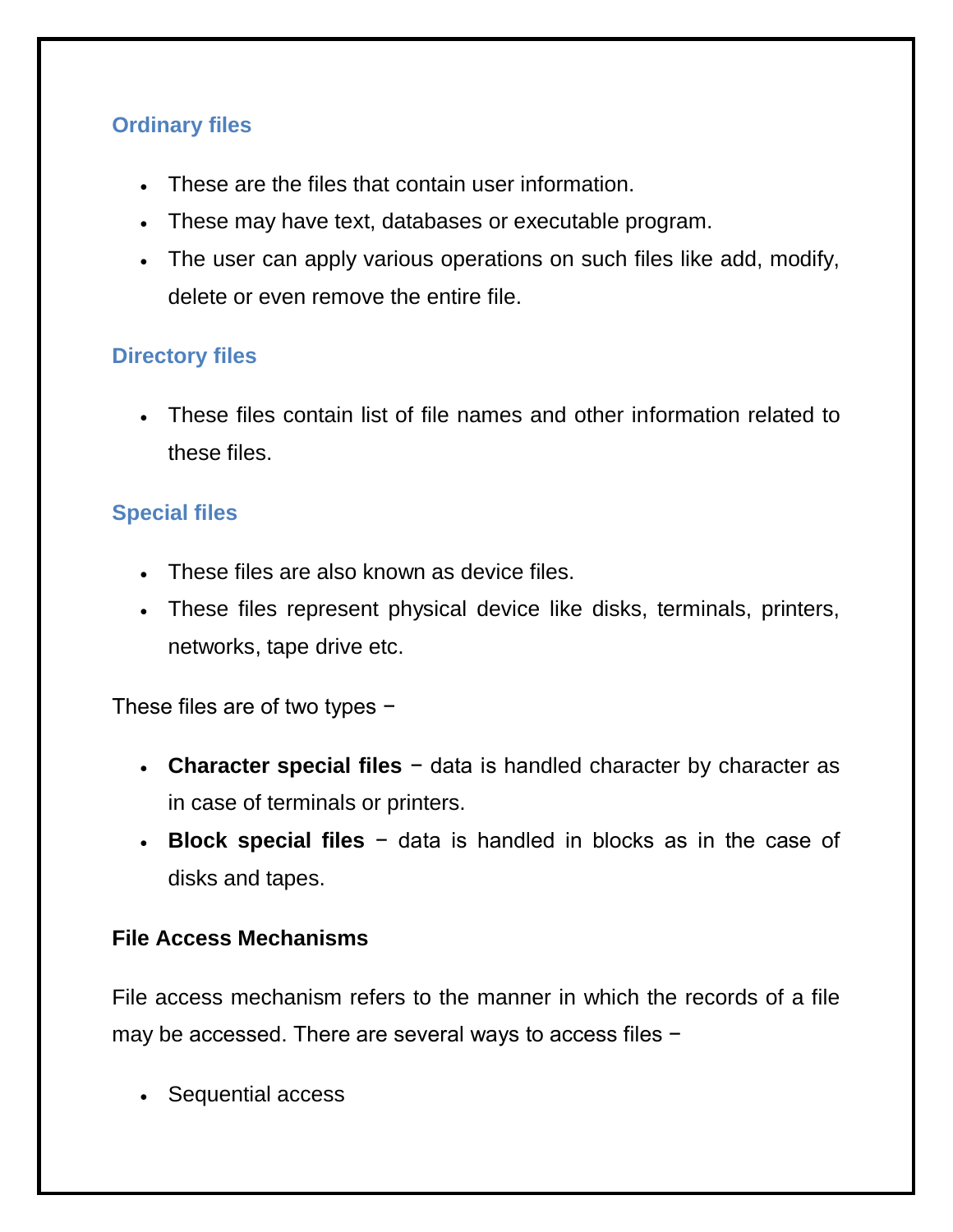# **Ordinary files**

- These are the files that contain user information.
- These may have text, databases or executable program.
- The user can apply various operations on such files like add, modify, delete or even remove the entire file.

# **Directory files**

 These files contain list of file names and other information related to these files.

# **Special files**

- These files are also known as device files.
- These files represent physical device like disks, terminals, printers, networks, tape drive etc.

These files are of two types −

- **Character special files** − data is handled character by character as in case of terminals or printers.
- **Block special files** − data is handled in blocks as in the case of disks and tapes.

# **File Access Mechanisms**

File access mechanism refers to the manner in which the records of a file may be accessed. There are several ways to access files −

• Sequential access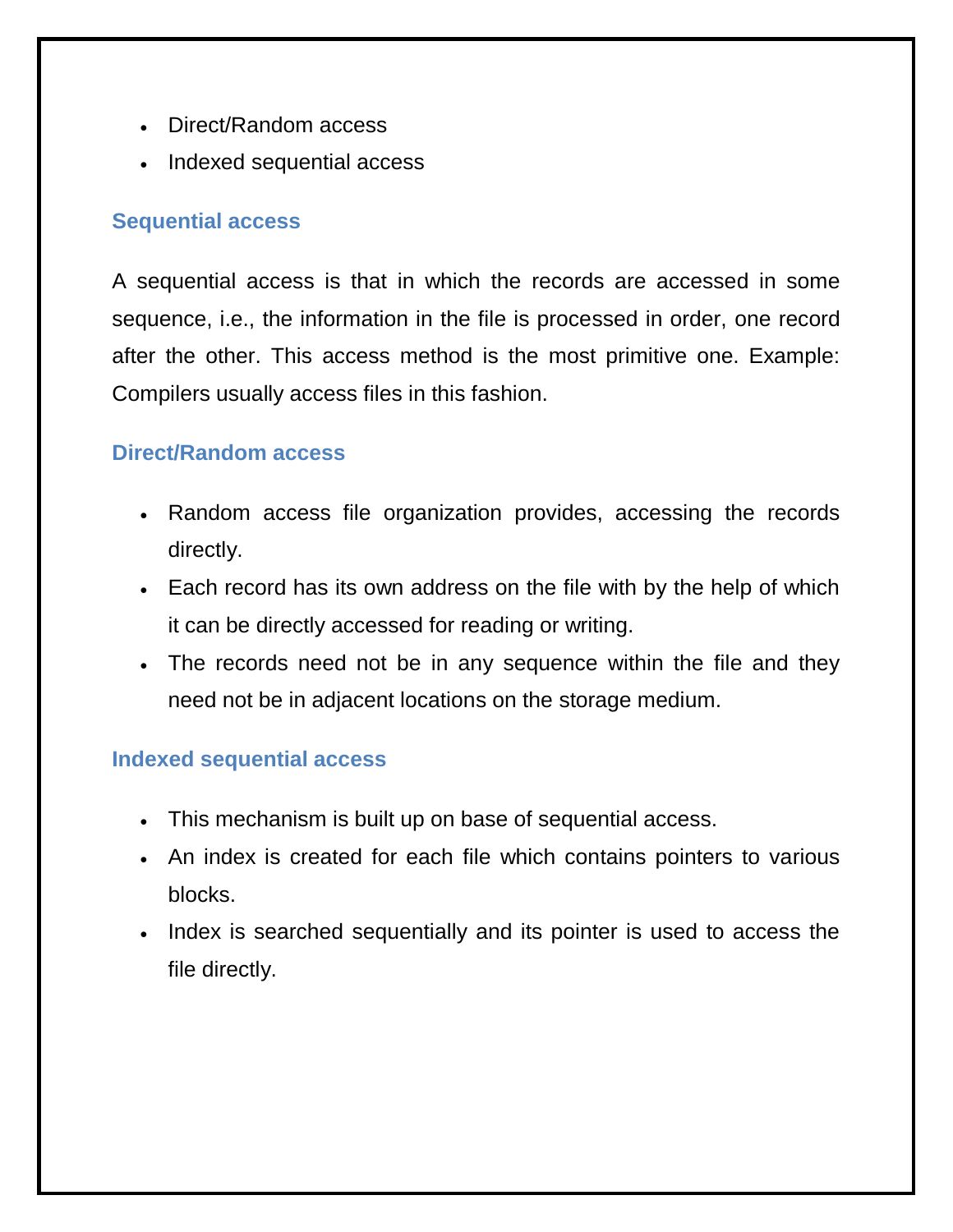- Direct/Random access
- Indexed sequential access

# **Sequential access**

A sequential access is that in which the records are accessed in some sequence, i.e., the information in the file is processed in order, one record after the other. This access method is the most primitive one. Example: Compilers usually access files in this fashion.

# **Direct/Random access**

- Random access file organization provides, accessing the records directly.
- Each record has its own address on the file with by the help of which it can be directly accessed for reading or writing.
- The records need not be in any sequence within the file and they need not be in adjacent locations on the storage medium.

# **Indexed sequential access**

- This mechanism is built up on base of sequential access.
- An index is created for each file which contains pointers to various blocks.
- Index is searched sequentially and its pointer is used to access the file directly.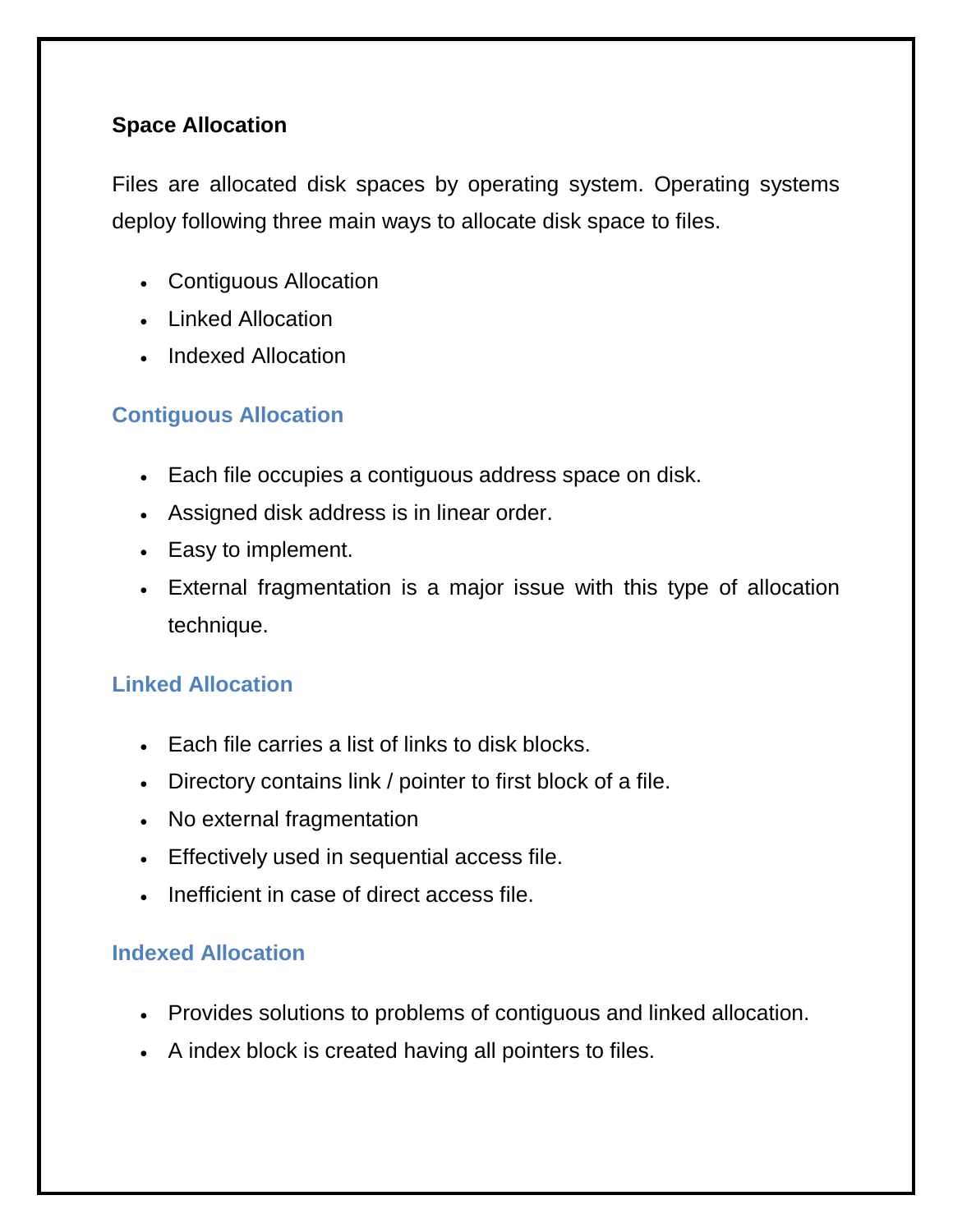# **Space Allocation**

Files are allocated disk spaces by operating system. Operating systems deploy following three main ways to allocate disk space to files.

- Contiguous Allocation
- Linked Allocation
- Indexed Allocation

# **Contiguous Allocation**

- Each file occupies a contiguous address space on disk.
- Assigned disk address is in linear order.
- Easy to implement.
- External fragmentation is a major issue with this type of allocation technique.

# **Linked Allocation**

- Each file carries a list of links to disk blocks.
- Directory contains link / pointer to first block of a file.
- No external fragmentation
- Effectively used in sequential access file.
- Inefficient in case of direct access file.

# **Indexed Allocation**

- Provides solutions to problems of contiguous and linked allocation.
- A index block is created having all pointers to files.